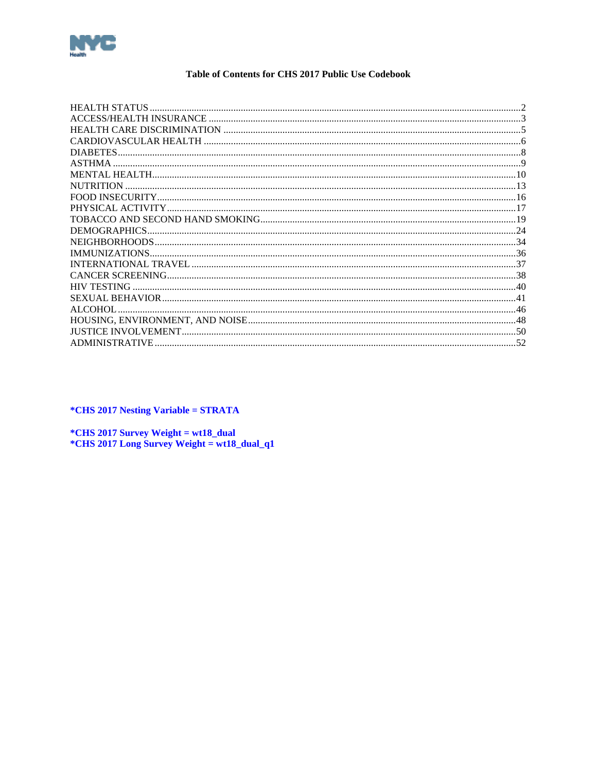<span id="page-0-0"></span>

#### Table of Contents for CHS 2017 Public Use Codebook

| DIABETES.             |  |
|-----------------------|--|
| ASTHMA                |  |
|                       |  |
| <b>NUTRITION</b>      |  |
|                       |  |
|                       |  |
|                       |  |
| DEMOGRAPHICS          |  |
|                       |  |
|                       |  |
|                       |  |
|                       |  |
| <b>HIV TESTING</b>    |  |
|                       |  |
| <b>ALCOHOL</b>        |  |
|                       |  |
|                       |  |
| <b>ADMINISTRATIVE</b> |  |

*\*CHS 2017 Nesting Variable = STRATA* 

\*CHS 2017 Survey Weight = wt18\_dual \*CHS 2017 Long Survey Weight = wt18\_dual\_q1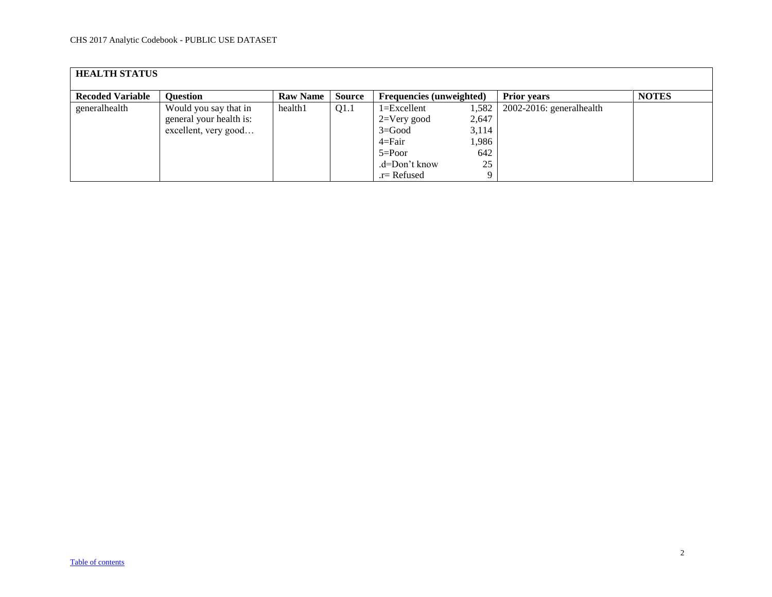<span id="page-1-0"></span>

| <b>HEALTH STATUS</b>    |                         |                 |               |                                 |       |                             |              |  |  |  |  |
|-------------------------|-------------------------|-----------------|---------------|---------------------------------|-------|-----------------------------|--------------|--|--|--|--|
| <b>Recoded Variable</b> | <b>Ouestion</b>         | <b>Raw Name</b> | <b>Source</b> | <b>Frequencies</b> (unweighted) |       | <b>Prior years</b>          | <b>NOTES</b> |  |  |  |  |
| generalhealth           | Would you say that in   | health1         | Q1.1          | $1 = Excellent$                 | 1,582 | $2002-2016$ : generalhealth |              |  |  |  |  |
|                         | general your health is: |                 |               | $2=V$ ery good                  | 2,647 |                             |              |  |  |  |  |
|                         | excellent, very good    |                 |               | $3 = Good$                      | 3,114 |                             |              |  |  |  |  |
|                         |                         |                 |               | $4 = Fair$                      | 1,986 |                             |              |  |  |  |  |
|                         |                         |                 |               | $5 = Poor$                      | 642   |                             |              |  |  |  |  |
|                         |                         |                 |               | .d=Don't know                   | 25    |                             |              |  |  |  |  |
|                         |                         |                 |               | $r =$ Refused                   |       |                             |              |  |  |  |  |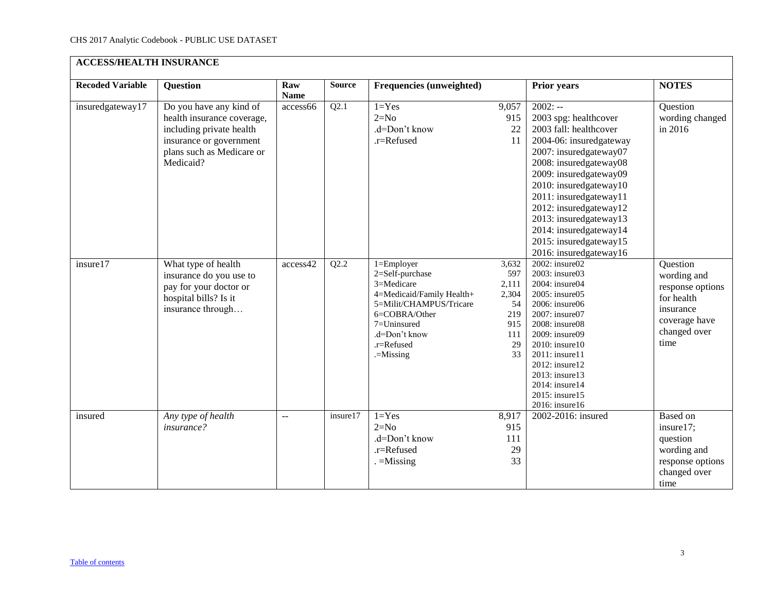<span id="page-2-0"></span>

| <b>ACCESS/HEALTH INSURANCE</b> |                                                                                                                                                        |                    |               |                                                                                                                                                                                     |                                                                       |                                                                                                                                                                                                                                                                                                                                                             |                                                                                                                 |  |  |  |  |
|--------------------------------|--------------------------------------------------------------------------------------------------------------------------------------------------------|--------------------|---------------|-------------------------------------------------------------------------------------------------------------------------------------------------------------------------------------|-----------------------------------------------------------------------|-------------------------------------------------------------------------------------------------------------------------------------------------------------------------------------------------------------------------------------------------------------------------------------------------------------------------------------------------------------|-----------------------------------------------------------------------------------------------------------------|--|--|--|--|
| <b>Recoded Variable</b>        | <b>Question</b>                                                                                                                                        | Raw<br><b>Name</b> | <b>Source</b> | Frequencies (unweighted)                                                                                                                                                            |                                                                       | <b>Prior years</b>                                                                                                                                                                                                                                                                                                                                          | <b>NOTES</b>                                                                                                    |  |  |  |  |
| insuredgateway17               | Do you have any kind of<br>health insurance coverage,<br>including private health<br>insurance or government<br>plans such as Medicare or<br>Medicaid? | access66           | Q2.1          | $1 = Yes$<br>$2=N0$<br>.d=Don't know<br>.r=Refused                                                                                                                                  | 9,057<br>915<br>22<br>11                                              | $2002: -$<br>2003 spg: healthcover<br>2003 fall: healthcover<br>2004-06: insuredgateway<br>2007: insuredgateway07<br>2008: insuredgateway08<br>2009: insuredgateway09<br>2010: insuredgateway10<br>2011: insuredgateway11<br>2012: insuredgateway12<br>2013: insuredgateway13<br>2014: insuredgateway14<br>2015: insuredgateway15<br>2016: insuredgateway16 | Question<br>wording changed<br>in 2016                                                                          |  |  |  |  |
| insure17                       | What type of health<br>insurance do you use to<br>pay for your doctor or<br>hospital bills? Is it<br>insurance through                                 | access42           | Q2.2          | $1 =$ Employer<br>2=Self-purchase<br>3=Medicare<br>4=Medicaid/Family Health+<br>5=Milit/CHAMPUS/Tricare<br>6=COBRA/Other<br>7=Uninsured<br>.d=Don't know<br>.r=Refused<br>.=Missing | 3,632<br>597<br>2,111<br>2,304<br>54<br>219<br>915<br>111<br>29<br>33 | 2002: insure02<br>2003: insure03<br>2004: insure04<br>2005: insure05<br>2006: insure06<br>2007: insure07<br>2008: insure08<br>2009: insure09<br>2010: insure10<br>2011: insure11<br>2012: insure12<br>2013: insure13<br>2014: insure14<br>2015: insure15<br>2016: insure16                                                                                  | Question<br>wording and<br>response options<br>for health<br>insurance<br>coverage have<br>changed over<br>time |  |  |  |  |
| insured                        | Any type of health<br>insurance?                                                                                                                       | $\overline{a}$     | insure17      | $1 = Yes$<br>$2=N0$<br>.d=Don't know<br>$.r =$ Refused<br>$=$ Missing                                                                                                               | 8,917<br>915<br>111<br>29<br>33                                       | 2002-2016: insured                                                                                                                                                                                                                                                                                                                                          | <b>Based on</b><br>insure17;<br>question<br>wording and<br>response options<br>changed over<br>time             |  |  |  |  |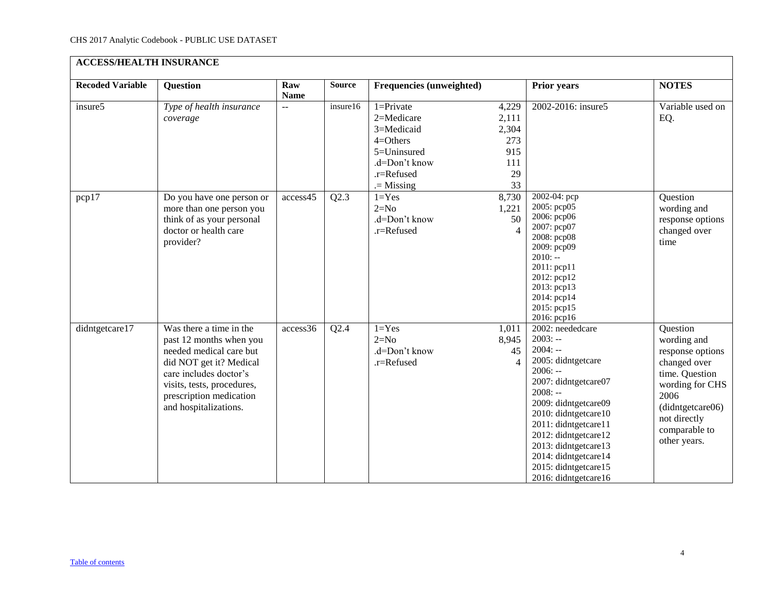| <b>ACCESS/HEALTH INSURANCE</b> |                                                                                                                                                                                                                      |                    |               |                                                                                                                       |                                                          |                                                                                                                                                                                                                                                                                                                    |                                                                                                                                                                               |  |  |  |  |
|--------------------------------|----------------------------------------------------------------------------------------------------------------------------------------------------------------------------------------------------------------------|--------------------|---------------|-----------------------------------------------------------------------------------------------------------------------|----------------------------------------------------------|--------------------------------------------------------------------------------------------------------------------------------------------------------------------------------------------------------------------------------------------------------------------------------------------------------------------|-------------------------------------------------------------------------------------------------------------------------------------------------------------------------------|--|--|--|--|
| <b>Recoded Variable</b>        | <b>Question</b>                                                                                                                                                                                                      | Raw<br><b>Name</b> | <b>Source</b> | <b>Frequencies (unweighted)</b>                                                                                       |                                                          | <b>Prior years</b>                                                                                                                                                                                                                                                                                                 | <b>NOTES</b>                                                                                                                                                                  |  |  |  |  |
| insure5                        | Type of health insurance<br>coverage                                                                                                                                                                                 | $\overline{a}$     | insure16      | $1 =$ Private<br>2=Medicare<br>3=Medicaid<br>$4=O$ thers<br>5=Uninsured<br>.d=Don't know<br>.r=Refused<br>$=$ Missing | 4,229<br>2,111<br>2,304<br>273<br>915<br>111<br>29<br>33 | 2002-2016: insure5                                                                                                                                                                                                                                                                                                 | Variable used on<br>EQ.                                                                                                                                                       |  |  |  |  |
| pcp17                          | Do you have one person or<br>more than one person you<br>think of as your personal<br>doctor or health care<br>provider?                                                                                             | access45           | Q2.3          | $1 = Yes$<br>$2=N0$<br>.d=Don't know<br>.r=Refused                                                                    | 8,730<br>1,221<br>50<br>$\overline{A}$                   | 2002-04: pcp<br>2005: pcp05<br>2006: рер06<br>2007: pcp07<br>2008: pcp08<br>2009: pcp09<br>$2010: -$<br>2011: pcp11<br>2012: pcp12<br>2013: pcp13<br>2014: pcp14<br>2015: pcp15<br>2016: pcp16                                                                                                                     | Question<br>wording and<br>response options<br>changed over<br>time                                                                                                           |  |  |  |  |
| didntgetcare17                 | Was there a time in the<br>past 12 months when you<br>needed medical care but<br>did NOT get it? Medical<br>care includes doctor's<br>visits, tests, procedures,<br>prescription medication<br>and hospitalizations. | access36           | Q2.4          | $1 = Yes$<br>$2=N0$<br>.d=Don't know<br>.r=Refused                                                                    | 1,011<br>8,945<br>45<br>$\overline{4}$                   | 2002: neededcare<br>$2003: -$<br>$2004: -$<br>2005: didntgetcare<br>$2006: -$<br>2007: didntgetcare07<br>$2008: -$<br>2009: didntgetcare09<br>2010: didntgetcare10<br>2011: didntgetcare11<br>2012: didntgetcare12<br>2013: didntgetcare13<br>2014: didntgetcare14<br>2015: didntgetcare15<br>2016: didntgetcare16 | Question<br>wording and<br>response options<br>changed over<br>time. Question<br>wording for CHS<br>2006<br>(didntgetcare06)<br>not directly<br>comparable to<br>other years. |  |  |  |  |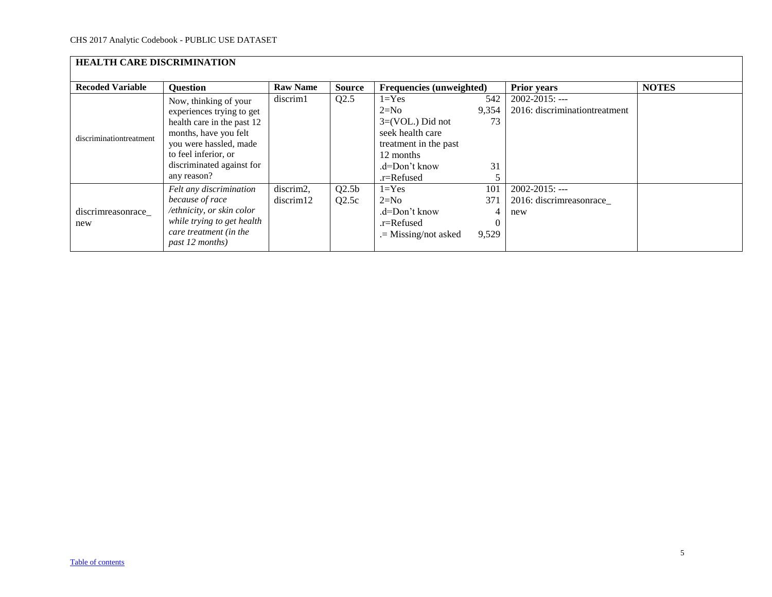<span id="page-4-0"></span>

| <b>HEALTH CARE DISCRIMINATION</b> |                                                                                                                                                                                                         |                        |                            |                                                                                                                                    |                                      |                                                       |              |  |  |  |  |
|-----------------------------------|---------------------------------------------------------------------------------------------------------------------------------------------------------------------------------------------------------|------------------------|----------------------------|------------------------------------------------------------------------------------------------------------------------------------|--------------------------------------|-------------------------------------------------------|--------------|--|--|--|--|
| <b>Recoded Variable</b>           | <b>Question</b>                                                                                                                                                                                         | <b>Raw Name</b>        | <b>Source</b>              | <b>Frequencies</b> (unweighted)                                                                                                    |                                      | <b>Prior years</b>                                    | <b>NOTES</b> |  |  |  |  |
| discriminationtreatment           | Now, thinking of your<br>experiences trying to get<br>health care in the past 12<br>months, have you felt<br>you were hassled, made<br>to feel inferior, or<br>discriminated against for<br>any reason? | discrim1               | Q2.5                       | $l = Yes$<br>$2=N0$<br>$3=(VOL.)$ Did not<br>seek health care<br>treatment in the past<br>12 months<br>.d=Don't know<br>.r=Refused | 542<br>9,354<br>73<br>31             | $2002 - 2015$ : ---<br>2016: discriminationtreatment  |              |  |  |  |  |
| discrimreasonrace_<br>new         | Felt any discrimination<br>because of race<br>/ethnicity, or skin color<br>while trying to get health<br>care treatment (in the<br>past 12 months)                                                      | discrim2,<br>discrim12 | Q2.5 <sub>b</sub><br>Q2.5c | $1 = Yes$<br>$2=N0$<br>.d=Don't know<br>$r =$ Refused<br>$=$ Missing/not asked                                                     | 101<br>371<br>4<br>$\theta$<br>9,529 | $2002 - 2015$ : ---<br>2016: discrimreasonrace<br>new |              |  |  |  |  |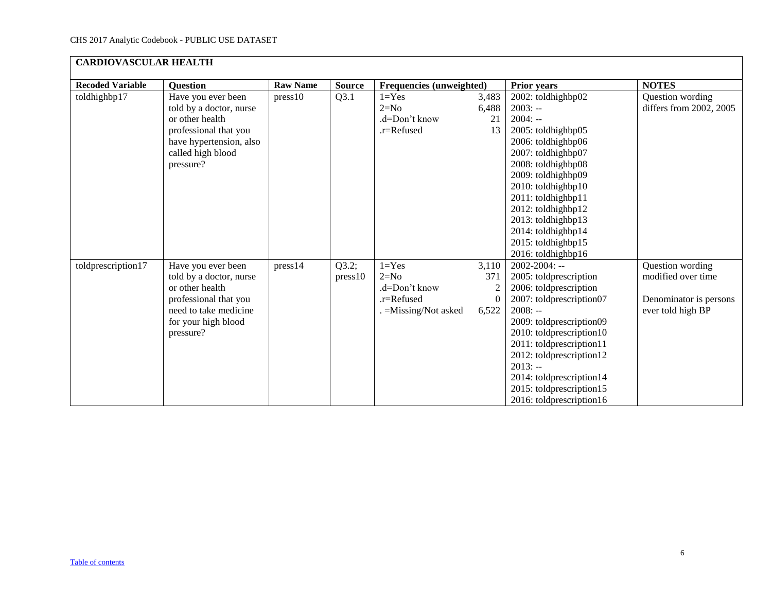<span id="page-5-0"></span>

| <b>CARDIOVASCULAR HEALTH</b> |                                                                                                                                                        |                 |                  |                                                                          |                                        |                                                                                                                                                                                                                                                                                                                                  |                                                                                       |  |  |  |  |
|------------------------------|--------------------------------------------------------------------------------------------------------------------------------------------------------|-----------------|------------------|--------------------------------------------------------------------------|----------------------------------------|----------------------------------------------------------------------------------------------------------------------------------------------------------------------------------------------------------------------------------------------------------------------------------------------------------------------------------|---------------------------------------------------------------------------------------|--|--|--|--|
| <b>Recoded Variable</b>      | <b>Question</b>                                                                                                                                        | <b>Raw Name</b> | <b>Source</b>    | Frequencies (unweighted)                                                 |                                        | <b>Prior years</b>                                                                                                                                                                                                                                                                                                               | <b>NOTES</b>                                                                          |  |  |  |  |
| toldhighbp17                 | Have you ever been<br>told by a doctor, nurse<br>or other health<br>professional that you<br>have hypertension, also<br>called high blood<br>pressure? | press10         | Q3.1             | $1 = Yes$<br>$2=N0$<br>.d=Don't know<br>.r=Refused                       | 3,483<br>6,488<br>21<br>13             | 2002: toldhighbp02<br>$2003: -$<br>$2004: -$<br>2005: toldhighbp05<br>2006: toldhighbp06<br>2007: toldhighbp07<br>2008: toldhighbp08<br>2009: toldhighbp09<br>2010: toldhighbp10<br>2011: toldhighbp11<br>2012: toldhighbp12<br>2013: toldhighbp13<br>2014: toldhighbp14<br>2015: toldhighbp15<br>2016: toldhighbp16             | Question wording<br>differs from 2002, 2005                                           |  |  |  |  |
| toldprescription17           | Have you ever been<br>told by a doctor, nurse<br>or other health<br>professional that you<br>need to take medicine<br>for your high blood<br>pressure? | press14         | Q3.2;<br>press10 | $1 = Yes$<br>$2=N0$<br>.d=Don't know<br>.r=Refused<br>=Missing/Not asked | 3,110<br>371<br>2<br>$\Omega$<br>6,522 | $2002 - 2004$ : --<br>2005: toldprescription<br>2006: toldprescription<br>2007: toldprescription07<br>$2008: -$<br>2009: toldprescription09<br>2010: toldprescription10<br>2011: toldprescription11<br>2012: toldprescription12<br>$2013: -$<br>2014: toldprescription14<br>2015: toldprescription15<br>2016: toldprescription16 | Question wording<br>modified over time<br>Denominator is persons<br>ever told high BP |  |  |  |  |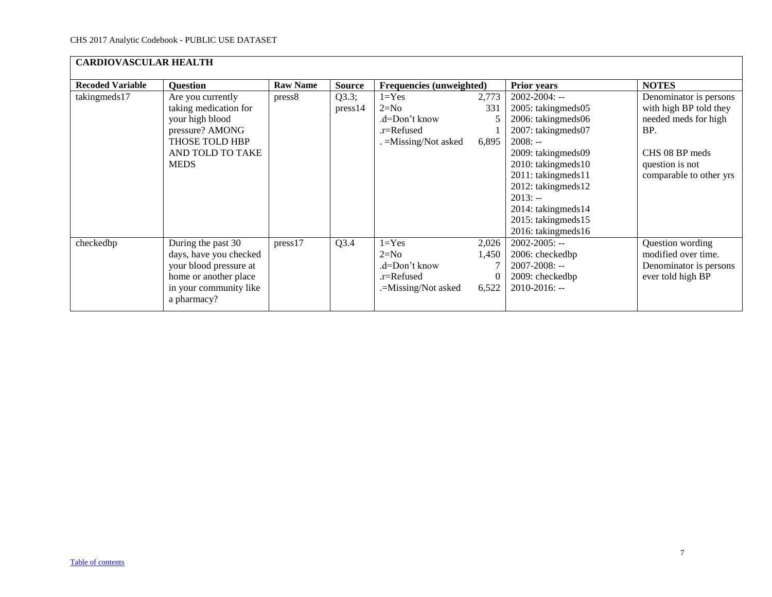| <b>CARDIOVASCULAR HEALTH</b> |                                                                                                                                          |                 |                  |                                                                            |                                     |                                                                                                                                                                                                                                                                          |                                                                                                                                                 |  |  |  |  |
|------------------------------|------------------------------------------------------------------------------------------------------------------------------------------|-----------------|------------------|----------------------------------------------------------------------------|-------------------------------------|--------------------------------------------------------------------------------------------------------------------------------------------------------------------------------------------------------------------------------------------------------------------------|-------------------------------------------------------------------------------------------------------------------------------------------------|--|--|--|--|
| <b>Recoded Variable</b>      | <b>Question</b>                                                                                                                          | <b>Raw Name</b> | <b>Source</b>    | Frequencies (unweighted)                                                   |                                     | <b>Prior years</b>                                                                                                                                                                                                                                                       | <b>NOTES</b>                                                                                                                                    |  |  |  |  |
| takingmeds17                 | Are you currently<br>taking medication for<br>your high blood<br>pressure? AMONG<br>THOSE TOLD HBP<br>AND TOLD TO TAKE<br><b>MEDS</b>    | press8          | Q3.3;<br>press14 | $1 = Yes$<br>$2=N0$<br>.d=Don't know<br>.r=Refused<br>. =Missing/Not asked | 2,773<br>331<br>5<br>6,895          | $2002 - 2004$ : --<br>2005: takingmeds05<br>2006: takingmeds06<br>2007: takingmeds07<br>$2008: -$<br>2009: takingmeds09<br>2010: takingmeds10<br>2011: takingmeds11<br>2012: takingmeds12<br>$2013: -$<br>2014: takingmeds14<br>2015: takingmeds15<br>2016: takingmeds16 | Denominator is persons<br>with high BP told they<br>needed meds for high<br>BP.<br>CHS 08 BP meds<br>question is not<br>comparable to other yrs |  |  |  |  |
| checkedbp                    | During the past 30<br>days, have you checked<br>your blood pressure at<br>home or another place<br>in your community like<br>a pharmacy? | press17         | Q3.4             | $1 = Yes$<br>$2=N0$<br>.d=Don't know<br>.r=Refused<br>.=Missing/Not asked  | 2,026<br>1,450<br>$\theta$<br>6,522 | $2002 - 2005$ : --<br>2006: checkedbp<br>$2007 - 2008$ : --<br>2009: checkedbp<br>$2010 - 2016$ : --                                                                                                                                                                     | Question wording<br>modified over time.<br>Denominator is persons<br>ever told high BP                                                          |  |  |  |  |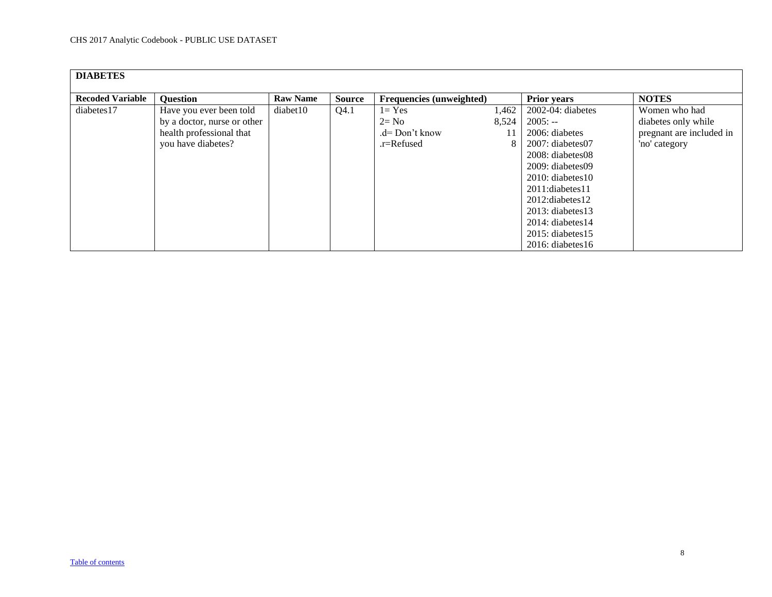<span id="page-7-0"></span>

| <b>DIABETES</b>         |                             |                 |               |                                 |       |                        |                          |
|-------------------------|-----------------------------|-----------------|---------------|---------------------------------|-------|------------------------|--------------------------|
|                         |                             |                 |               |                                 |       |                        |                          |
| <b>Recoded Variable</b> | <b>Question</b>             | <b>Raw Name</b> | <b>Source</b> | <b>Frequencies</b> (unweighted) |       | <b>Prior years</b>     | <b>NOTES</b>             |
| diabetes17              | Have you ever been told     | diabet10        | Q4.1          | $1 = Yes$                       | 1,462 | 2002-04: diabetes      | Women who had            |
|                         | by a doctor, nurse or other |                 |               | $2 = No$                        | 8,524 | $2005: -$              | diabetes only while      |
|                         | health professional that    |                 |               | $d=Don't know$                  |       | 2006: diabetes         | pregnant are included in |
|                         | you have diabetes?          |                 |               | .r=Refused                      |       | $2007$ : diabetes $07$ | 'no' category            |
|                         |                             |                 |               |                                 |       | $2008$ : diabetes $08$ |                          |
|                         |                             |                 |               |                                 |       | $2009:$ diabetes 09    |                          |
|                         |                             |                 |               |                                 |       | $2010$ : diabetes 10   |                          |
|                         |                             |                 |               |                                 |       | 2011:diabetes11        |                          |
|                         |                             |                 |               |                                 |       | $2012$ : diabetes 12   |                          |
|                         |                             |                 |               |                                 |       | $2013$ : diabetes 13   |                          |
|                         |                             |                 |               |                                 |       | $2014$ : diabetes 14   |                          |
|                         |                             |                 |               |                                 |       | $2015$ : diabetes 15   |                          |
|                         |                             |                 |               |                                 |       | $2016$ : diabetes 16   |                          |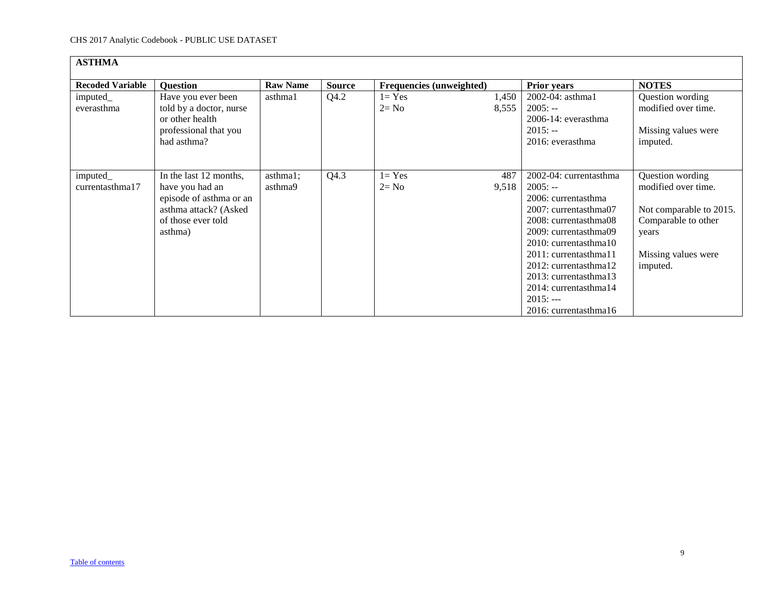<span id="page-8-0"></span>

| <b>ASTHMA</b>               |                                                                                                                                |                     |               |                          |                |                                                                                                                                                                                                                                                                                                           |                                                                                                                                       |
|-----------------------------|--------------------------------------------------------------------------------------------------------------------------------|---------------------|---------------|--------------------------|----------------|-----------------------------------------------------------------------------------------------------------------------------------------------------------------------------------------------------------------------------------------------------------------------------------------------------------|---------------------------------------------------------------------------------------------------------------------------------------|
| <b>Recoded Variable</b>     | <b>Question</b>                                                                                                                | <b>Raw Name</b>     | <b>Source</b> | Frequencies (unweighted) |                | <b>Prior years</b>                                                                                                                                                                                                                                                                                        | <b>NOTES</b>                                                                                                                          |
| imputed_<br>everasthma      | Have you ever been<br>told by a doctor, nurse<br>or other health<br>professional that you<br>had asthma?                       | asthma1             | Q4.2          | $1 = Yes$<br>$2 = No$    | 1,450<br>8,555 | 2002-04: asthma1<br>$2005: -$<br>$2006-14$ : everasthma<br>$2015: -$<br>2016: everasthma                                                                                                                                                                                                                  | Question wording<br>modified over time.<br>Missing values were<br>imputed.                                                            |
| imputed_<br>currentasthma17 | In the last 12 months,<br>have you had an<br>episode of asthma or an<br>asthma attack? (Asked<br>of those ever told<br>asthma) | asthma1;<br>asthma9 | Q4.3          | $1 = Yes$<br>$2 = No$    | 487<br>9,518   | 2002-04: currentasthma<br>$2005: -$<br>2006: currentasthma<br>2007: currentasthma07<br>2008: currentasthma08<br>2009: currentasthma09<br>2010: currentasthma10<br>2011: currentasthma11<br>2012: currentasthma12<br>2013: currentasthma13<br>2014: currentasthma14<br>$2015: --$<br>2016: currentasthma16 | Question wording<br>modified over time.<br>Not comparable to 2015.<br>Comparable to other<br>years<br>Missing values were<br>imputed. |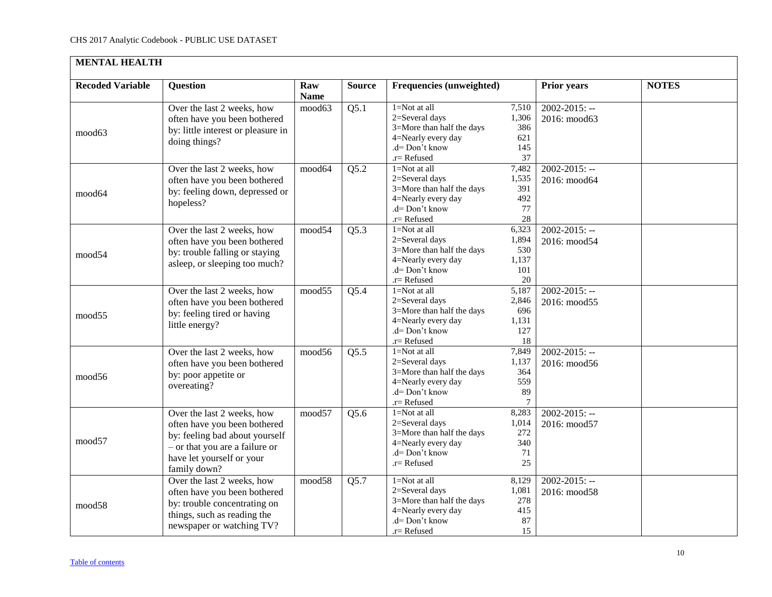<span id="page-9-0"></span>

| <b>MENTAL HEALTH</b>    |                                                                                                                                                                             |                    |               |                                                                                                                                 |                                              |                                    |              |
|-------------------------|-----------------------------------------------------------------------------------------------------------------------------------------------------------------------------|--------------------|---------------|---------------------------------------------------------------------------------------------------------------------------------|----------------------------------------------|------------------------------------|--------------|
| <b>Recoded Variable</b> | <b>Question</b>                                                                                                                                                             | Raw<br><b>Name</b> | <b>Source</b> | Frequencies (unweighted)                                                                                                        |                                              | <b>Prior years</b>                 | <b>NOTES</b> |
| mood63                  | Over the last 2 weeks, how<br>often have you been bothered<br>by: little interest or pleasure in<br>doing things?                                                           | mood63             | Q5.1          | $1 = Not$ at all<br>2=Several days<br>3=More than half the days<br>4=Nearly every day<br>$d = Don't know$<br>$r =$ Refused      | 7,510<br>1,306<br>386<br>621<br>145<br>37    | $2002 - 2015$ : --<br>2016: mood63 |              |
| mood64                  | Over the last 2 weeks, how<br>often have you been bothered<br>by: feeling down, depressed or<br>hopeless?                                                                   | mood64             | Q5.2          | 1=Not at all<br>2=Several days<br>3=More than half the days<br>4=Nearly every day<br>$d = Don't know$<br>.r=Refused             | 7,482<br>1,535<br>391<br>492<br>77<br>28     | $2002 - 2015$ : --<br>2016: mood64 |              |
| mood54                  | Over the last 2 weeks, how<br>often have you been bothered<br>by: trouble falling or staying<br>asleep, or sleeping too much?                                               | mood54             | Q5.3          | $1 = Not$ at all<br>2=Several days<br>3=More than half the days<br>4=Nearly every day<br>$d = Don't know$<br>.r=Refused         | 6,323<br>1,894<br>530<br>1,137<br>101<br>20  | $2002 - 2015$ : --<br>2016: mood54 |              |
| mood55                  | Over the last 2 weeks, how<br>often have you been bothered<br>by: feeling tired or having<br>little energy?                                                                 | mood55             | Q5.4          | $1 = Not$ at all<br>2=Several days<br>3=More than half the days<br>4=Nearly every day<br>$d = Don't know$<br>.r= Refused        | 5,187<br>2,846<br>696<br>1,131<br>127<br>18  | $2002 - 2015$ : --<br>2016: mood55 |              |
| mood56                  | Over the last 2 weeks, how<br>often have you been bothered<br>by: poor appetite or<br>overeating?                                                                           | mood56             | Q5.5          | $1 = Not$ at all<br>2=Several days<br>3=More than half the days<br>4=Nearly every day<br>$d = Don't know$<br>.r=Refused         | 7,849<br>1,137<br>364<br>559<br>89<br>$\tau$ | $2002 - 2015$ : --<br>2016: mood56 |              |
| mood57                  | Over the last 2 weeks, how<br>often have you been bothered<br>by: feeling bad about yourself<br>- or that you are a failure or<br>have let yourself or your<br>family down? | mood57             | Q5.6          | $1 = Not$ at all<br>2=Several days<br>3=More than half the days<br>4=Nearly every day<br>$d = Don't know$<br>$r =$ Refused      | 8,283<br>1,014<br>272<br>340<br>71<br>25     | $2002 - 2015$ : --<br>2016: mood57 |              |
| mood58                  | Over the last 2 weeks, how<br>often have you been bothered<br>by: trouble concentrating on<br>things, such as reading the<br>newspaper or watching TV?                      | mood58             | Q5.7          | $1 = Not$ at all<br>2=Several days<br>3=More than half the days<br>4=Nearly every day<br>.d= Don't know<br>$\mathbf{r}$ Refused | 8,129<br>1,081<br>278<br>415<br>87<br>15     | $2002 - 2015$ : --<br>2016: mood58 |              |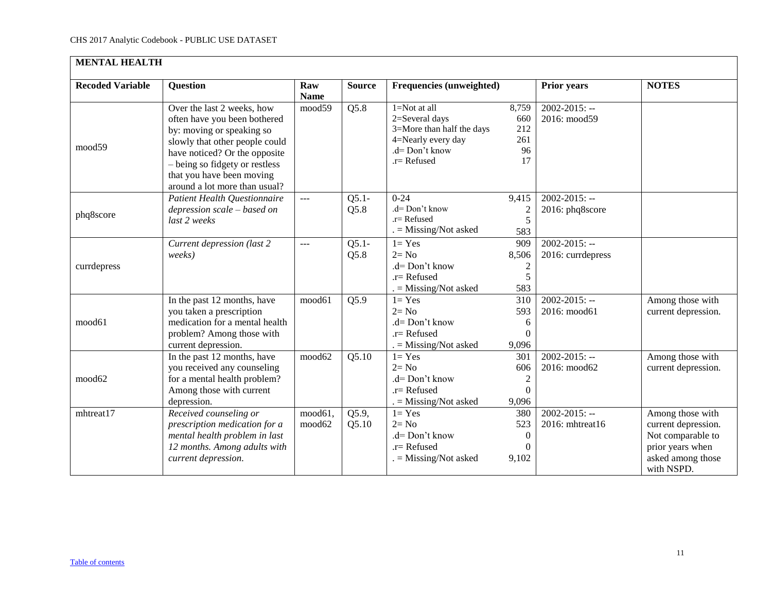| <b>MENTAL HEALTH</b>    |                                                                                                                                                                                                                                                            |                    |                            |                                                                                                                           |                                                   |                                         |                                                                                                                     |  |  |  |
|-------------------------|------------------------------------------------------------------------------------------------------------------------------------------------------------------------------------------------------------------------------------------------------------|--------------------|----------------------------|---------------------------------------------------------------------------------------------------------------------------|---------------------------------------------------|-----------------------------------------|---------------------------------------------------------------------------------------------------------------------|--|--|--|
| <b>Recoded Variable</b> | <b>Question</b>                                                                                                                                                                                                                                            | Raw<br><b>Name</b> | <b>Source</b>              | Frequencies (unweighted)                                                                                                  |                                                   | <b>Prior years</b>                      | <b>NOTES</b>                                                                                                        |  |  |  |
| mood59                  | Over the last 2 weeks, how<br>often have you been bothered<br>by: moving or speaking so<br>slowly that other people could<br>have noticed? Or the opposite<br>- being so fidgety or restless<br>that you have been moving<br>around a lot more than usual? | mood59             | Q5.8                       | $1 = Not$ at all<br>2=Several days<br>3=More than half the days<br>4=Nearly every day<br>.d= Don't know<br>$.r =$ Refused | 8,759<br>660<br>212<br>261<br>96<br>17            | $2002 - 2015$ : --<br>2016: mood59      |                                                                                                                     |  |  |  |
| phq8score               | Patient Health Questionnaire<br>depression scale - based on<br>last 2 weeks                                                                                                                                                                                | ---                | $Q5.1-$<br>Q5.8            | $0 - 24$<br>.d= Don't know<br>$.r =$ Refused<br>$=$ Missing/Not asked                                                     | 9,415<br>$\overline{\mathbf{c}}$<br>5<br>583      | $2002 - 2015$ : --<br>2016: phq8score   |                                                                                                                     |  |  |  |
| currdepress             | Current depression (last 2<br>weeks)                                                                                                                                                                                                                       | $---$              | $Q5.1-$<br>Q5.8            | $1 = Yes$<br>$2 = No$<br>$d = Don't know$<br>$.r =$ Refused<br>$=$ Missing/Not asked                                      | 909<br>8,506<br>$\overline{c}$<br>5<br>583        | $2002 - 2015$ : --<br>2016: currdepress |                                                                                                                     |  |  |  |
| mood61                  | In the past 12 months, have<br>you taken a prescription<br>medication for a mental health<br>problem? Among those with<br>current depression.                                                                                                              | mood61             | Q5.9                       | $1 = Yes$<br>$2 = No$<br>$.d=Don't know$<br>$.r =$ Refused<br>$=$ Missing/Not asked                                       | 310<br>593<br>6<br>0<br>9,096                     | $2002 - 2015$ : --<br>2016: mood61      | Among those with<br>current depression.                                                                             |  |  |  |
| mood62                  | In the past 12 months, have<br>you received any counseling<br>for a mental health problem?<br>Among those with current<br>depression.                                                                                                                      | mood62             | Q5.10                      | $1 = Yes$<br>$2 = No$<br>.d= Don't know<br>$.r =$ Refused<br>$=$ Missing/Not asked                                        | 301<br>606<br>$\overline{c}$<br>$\theta$<br>9,096 | $2002 - 2015$ : --<br>2016: mood62      | Among those with<br>current depression.                                                                             |  |  |  |
| mhtreat17               | Received counseling or<br>prescription medication for a<br>mental health problem in last<br>12 months. Among adults with<br>current depression.                                                                                                            | mood61,<br>mood62  | $\overline{Q5.9}$<br>Q5.10 | $1 = Yes$<br>$2 = No$<br>.d= Don't know<br>$.r =$ Refused<br>$=$ Missing/Not asked                                        | 380<br>523<br>$\theta$<br>9,102                   | $2002 - 2015$ : --<br>2016: mhtreat16   | Among those with<br>current depression.<br>Not comparable to<br>prior years when<br>asked among those<br>with NSPD. |  |  |  |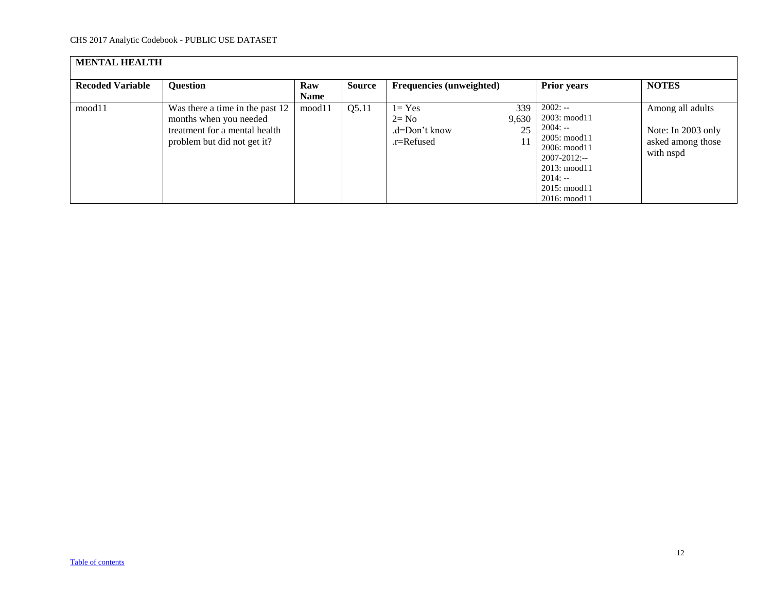| <b>MENTAL HEALTH</b>    |                                                                                                                           |                    |        |                                                      |                    |                                                                                                                                                                                                          |                                                                          |  |  |  |
|-------------------------|---------------------------------------------------------------------------------------------------------------------------|--------------------|--------|------------------------------------------------------|--------------------|----------------------------------------------------------------------------------------------------------------------------------------------------------------------------------------------------------|--------------------------------------------------------------------------|--|--|--|
| <b>Recoded Variable</b> | <b>Question</b>                                                                                                           | Raw<br><b>Name</b> | Source | Frequencies (unweighted)                             |                    | <b>Prior years</b>                                                                                                                                                                                       | <b>NOTES</b>                                                             |  |  |  |
| mood11                  | Was there a time in the past 12<br>months when you needed<br>treatment for a mental health<br>problem but did not get it? | mood11             | Q5.11  | $1 = Yes$<br>$2 = No$<br>.d=Don't know<br>.r=Refused | 339<br>9,630<br>25 | $2002: -$<br>$2003: \text{mod } 11$<br>$2004: -$<br>$2005: \text{mod } 11$<br>$2006: \text{mod } 11$<br>$2007 - 2012$ :--<br>$2013: \text{mod}11$<br>$2014: -$<br>2015: mood11<br>$2016: \text{mod } 11$ | Among all adults<br>Note: In 2003 only<br>asked among those<br>with nspd |  |  |  |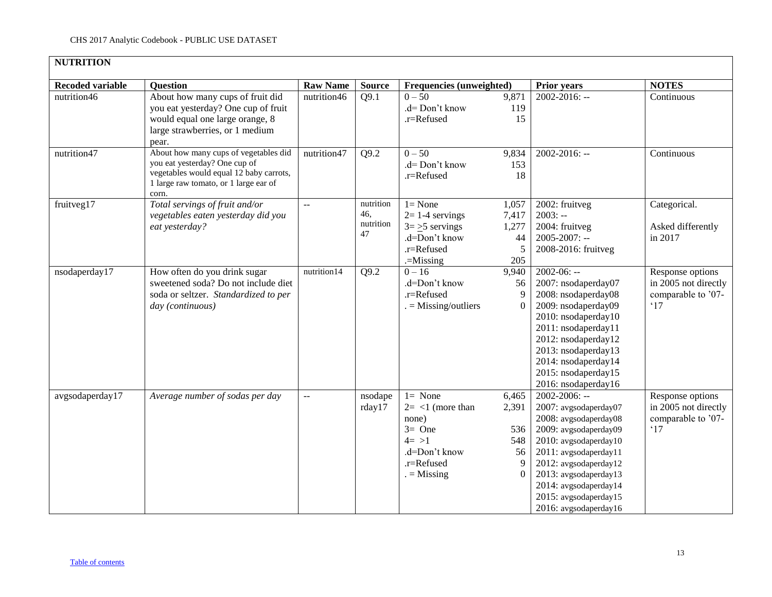<span id="page-12-0"></span>

| <b>NUTRITION</b>        |                                                                                                                                                                     |                 |                                     |                                                                                                                                   |                                                     |                                                                                                                                                                                                                                                                         |                                                                                |
|-------------------------|---------------------------------------------------------------------------------------------------------------------------------------------------------------------|-----------------|-------------------------------------|-----------------------------------------------------------------------------------------------------------------------------------|-----------------------------------------------------|-------------------------------------------------------------------------------------------------------------------------------------------------------------------------------------------------------------------------------------------------------------------------|--------------------------------------------------------------------------------|
| <b>Recoded variable</b> | <b>Question</b>                                                                                                                                                     | <b>Raw Name</b> | <b>Source</b>                       | Frequencies (unweighted)                                                                                                          |                                                     | <b>Prior years</b>                                                                                                                                                                                                                                                      | <b>NOTES</b>                                                                   |
| nutrition46             | About how many cups of fruit did<br>you eat yesterday? One cup of fruit<br>would equal one large orange, 8<br>large strawberries, or 1 medium<br>pear.              | nutrition46     | Q9.1                                | $0 - 50$<br>.d= Don't know<br>.r=Refused                                                                                          | 9,871<br>119<br>15                                  | $2002 - 2016$ : --                                                                                                                                                                                                                                                      | Continuous                                                                     |
| nutrition47             | About how many cups of vegetables did<br>you eat yesterday? One cup of<br>vegetables would equal 12 baby carrots,<br>1 large raw tomato, or 1 large ear of<br>corn. | nutrition47     | Q9.2                                | $0 - 50$<br>.d= Don't know<br>.r=Refused                                                                                          | 9,834<br>153<br>18                                  | 2002-2016: --                                                                                                                                                                                                                                                           | Continuous                                                                     |
| fruitveg17              | Total servings of fruit and/or<br>vegetables eaten yesterday did you<br>eat yesterday?                                                                              | 44              | nutrition<br>46,<br>nutrition<br>47 | $1 = None$<br>$2=1-4$ servings<br>$3 = \ge 5$ servings<br>.d=Don't know<br>.r=Refused<br>.=Missing                                | 1,057<br>7,417<br>1,277<br>44<br>5<br>205           | 2002: fruitveg<br>$2003: -$<br>2004: fruitveg<br>$2005 - 2007$ : --<br>2008-2016: fruitveg                                                                                                                                                                              | Categorical.<br>Asked differently<br>in 2017                                   |
| nsodaperday17           | How often do you drink sugar<br>sweetened soda? Do not include diet<br>soda or seltzer. Standardized to per<br>day (continuous)                                     | nutrition14     | Q9.2                                | $0 - 16$<br>.d=Don't know<br>.r=Refused<br>$=$ Missing/outliers                                                                   | 9,940<br>56<br>9<br>$\Omega$                        | $2002-06: -$<br>2007: nsodaperday07<br>2008: nsodaperday08<br>2009: nsodaperday09<br>2010: nsodaperday10<br>2011: nsodaperday11<br>2012: nsodaperday12<br>2013: nsodaperday13<br>2014: nsodaperday14<br>2015: nsodaperday15<br>2016: nsodaperday16                      | Response options<br>in 2005 not directly<br>comparable to '07-<br>$^{\circ}17$ |
| avgsodaperday17         | Average number of sodas per day                                                                                                                                     | $\overline{a}$  | nsodape<br>rday17                   | $1 = \overline{\text{None}}$<br>$2 = 1$ (more than<br>none)<br>$3=$ One<br>$4 = >1$<br>.d=Don't know<br>.r=Refused<br>$=$ Missing | 6,465<br>2,391<br>536<br>548<br>56<br>9<br>$\Omega$ | 2002-2006: --<br>2007: avgsodaperday07<br>2008: avgsodaperday08<br>2009: avgsodaperday09<br>2010: avgsodaperday10<br>2011: avgsodaperday11<br>2012: avgsodaperday12<br>2013: avgsodaperday13<br>2014: avgsodaperday14<br>2015: avgsodaperday15<br>2016: avgsodaperday16 | Response options<br>in 2005 not directly<br>comparable to '07-<br>$^{\circ}17$ |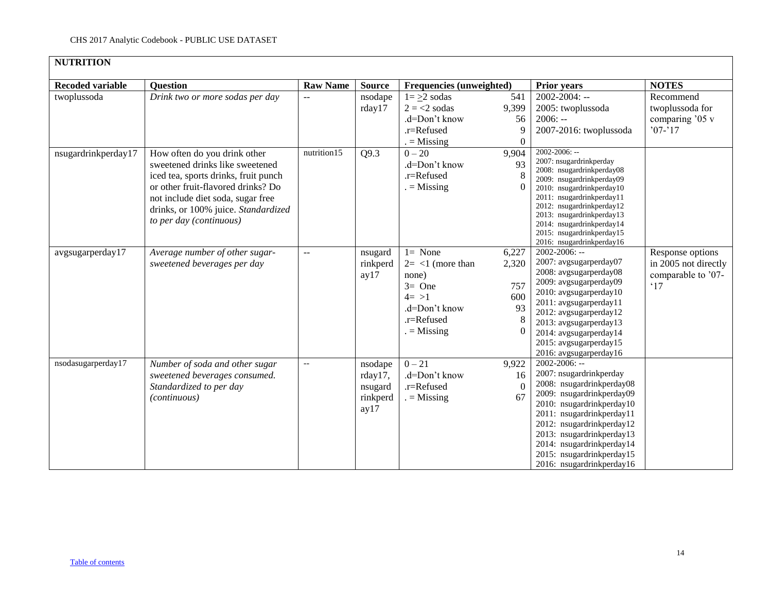| <b>NUTRITION</b>        |                                                                                                                                                                                                                                                      |                          |                                                   |                                                                                                                  |                                           |                                                                                                                                                                                                                                                                                                                    |                                                                                |  |  |  |  |
|-------------------------|------------------------------------------------------------------------------------------------------------------------------------------------------------------------------------------------------------------------------------------------------|--------------------------|---------------------------------------------------|------------------------------------------------------------------------------------------------------------------|-------------------------------------------|--------------------------------------------------------------------------------------------------------------------------------------------------------------------------------------------------------------------------------------------------------------------------------------------------------------------|--------------------------------------------------------------------------------|--|--|--|--|
| <b>Recoded variable</b> | <b>Question</b>                                                                                                                                                                                                                                      | <b>Raw Name</b>          | <b>Source</b>                                     | Frequencies (unweighted)                                                                                         |                                           | <b>Prior years</b>                                                                                                                                                                                                                                                                                                 | <b>NOTES</b>                                                                   |  |  |  |  |
| twoplussoda             | Drink two or more sodas per day                                                                                                                                                                                                                      | $\overline{a}$           | nsodape<br>rday17                                 | $1 = \geq 2$ sodas<br>$2 = 2$ sodas<br>.d=Don't know<br>.r=Refused<br>$=$ Missing                                | 541<br>9,399<br>56<br>9<br>$\overline{0}$ | $2002 - 2004$ : --<br>2005: twoplussoda<br>$2006: -$<br>2007-2016: twoplussoda                                                                                                                                                                                                                                     | Recommend<br>twoplussoda for<br>comparing '05 v<br>$'07-17$                    |  |  |  |  |
| nsugardrinkperday17     | How often do you drink other<br>sweetened drinks like sweetened<br>iced tea, sports drinks, fruit punch<br>or other fruit-flavored drinks? Do<br>not include diet soda, sugar free<br>drinks, or 100% juice. Standardized<br>to per day (continuous) | nutrition15              | $\overline{Q9.3}$                                 | $0 - 20$<br>.d=Don't know<br>.r=Refused<br>$=$ Missing                                                           | 9,904<br>93                               | 2002-2006: --<br>2007: nsugardrinkperday<br>2008: nsugardrinkperday08<br>2009: nsugardrinkperday09<br>2010: nsugardrinkperday10<br>2011: nsugardrinkperday11<br>2012: nsugardrinkperday12<br>2013: nsugardrinkperday13<br>2014: nsugardrinkperday14<br>2015: nsugardrinkperday15<br>2016: nsugardrinkperday16      |                                                                                |  |  |  |  |
| avgsugarperday17        | Average number of other sugar-<br>sweetened beverages per day                                                                                                                                                                                        | $\overline{a}$           | nsugard<br>rinkperd<br>ay17                       | $1 = None$<br>$2 = <1$ (more than<br>none)<br>$3=$ One<br>$4 = >1$<br>.d=Don't know<br>.r=Refused<br>$=$ Missing | 6,227<br>2,320<br>757<br>600<br>93        | $2002 - 2006$ : --<br>2007: avgsugarperday07<br>2008: avgsugarperday08<br>2009: avgsugarperday09<br>2010: avgsugarperday10<br>2011: avgsugarperday11<br>2012: avgsugarperday12<br>2013: avgsugarperday13<br>2014: avgsugarperday14<br>2015: avgsugarperday15<br>2016: avgsugarperday16                             | Response options<br>in 2005 not directly<br>comparable to '07-<br>$^{\circ}17$ |  |  |  |  |
| nsodasugarperday17      | Number of soda and other sugar<br>sweetened beverages consumed.<br>Standardized to per day<br>(continuous)                                                                                                                                           | $\overline{\phantom{m}}$ | nsodape<br>rday17,<br>nsugard<br>rinkperd<br>ay17 | $0 - 21$<br>.d=Don't know<br>.r=Refused<br>$=$ Missing                                                           | 9,922<br>16<br>$\Omega$<br>67             | $2002 - 2006$ : --<br>2007: nsugardrinkperday<br>2008: nsugardrinkperday08<br>2009: nsugardrinkperday09<br>2010: nsugardrinkperday10<br>2011: nsugardrinkperday11<br>2012: nsugardrinkperday12<br>2013: nsugardrinkperday13<br>2014: nsugardrinkperday14<br>2015: nsugardrinkperday15<br>2016: nsugardrinkperday16 |                                                                                |  |  |  |  |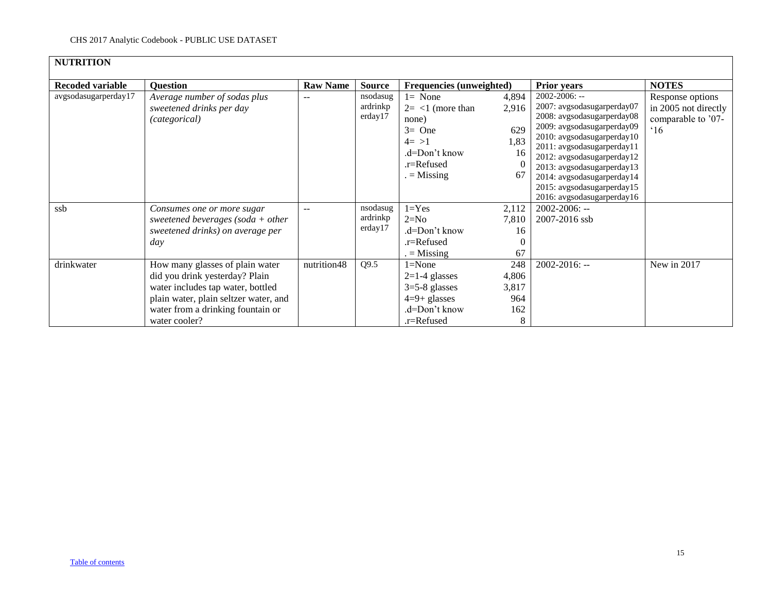| <b>NUTRITION</b>        |                                                                                                                                                                                                       |                 |                                 |                                                                                                                  |                                           |                                                                                                                                                                                                                                                                                                                           |                                                                                |
|-------------------------|-------------------------------------------------------------------------------------------------------------------------------------------------------------------------------------------------------|-----------------|---------------------------------|------------------------------------------------------------------------------------------------------------------|-------------------------------------------|---------------------------------------------------------------------------------------------------------------------------------------------------------------------------------------------------------------------------------------------------------------------------------------------------------------------------|--------------------------------------------------------------------------------|
| <b>Recoded variable</b> | <b>Question</b>                                                                                                                                                                                       | <b>Raw Name</b> | <b>Source</b>                   | Frequencies (unweighted)                                                                                         |                                           | <b>Prior years</b>                                                                                                                                                                                                                                                                                                        | <b>NOTES</b>                                                                   |
| avgsodasugarperday17    | Average number of sodas plus<br>sweetened drinks per day<br>(categorical)                                                                                                                             |                 | nsodasug<br>ardrinkp<br>erday17 | $l = None$<br>$2 = <1$ (more than<br>none)<br>$3=$ One<br>$4 = >1$<br>.d=Don't know<br>.r=Refused<br>$=$ Missing | 4,894<br>2,916<br>629<br>1,83<br>16<br>67 | 2002-2006: --<br>2007: avgsodasugarperday07<br>2008: avgsodasugarperday08<br>2009: avgsodasugarperday09<br>2010: avgsodasugarperday10<br>2011: avgsodasugarperday11<br>2012: avgsodasugarperday12<br>2013: avgsodasugarperday13<br>2014: avgsodasugarperday14<br>2015: avgsodasugarperday15<br>2016: avgsodasugarperday16 | Response options<br>in 2005 not directly<br>comparable to '07-<br>$^{\circ}16$ |
| ssb                     | Consumes one or more sugar<br>sweetened beverages (soda $+$ other<br>sweetened drinks) on average per<br>day                                                                                          | $-$             | nsodasug<br>ardrinkp<br>erday17 | $1 = Yes$<br>$2=N0$<br>.d=Don't know<br>.r=Refused<br>$=$ Missing                                                | 2,112<br>7,810<br>16<br>67                | $2002 - 2006$ : --<br>2007-2016 ssb                                                                                                                                                                                                                                                                                       |                                                                                |
| drinkwater              | How many glasses of plain water<br>did you drink yesterday? Plain<br>water includes tap water, bottled<br>plain water, plain seltzer water, and<br>water from a drinking fountain or<br>water cooler? | nutrition48     | Q9.5                            | $1 = None$<br>$2=1-4$ glasses<br>$3=5-8$ glasses<br>$4=9+$ glasses<br>.d=Don't know<br>.r=Refused                | 248<br>4,806<br>3,817<br>964<br>162<br>8  | $2002 - 2016$ : --                                                                                                                                                                                                                                                                                                        | New in 2017                                                                    |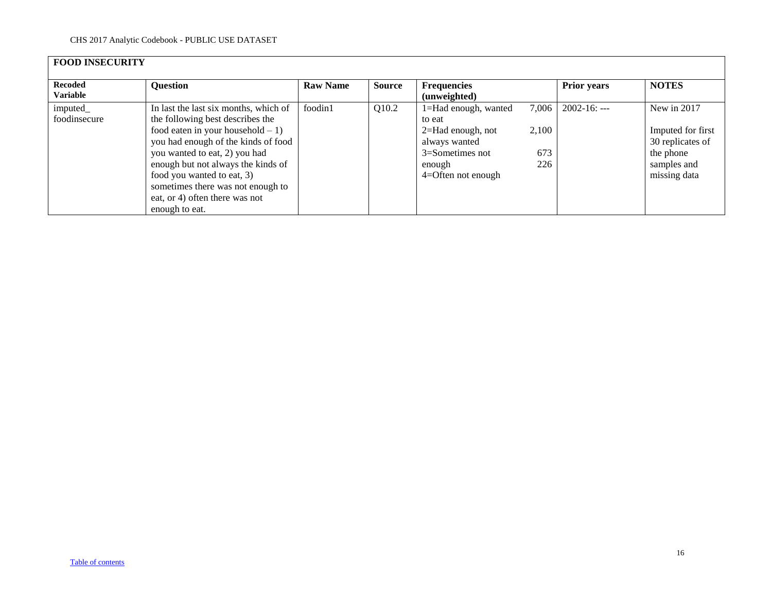<span id="page-15-0"></span>

| <b>FOOD INSECURITY</b>            |                                                                                                                                                                                                                                                                                                                                     |                 |               |                                                                                                                            |                              |                    |                                                                                                  |  |  |  |  |
|-----------------------------------|-------------------------------------------------------------------------------------------------------------------------------------------------------------------------------------------------------------------------------------------------------------------------------------------------------------------------------------|-----------------|---------------|----------------------------------------------------------------------------------------------------------------------------|------------------------------|--------------------|--------------------------------------------------------------------------------------------------|--|--|--|--|
| <b>Recoded</b><br><b>Variable</b> | <b>Question</b>                                                                                                                                                                                                                                                                                                                     | <b>Raw Name</b> | <b>Source</b> | <b>Frequencies</b><br>(unweighted)                                                                                         |                              | <b>Prior years</b> | <b>NOTES</b>                                                                                     |  |  |  |  |
| imputed_<br>foodinsecure          | In last the last six months, which of<br>the following best describes the<br>food eaten in your household $-1$ )<br>you had enough of the kinds of food<br>you wanted to eat, 2) you had<br>enough but not always the kinds of<br>food you wanted to eat, 3)<br>sometimes there was not enough to<br>eat, or 4) often there was not | foodin1         | Q10.2         | 1=Had enough, wanted<br>to eat<br>$2=$ Had enough, not<br>always wanted<br>3=Sometimes not<br>enough<br>4=Often not enough | 7,006<br>2,100<br>673<br>226 | $2002 - 16$ : ---  | New in 2017<br>Imputed for first<br>30 replicates of<br>the phone<br>samples and<br>missing data |  |  |  |  |
|                                   | enough to eat.                                                                                                                                                                                                                                                                                                                      |                 |               |                                                                                                                            |                              |                    |                                                                                                  |  |  |  |  |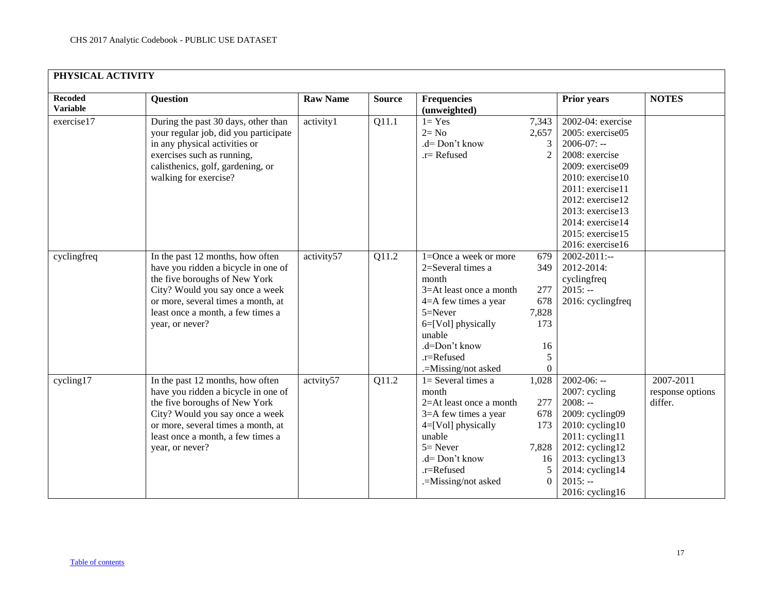<span id="page-16-0"></span>

| <b>Recoded</b><br><b>Variable</b> | <b>Question</b>                       | <b>Raw Name</b> | <b>Source</b> | <b>Frequencies</b><br>(unweighted) |                | <b>Prior years</b>     | <b>NOTES</b>     |
|-----------------------------------|---------------------------------------|-----------------|---------------|------------------------------------|----------------|------------------------|------------------|
| exercise17                        | During the past 30 days, other than   | activity1       | Q11.1         | $1 = Yes$                          | 7,343          | 2002-04: exercise      |                  |
|                                   | your regular job, did you participate |                 |               | $2 = No$                           | 2,657          | 2005: exercise05       |                  |
|                                   | in any physical activities or         |                 |               | $d = Don't know$                   | 3              | $2006-07: -$           |                  |
|                                   | exercises such as running,            |                 |               | $.r =$ Refused                     | $\overline{2}$ | 2008: exercise         |                  |
|                                   | calisthenics, golf, gardening, or     |                 |               |                                    |                | 2009: exercise09       |                  |
|                                   | walking for exercise?                 |                 |               |                                    |                | $2010$ : exercise $10$ |                  |
|                                   |                                       |                 |               |                                    |                | $2011:$ exercise11     |                  |
|                                   |                                       |                 |               |                                    |                | 2012: exercise12       |                  |
|                                   |                                       |                 |               |                                    |                | 2013: exercise13       |                  |
|                                   |                                       |                 |               |                                    |                | 2014: exercise14       |                  |
|                                   |                                       |                 |               |                                    |                | $2015$ : exercise15    |                  |
|                                   |                                       |                 |               |                                    |                | 2016: exercise16       |                  |
| cyclingfreq                       | In the past 12 months, how often      | activity57      | Q11.2         | $1 =$ Once a week or more          | 679            | $2002 - 2011$ :--      |                  |
|                                   | have you ridden a bicycle in one of   |                 |               | 2=Several times a                  | 349            | 2012-2014:             |                  |
|                                   | the five boroughs of New York         |                 |               | month                              |                | cyclingfreq            |                  |
|                                   | City? Would you say once a week       |                 |               | 3=At least once a month            | 277            | $2015: -$              |                  |
|                                   | or more, several times a month, at    |                 |               | $4 = A$ few times a year           | 678            | 2016: cyclingfreq      |                  |
|                                   | least once a month, a few times a     |                 |               | $5 =$ Never                        | 7,828          |                        |                  |
|                                   | year, or never?                       |                 |               | $6 = [Vol]$ physically             | 173            |                        |                  |
|                                   |                                       |                 |               | unable                             |                |                        |                  |
|                                   |                                       |                 |               | .d=Don't know                      | 16             |                        |                  |
|                                   |                                       |                 |               | $.r =$ Refused                     | 5              |                        |                  |
|                                   |                                       |                 |               | .=Missing/not asked                | 0              |                        |                  |
| cycling17                         | In the past 12 months, how often      | actvity57       | Q11.2         | $1=$ Several times a               | 1,028          | $2002-06: -$           | 2007-2011        |
|                                   | have you ridden a bicycle in one of   |                 |               | month                              |                | 2007: cycling          | response options |
|                                   | the five boroughs of New York         |                 |               | 2=At least once a month            | 277            | $2008: -$              | differ.          |
|                                   | City? Would you say once a week       |                 |               | 3=A few times a year               | 678            | 2009: cycling09        |                  |
|                                   | or more, several times a month, at    |                 |               | $4=[Vol]$ physically               | 173            | $2010$ : cycling $10$  |                  |
|                                   | least once a month, a few times a     |                 |               | unable                             |                | $2011$ : cycling11     |                  |
|                                   | year, or never?                       |                 |               | $5 =$ Never                        | 7,828          | $2012$ : cycling12     |                  |
|                                   |                                       |                 |               | .d= Don't know                     | 16             | $2013$ : cycling13     |                  |
|                                   |                                       |                 |               | .r=Refused                         | 5              | 2014: cycling14        |                  |
|                                   |                                       |                 |               | .=Missing/not asked                | $\overline{0}$ | $2015: -$              |                  |
|                                   |                                       |                 |               |                                    |                | $2016$ : cycling16     |                  |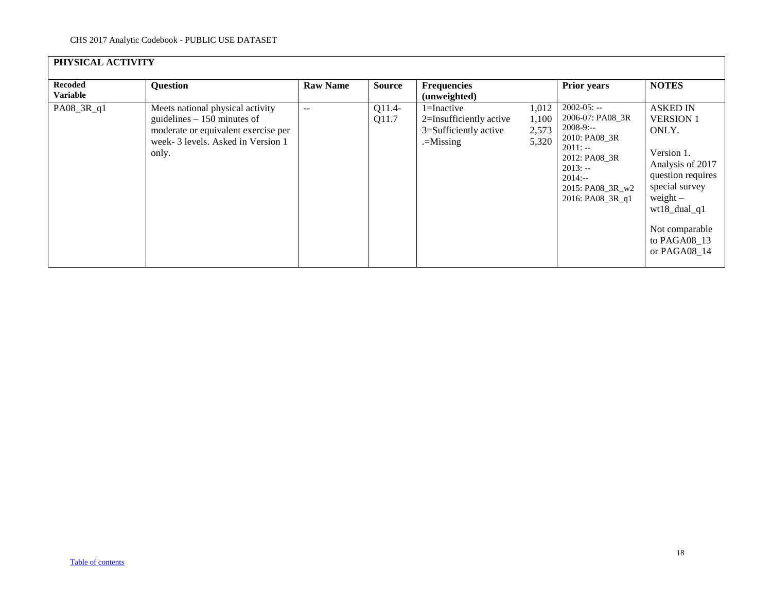|                                   | PHYSICAL ACTIVITY                                                                                                                                     |                 |                   |                                                                                   |                                  |                                                                                                                                                                   |                                                                                                                                                                                                          |  |  |  |  |  |
|-----------------------------------|-------------------------------------------------------------------------------------------------------------------------------------------------------|-----------------|-------------------|-----------------------------------------------------------------------------------|----------------------------------|-------------------------------------------------------------------------------------------------------------------------------------------------------------------|----------------------------------------------------------------------------------------------------------------------------------------------------------------------------------------------------------|--|--|--|--|--|
| <b>Recoded</b><br><b>Variable</b> | <b>Question</b>                                                                                                                                       | <b>Raw Name</b> | Source            | <b>Frequencies</b><br>(unweighted)                                                |                                  | <b>Prior years</b>                                                                                                                                                | <b>NOTES</b>                                                                                                                                                                                             |  |  |  |  |  |
| PA08_3R_q1                        | Meets national physical activity<br>guidelines $-150$ minutes of<br>moderate or equivalent exercise per<br>week-3 levels. Asked in Version 1<br>only. | $- -$           | $Q11.4-$<br>Q11.7 | $1 = Inactive$<br>2=Insufficiently active<br>3=Sufficiently active<br>$=$ Missing | 1,012<br>1,100<br>2,573<br>5,320 | $2002 - 05: -$<br>2006-07: PA08 3R<br>$2008-9:-$<br>2010: PA08_3R<br>$2011: -$<br>2012: PA08 3R<br>$2013: -$<br>$2014: -$<br>2015: PA08_3R_w2<br>2016: PA08_3R_q1 | <b>ASKED IN</b><br><b>VERSION 1</b><br>ONLY.<br>Version 1.<br>Analysis of 2017<br>question requires<br>special survey<br>weight $-$<br>$wt18\_dual_q1$<br>Not comparable<br>to PAGA08 13<br>or PAGA08 14 |  |  |  |  |  |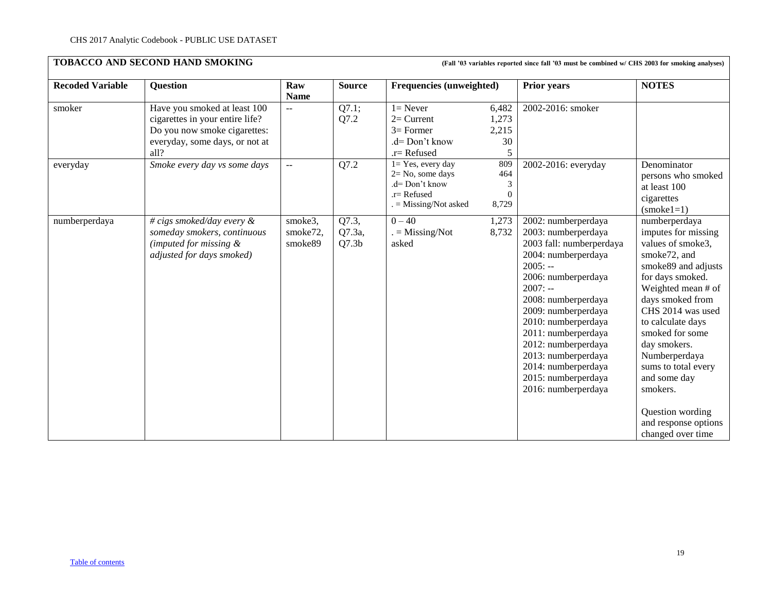<span id="page-18-0"></span>

| <b>Recoded Variable</b> | <b>Question</b>                                                                                                                           | Raw<br><b>Name</b>             | <b>Source</b>                        |                                                                                                            | Frequencies (unweighted)                          |                                                                                                                                                                                                                                                                                                                                                               | <b>NOTES</b>                                                                                                                                                                                                                                                                                                                                                                                  |
|-------------------------|-------------------------------------------------------------------------------------------------------------------------------------------|--------------------------------|--------------------------------------|------------------------------------------------------------------------------------------------------------|---------------------------------------------------|---------------------------------------------------------------------------------------------------------------------------------------------------------------------------------------------------------------------------------------------------------------------------------------------------------------------------------------------------------------|-----------------------------------------------------------------------------------------------------------------------------------------------------------------------------------------------------------------------------------------------------------------------------------------------------------------------------------------------------------------------------------------------|
| smoker                  | Have you smoked at least 100<br>cigarettes in your entire life?<br>Do you now smoke cigarettes:<br>everyday, some days, or not at<br>all? | $-$                            | Q7.1;<br>Q7.2                        | $1 =$ Never<br>$2=$ Current<br>$3=$ Former<br>.d= Don't know<br>$.r =$ Refused                             | 6,482<br>1,273<br>2,215<br>30<br>5                | 2002-2016: smoker                                                                                                                                                                                                                                                                                                                                             |                                                                                                                                                                                                                                                                                                                                                                                               |
| everyday                | Smoke every day vs some days                                                                                                              | $\sim$ $\sim$                  | Q7.2                                 | $1 = Yes$ , every day<br>$2 = No$ , some days<br>.d= Don't know<br>$.r =$ Refused<br>$=$ Missing/Not asked | 809<br>464<br>$\mathfrak{Z}$<br>$\Omega$<br>8,729 | 2002-2016: everyday                                                                                                                                                                                                                                                                                                                                           | Denominator<br>persons who smoked<br>at least 100<br>cigarettes<br>$(smoke1=1)$                                                                                                                                                                                                                                                                                                               |
| numberperdaya           | # cigs smoked/day every $\&$<br>someday smokers, continuous<br>(imputed for missing $\&$<br>adjusted for days smoked)                     | smoke3,<br>smoke72,<br>smoke89 | Q7.3,<br>Q7.3a,<br>Q7.3 <sub>b</sub> | $0 - 40$<br>$=$ Missing/Not<br>asked                                                                       | 1,273<br>8,732                                    | 2002: numberperdaya<br>2003: numberperdaya<br>2003 fall: numberperdaya<br>2004: numberperdaya<br>$2005: -$<br>2006: numberperdaya<br>$2007: -$<br>2008: numberperdaya<br>2009: numberperdaya<br>2010: numberperdaya<br>2011: numberperdaya<br>2012: numberperdaya<br>2013: numberperdaya<br>2014: numberperdaya<br>2015: numberperdaya<br>2016: numberperdaya | numberperdaya<br>imputes for missing<br>values of smoke3,<br>smoke <sub>72</sub> , and<br>smoke89 and adjusts<br>for days smoked.<br>Weighted mean # of<br>days smoked from<br>CHS 2014 was used<br>to calculate days<br>smoked for some<br>day smokers.<br>Numberperdaya<br>sums to total every<br>and some day<br>smokers.<br>Question wording<br>and response options<br>changed over time |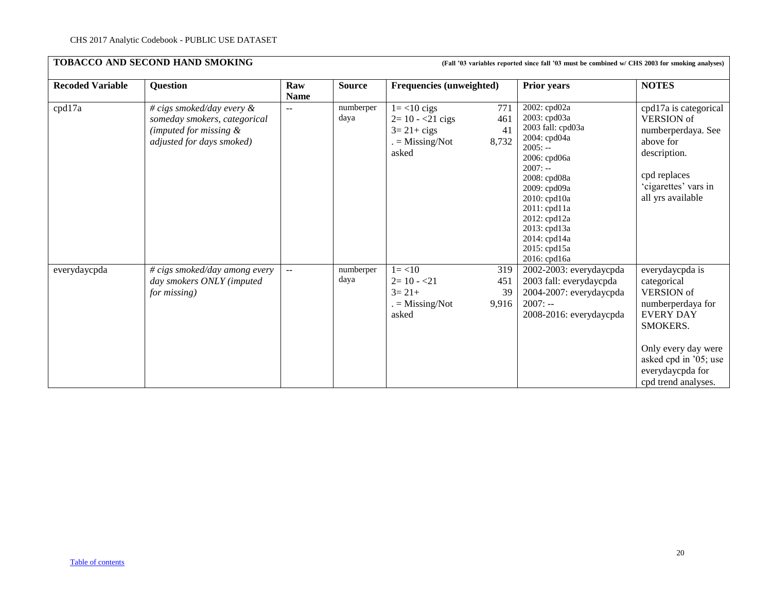| <b>Recoded Variable</b> | <b>Question</b>                                                                                                     | Raw<br><b>Name</b> | <b>Source</b>     | <b>Frequencies (unweighted)</b>                                                        |                           | <b>Prior years</b>                                                                                                                                                                                                                                                | <b>NOTES</b>                                                                                                                                                                                        |
|-------------------------|---------------------------------------------------------------------------------------------------------------------|--------------------|-------------------|----------------------------------------------------------------------------------------|---------------------------|-------------------------------------------------------------------------------------------------------------------------------------------------------------------------------------------------------------------------------------------------------------------|-----------------------------------------------------------------------------------------------------------------------------------------------------------------------------------------------------|
| cpd17a                  | # cigs smoked/day every $\&$<br>someday smokers, categorical<br>(imputed for missing &<br>adjusted for days smoked) | $\sim$ $\sim$      | numberper<br>daya | $1 = < 10$ cigs<br>$2=10 - 21$ cigs<br>$3=21+ \text{cigs}$<br>$=$ Missing/Not<br>asked | 771<br>461<br>41<br>8,732 | 2002: cpd02a<br>2003: cpd03a<br>2003 fall: cpd03a<br>2004: cpd04a<br>$2005: -$<br>2006: cpd06a<br>$2007: -$<br>2008: cpd08a<br>2009: cpd09a<br>2010: cpd10a<br>$2011$ : cpd $11a$<br>2012: cpd12a<br>2013: cpd13a<br>2014: cpd14a<br>2015: cpd15a<br>2016: cpd16a | cpd17a is categorical<br><b>VERSION</b> of<br>numberperdaya. See<br>above for<br>description.<br>cpd replaces<br>'cigarettes' vars in<br>all yrs available                                          |
| everydaycpda            | $\overline{\#}$ cigs smoked/day among every<br>day smokers ONLY (imputed<br>for missing)                            | $\sim$ $\sim$      | numberper<br>daya | $1 = < 10$<br>$2=10 - 21$<br>$3 = 21 +$<br>$=$ Missing/Not<br>asked                    | 319<br>451<br>39<br>9,916 | 2002-2003: everydaycpda<br>2003 fall: everydaycpda<br>2004-2007: everydaycpda<br>$2007: -$<br>2008-2016: everydaycpda                                                                                                                                             | everydaycpda is<br>categorical<br><b>VERSION</b> of<br>numberperdaya for<br><b>EVERY DAY</b><br>SMOKERS.<br>Only every day were<br>asked cpd in '05; use<br>everydaycpda for<br>cpd trend analyses. |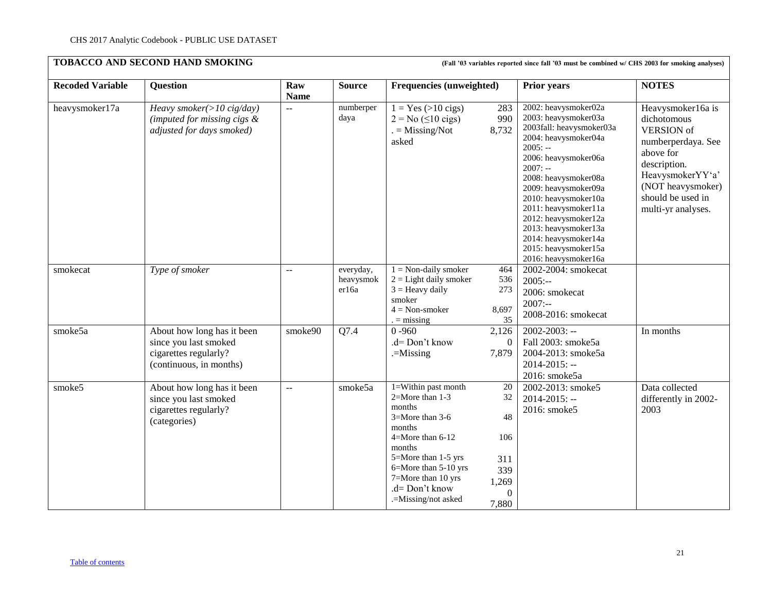|                         |                                                                                                         |                    |                                 |                                                                                                                                                                                                                                  |                                                                   |                                                                                                                                                                                                                                                                                                | <b>NOTES</b>                                                                                                                        |
|-------------------------|---------------------------------------------------------------------------------------------------------|--------------------|---------------------------------|----------------------------------------------------------------------------------------------------------------------------------------------------------------------------------------------------------------------------------|-------------------------------------------------------------------|------------------------------------------------------------------------------------------------------------------------------------------------------------------------------------------------------------------------------------------------------------------------------------------------|-------------------------------------------------------------------------------------------------------------------------------------|
| <b>Recoded Variable</b> | <b>Question</b>                                                                                         | Raw<br><b>Name</b> | <b>Source</b>                   | <b>Frequencies (unweighted)</b>                                                                                                                                                                                                  |                                                                   | <b>Prior years</b>                                                                                                                                                                                                                                                                             |                                                                                                                                     |
| heavysmoker17a          | Heavy smoker( $>$ 10 cig/day)<br>(imputed for missing cigs $\&$<br>adjusted for days smoked)            | $\equiv$           | numberper<br>daya               | $1 = Yes (>10 \text{ cigs})$<br>$2 = No (510 \text{ cigs})$<br>$=$ Missing/Not                                                                                                                                                   | 283<br>990<br>8,732                                               | 2002: heavysmoker02a<br>2003: heavysmoker03a<br>2003fall: heavysmoker03a                                                                                                                                                                                                                       | Heavysmoker16a is<br>dichotomous<br><b>VERSION</b> of                                                                               |
|                         |                                                                                                         |                    |                                 | asked                                                                                                                                                                                                                            |                                                                   | 2004: heavysmoker04a<br>$2005: -$<br>2006: heavysmoker06a<br>$2007: -$<br>2008: heavysmoker08a<br>2009: heavysmoker09a<br>2010: heavysmoker10a<br>2011: heavysmoker11a<br>2012: heavysmoker12a<br>2013: heavysmoker13a<br>2014: heavysmoker14a<br>2015: heavysmoker15a<br>2016: heavysmoker16a | numberperdaya. See<br>above for<br>description.<br>HeavysmokerYY'a'<br>(NOT heavysmoker)<br>should be used in<br>multi-yr analyses. |
| smokecat                | Type of smoker                                                                                          | $\equiv$           | everyday,<br>heavysmok<br>er16a | $1 = Non-daily smoker$<br>$2 =$ Light daily smoker<br>$3 =$ Heavy daily<br>smoker<br>$4 = Non-smoker$<br>$=$ missing                                                                                                             | 464<br>536<br>273<br>8,697<br>35                                  | 2002-2004: smokecat<br>$2005: -$<br>2006: smokecat<br>$2007: -$<br>2008-2016: smokecat                                                                                                                                                                                                         |                                                                                                                                     |
| smoke5a                 | About how long has it been<br>since you last smoked<br>cigarettes regularly?<br>(continuous, in months) | smoke90            | Q7.4                            | $0 - 960$<br>.d= Don't know<br>.=Missing                                                                                                                                                                                         | 2,126<br>$\Omega$<br>7,879                                        | $2002 - 2003$ : --<br>Fall 2003: smoke5a<br>2004-2013: smoke5a<br>$2014 - 2015$ : --<br>2016: smoke5a                                                                                                                                                                                          | In months                                                                                                                           |
| smoke5                  | About how long has it been<br>since you last smoked<br>cigarettes regularly?<br>(categories)            | $\equiv$           | smoke5a                         | $1 =$ Within past month<br>$2=$ More than 1-3<br>months<br>3=More than 3-6<br>months<br>4=More than 6-12<br>months<br>5=More than 1-5 yrs<br>6=More than 5-10 yrs<br>7=More than 10 yrs<br>.d= Don't know<br>.=Missing/not asked | 20<br>32<br>48<br>106<br>311<br>339<br>1,269<br>$\Omega$<br>7,880 | $2002 - 2013$ : smoke5<br>$2014 - 2015$ : --<br>2016: smoke5                                                                                                                                                                                                                                   | Data collected<br>differently in 2002-<br>2003                                                                                      |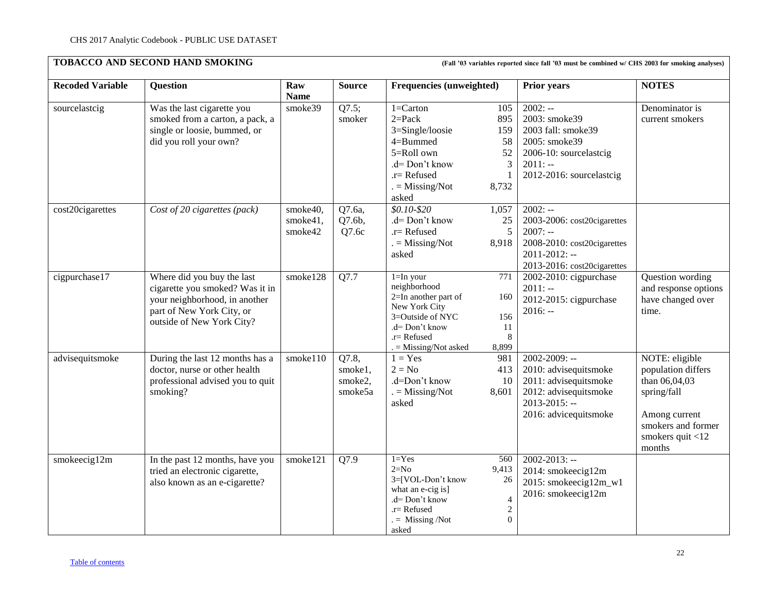| <b>Recoded Variable</b> | <b>Question</b>                                                                                                                                          | Raw<br><b>Name</b>              | <b>Source</b>                          | <b>Frequencies (unweighted)</b>                                                                                                                                                                                     | <b>Prior years</b>                                                                                                                           | <b>NOTES</b>                                                                                                                              |
|-------------------------|----------------------------------------------------------------------------------------------------------------------------------------------------------|---------------------------------|----------------------------------------|---------------------------------------------------------------------------------------------------------------------------------------------------------------------------------------------------------------------|----------------------------------------------------------------------------------------------------------------------------------------------|-------------------------------------------------------------------------------------------------------------------------------------------|
| sourcelastcig           | Was the last cigarette you<br>smoked from a carton, a pack, a<br>single or loosie, bummed, or<br>did you roll your own?                                  | smoke39                         | Q7.5;<br>smoker                        | $1 =$ Carton<br>105<br>$2 = Pack$<br>895<br>3=Single/loosie<br>159<br>4=Bummed<br>58<br>5=Roll own<br>52<br>.d= Don't know<br>$\mathfrak{Z}$<br>$.r =$ Refused<br>$\mathbf{1}$<br>$=$ Missing/Not<br>8,732<br>asked | $2002: -$<br>2003: smoke39<br>2003 fall: smoke39<br>2005: smoke39<br>2006-10: sourcelastcig<br>$2011: -$<br>2012-2016: sourcelastcig         | Denominator is<br>current smokers                                                                                                         |
| cost20cigarettes        | Cost of 20 cigarettes (pack)                                                                                                                             | smoke40,<br>smoke41,<br>smoke42 | Q7.6a,<br>Q7.6b,<br>Q7.6c              | $$0.10 - $20$<br>1,057<br>.d= Don't know<br>25<br>5<br>$.r =$ Refused<br>$=$ Missing/Not<br>8,918<br>asked                                                                                                          | $2002: -$<br>2003-2006: cost20cigarettes<br>$2007: -$<br>2008-2010: cost20cigarettes<br>$2011 - 2012$ : --<br>2013-2016: cost20cigarettes    |                                                                                                                                           |
| cigpurchase17           | Where did you buy the last<br>cigarette you smoked? Was it in<br>your neighborhood, in another<br>part of New York City, or<br>outside of New York City? | smoke128                        | Q7.7                                   | $1=$ In your<br>771<br>neighborhood<br>2=In another part of<br>160<br>New York City<br>3=Outside of NYC<br>156<br>.d= Don't know<br>11<br>8<br>$r =$ Refused<br>. = Missing/Not asked<br>8,899                      | 2002-2010: cigpurchase<br>$2011: -$<br>2012-2015: cigpurchase<br>$2016: -$                                                                   | Question wording<br>and response options<br>have changed over<br>time.                                                                    |
| advisequitsmoke         | During the last 12 months has a<br>doctor, nurse or other health<br>professional advised you to quit<br>smoking?                                         | smoke110                        | Q7.8,<br>smoke1,<br>smoke2,<br>smoke5a | $1 = Yes$<br>981<br>$2 = No$<br>413<br>.d=Don't know<br>10<br>$=$ Missing/Not<br>8,601<br>asked                                                                                                                     | $2002 - 2009$ : --<br>2010: advisequitsmoke<br>2011: advisequitsmoke<br>2012: advisequitsmoke<br>$2013 - 2015$ : --<br>2016: advicequitsmoke | NOTE: eligible<br>population differs<br>than 06,04,03<br>spring/fall<br>Among current<br>smokers and former<br>smokers quit <12<br>months |
| smokeecig12m            | In the past 12 months, have you<br>tried an electronic cigarette,<br>also known as an e-cigarette?                                                       | smoke121                        | Q7.9                                   | $1 = Yes$<br>560<br>$2=N0$<br>9,413<br>3=[VOL-Don't know<br>$26\,$<br>what an e-cig is]<br>.d= Don't know<br>$\overline{4}$<br>$\sqrt{2}$<br>.r= Refused<br>$\mathbf{0}$<br>$=$ Missing /Not<br>asked               | $2002 - 2013$ : --<br>2014: smokeecig12m<br>2015: smokeecig12m_w1<br>2016: smokeecig12m                                                      |                                                                                                                                           |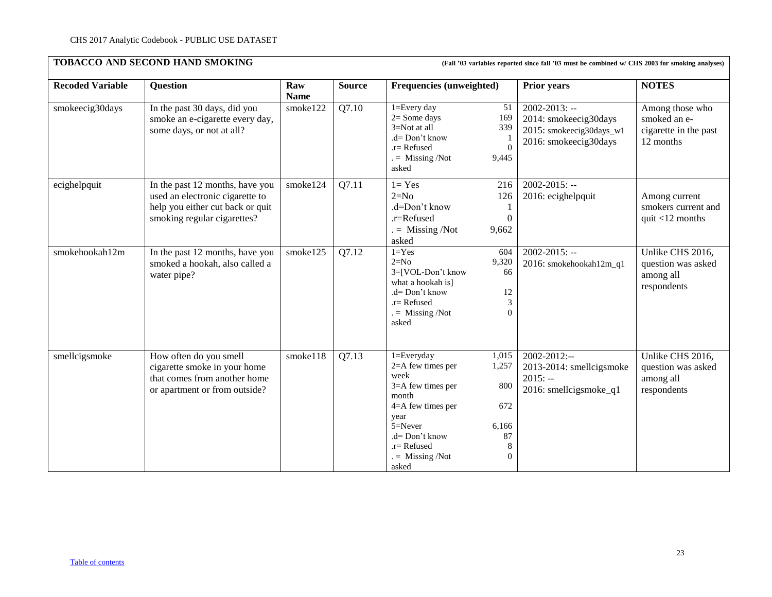## **TOBACCO AND SECOND HAND SMOKING**

| (Fall '03 variables reported since fall '03 must be combined w/ CHS 2003 for smoking analyses) |  |  |
|------------------------------------------------------------------------------------------------|--|--|
|------------------------------------------------------------------------------------------------|--|--|

| <b>Recoded Variable</b> |                                                                                                                                       | Raw         | <b>Source</b> |                                                                                                                                                                                                                                                              |                                                                                                  | <b>NOTES</b>                                                          |
|-------------------------|---------------------------------------------------------------------------------------------------------------------------------------|-------------|---------------|--------------------------------------------------------------------------------------------------------------------------------------------------------------------------------------------------------------------------------------------------------------|--------------------------------------------------------------------------------------------------|-----------------------------------------------------------------------|
|                         | <b>Question</b>                                                                                                                       | <b>Name</b> |               | <b>Frequencies (unweighted)</b>                                                                                                                                                                                                                              | <b>Prior years</b>                                                                               |                                                                       |
| smokeecig30days         | In the past 30 days, did you<br>smoke an e-cigarette every day,<br>some days, or not at all?                                          | smoke122    | Q7.10         | $1 = Every day$<br>51<br>$2 = Some days$<br>169<br>3=Not at all<br>339<br>$d = Don't know$<br>$\overline{0}$<br>.r= Refused<br>$=$ Missing /Not<br>9,445<br>asked                                                                                            | $2002 - 2013$ : --<br>2014: smokeecig30days<br>2015: smokeecig30days_w1<br>2016: smokeecig30days | Among those who<br>smoked an e-<br>cigarette in the past<br>12 months |
| ecighelpquit            | In the past 12 months, have you<br>used an electronic cigarette to<br>help you either cut back or quit<br>smoking regular cigarettes? | smoke124    | Q7.11         | $1 = Yes$<br>216<br>$2=N0$<br>126<br>.d=Don't know<br>.r=Refused<br>$\boldsymbol{0}$<br>$=$ Missing /Not<br>9,662<br>asked                                                                                                                                   | $2002 - 2015$ : --<br>2016: ecighelpquit                                                         | Among current<br>smokers current and<br>quit $<$ 12 months            |
| smokehookah12m          | In the past 12 months, have you<br>smoked a hookah, also called a<br>water pipe?                                                      | smoke125    | Q7.12         | $1 = Yes$<br>604<br>$2=N0$<br>9,320<br>3=[VOL-Don't know<br>66<br>what a hookah is]<br>.d= Don't know<br>12<br>3<br>$r =$ Refused<br>$\theta$<br>$=$ Missing /Not<br>asked                                                                                   | $2002 - 2015$ : --<br>2016: smokehookah12m_q1                                                    | Unlike CHS 2016,<br>question was asked<br>among all<br>respondents    |
| smellcigsmoke           | How often do you smell<br>cigarette smoke in your home<br>that comes from another home<br>or apartment or from outside?               | smoke118    | Q7.13         | $1 = Every day$<br>1,015<br>2=A few times per<br>1,257<br>week<br>$3=$ A few times per<br>800<br>month<br>4=A few times per<br>672<br>year<br>$5 =$ Never<br>6,166<br>$d = Don't know$<br>87<br>8<br>$.r =$ Refused<br>$=$ Missing /Not<br>$\theta$<br>asked | $2002 - 2012$ :--<br>2013-2014: smellcigsmoke<br>$2015: -$<br>2016: smellcigsmoke_q1             | Unlike CHS 2016,<br>question was asked<br>among all<br>respondents    |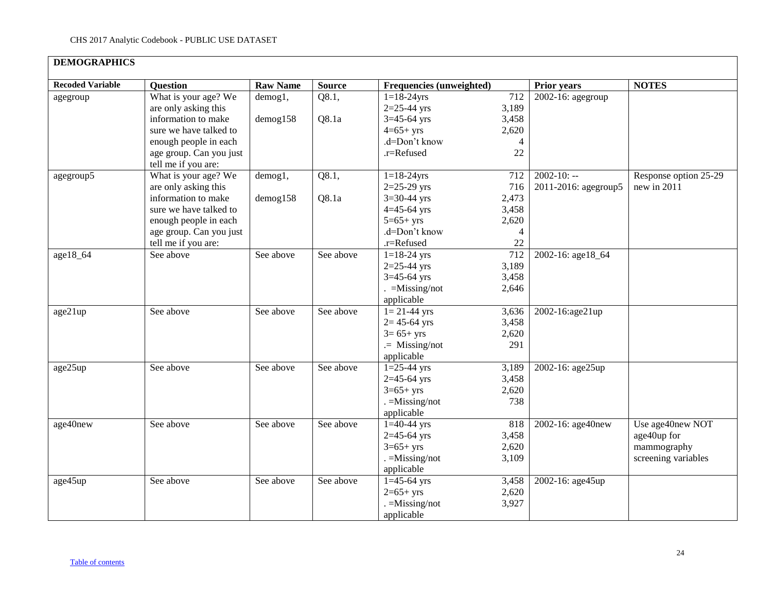<span id="page-23-0"></span>

| <b>DEMOGRAPHICS</b>     |                         |                 |               |                          |                |                      |                       |
|-------------------------|-------------------------|-----------------|---------------|--------------------------|----------------|----------------------|-----------------------|
| <b>Recoded Variable</b> | <b>Question</b>         | <b>Raw Name</b> | <b>Source</b> | Frequencies (unweighted) |                | Prior years          | <b>NOTES</b>          |
| agegroup                | What is your age? We    | demog1,         | Q8.1,         | $1 = 18 - 24$ yrs        | 712            | 2002-16: agegroup    |                       |
|                         | are only asking this    |                 |               | $2=25-44$ yrs            | 3,189          |                      |                       |
|                         | information to make     | demog158        | Q8.1a         | $3=45-64$ yrs            | 3,458          |                      |                       |
|                         | sure we have talked to  |                 |               | $4=65+yrs$               | 2,620          |                      |                       |
|                         | enough people in each   |                 |               | .d=Don't know            | $\overline{4}$ |                      |                       |
|                         | age group. Can you just |                 |               | .r=Refused               | 22             |                      |                       |
|                         | tell me if you are:     |                 |               |                          |                |                      |                       |
| agegroup5               | What is your age? We    | demog1,         | Q8.1,         | $1 = 18 - 24$ yrs        | 712            | $2002 - 10: -$       | Response option 25-29 |
|                         | are only asking this    |                 |               | $2=25-29$ yrs            | 716            | 2011-2016: agegroup5 | new in 2011           |
|                         | information to make     | $d$ emog $158$  | Q8.1a         | $3=30-44$ yrs            | 2,473          |                      |                       |
|                         | sure we have talked to  |                 |               | $4 = 45 - 64$ yrs        | 3,458          |                      |                       |
|                         | enough people in each   |                 |               | $5=65+yrs$               | 2,620          |                      |                       |
|                         | age group. Can you just |                 |               | .d=Don't know            | $\overline{4}$ |                      |                       |
|                         | tell me if you are:     |                 |               | .r=Refused               | 22             |                      |                       |
| age18_64                | See above               | See above       | See above     | $1=18-24$ yrs            | 712            | 2002-16: age18_64    |                       |
|                         |                         |                 |               | $2=25-44$ yrs            | 3,189          |                      |                       |
|                         |                         |                 |               | $3=45-64$ yrs            | 3,458          |                      |                       |
|                         |                         |                 |               | $=$ Missing/not          | 2,646          |                      |                       |
|                         |                         |                 |               | applicable               |                |                      |                       |
| age21up                 | See above               | See above       | See above     | $1 = 21 - 44$ yrs        | 3,636          | 2002-16:age21up      |                       |
|                         |                         |                 |               | $2 = 45 - 64$ yrs        | 3,458          |                      |                       |
|                         |                         |                 |               | $3 = 65 + yrs$           | 2,620          |                      |                       |
|                         |                         |                 |               | $=$ Missing/not          | 291            |                      |                       |
|                         |                         |                 |               | applicable               |                |                      |                       |
| age25up                 | See above               | See above       | See above     | $1=25-44$ yrs            | 3,189          | 2002-16: age25up     |                       |
|                         |                         |                 |               | $2=45-64$ yrs            | 3,458          |                      |                       |
|                         |                         |                 |               | $3=65+$ yrs              | 2,620          |                      |                       |
|                         |                         |                 |               | $=$ Missing/not          | 738            |                      |                       |
|                         |                         |                 |               | applicable               |                |                      |                       |
| age40new                | See above               | See above       | See above     | $1=40-44$ yrs            | 818            | 2002-16: age40new    | Use age40new NOT      |
|                         |                         |                 |               | $2=45-64$ yrs            | 3,458          |                      | age40up for           |
|                         |                         |                 |               | $3=65+yrs$               | 2,620          |                      | mammography           |
|                         |                         |                 |               | $=$ Missing/not          | 3,109          |                      | screening variables   |
|                         |                         |                 |               | applicable               |                |                      |                       |
| age45up                 | See above               | See above       | See above     | $1=45-64$ yrs            | 3,458          | 2002-16: age45up     |                       |
|                         |                         |                 |               | $2=65+yrs$               | 2,620          |                      |                       |
|                         |                         |                 |               | $=$ Missing/not          | 3,927          |                      |                       |
|                         |                         |                 |               | applicable               |                |                      |                       |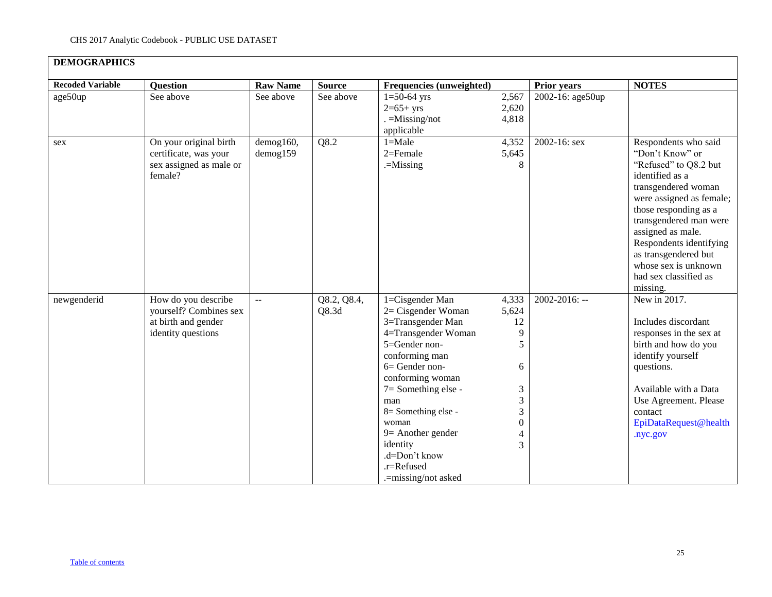| <b>DEMOGRAPHICS</b>     |                                                                                            |                             |                      |                                                                                                                                                                                                                                                                                                                          |                                                                                  |                    |                                                                                                                                                                                                                                                                                                                                |
|-------------------------|--------------------------------------------------------------------------------------------|-----------------------------|----------------------|--------------------------------------------------------------------------------------------------------------------------------------------------------------------------------------------------------------------------------------------------------------------------------------------------------------------------|----------------------------------------------------------------------------------|--------------------|--------------------------------------------------------------------------------------------------------------------------------------------------------------------------------------------------------------------------------------------------------------------------------------------------------------------------------|
| <b>Recoded Variable</b> | <b>Question</b>                                                                            | <b>Raw Name</b>             | <b>Source</b>        | Frequencies (unweighted)                                                                                                                                                                                                                                                                                                 |                                                                                  | <b>Prior years</b> | <b>NOTES</b>                                                                                                                                                                                                                                                                                                                   |
| age50up                 | See above                                                                                  | See above                   | See above            | $1=50-64$ yrs<br>$2=65+yrs$<br>$=$ Missing/not<br>applicable                                                                                                                                                                                                                                                             | 2,567<br>2,620<br>4,818                                                          | 2002-16: age50up   |                                                                                                                                                                                                                                                                                                                                |
| sex                     | On your original birth<br>certificate, was your<br>sex assigned as male or<br>female?      | demog160,<br>$d$ emog $159$ | Q8.2                 | $1 = Male$<br>$2 =$ Female<br>$=$ Missing                                                                                                                                                                                                                                                                                | 4,352<br>5,645<br>8                                                              | 2002-16: sex       | Respondents who said<br>"Don't Know" or<br>"Refused" to Q8.2 but<br>identified as a<br>transgendered woman<br>were assigned as female;<br>those responding as a<br>transgendered man were<br>assigned as male.<br>Respondents identifying<br>as transgendered but<br>whose sex is unknown<br>had sex classified as<br>missing. |
| newgenderid             | How do you describe<br>yourself? Combines sex<br>at birth and gender<br>identity questions | $\mathbb{L}^{\mathbb{L}}$   | Q8.2, Q8.4,<br>Q8.3d | 1=Cisgender Man<br>2= Cisgender Woman<br>3=Transgender Man<br>4=Transgender Woman<br>5=Gender non-<br>conforming man<br>6= Gender non-<br>conforming woman<br>$7 =$ Something else -<br>man<br>$8 =$ Something else -<br>woman<br>$9$ = Another gender<br>identity<br>.d=Don't know<br>.r=Refused<br>.=missing/not asked | 4,333<br>5,624<br>12<br>9<br>5<br>6<br>3<br>3<br>3<br>$\boldsymbol{0}$<br>4<br>3 | $2002 - 2016$ : -- | New in 2017.<br>Includes discordant<br>responses in the sex at<br>birth and how do you<br>identify yourself<br>questions.<br>Available with a Data<br>Use Agreement. Please<br>contact<br>EpiDataRequest@health<br>.nyc.gov                                                                                                    |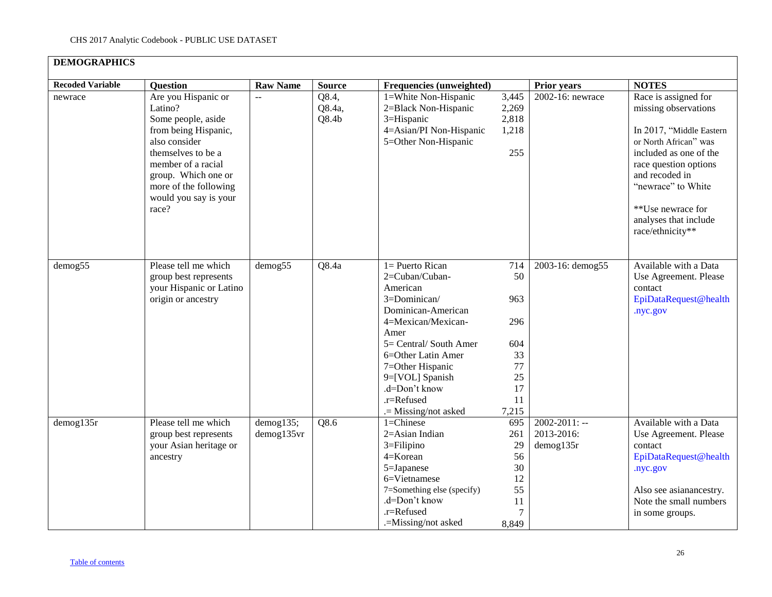| <b>DEMOGRAPHICS</b>     |                                                                                                                                                                                                                             |                         |                                      |                                                                                                                                                                                                                                                                    |                                                                       |                                               |                                                                                                                                                                                                                                                                |
|-------------------------|-----------------------------------------------------------------------------------------------------------------------------------------------------------------------------------------------------------------------------|-------------------------|--------------------------------------|--------------------------------------------------------------------------------------------------------------------------------------------------------------------------------------------------------------------------------------------------------------------|-----------------------------------------------------------------------|-----------------------------------------------|----------------------------------------------------------------------------------------------------------------------------------------------------------------------------------------------------------------------------------------------------------------|
| <b>Recoded Variable</b> | <b>Question</b>                                                                                                                                                                                                             | <b>Raw Name</b>         | <b>Source</b>                        | Frequencies (unweighted)                                                                                                                                                                                                                                           |                                                                       | <b>Prior years</b>                            | <b>NOTES</b>                                                                                                                                                                                                                                                   |
| newrace                 | Are you Hispanic or<br>Latino?<br>Some people, aside<br>from being Hispanic,<br>also consider<br>themselves to be a<br>member of a racial<br>group. Which one or<br>more of the following<br>would you say is your<br>race? | $\mathbb{L}^2$          | Q8.4,<br>Q8.4a,<br>Q8.4 <sub>b</sub> | 1=White Non-Hispanic<br>2=Black Non-Hispanic<br>3=Hispanic<br>4=Asian/PI Non-Hispanic<br>5=Other Non-Hispanic                                                                                                                                                      | 3,445<br>2,269<br>2,818<br>1,218<br>255                               | $2002-16$ : newrace                           | Race is assigned for<br>missing observations<br>In 2017, "Middle Eastern<br>or North African" was<br>included as one of the<br>race question options<br>and recoded in<br>"newrace" to White<br>**Use newrace for<br>analyses that include<br>race/ethnicity** |
| demog55                 | Please tell me which<br>group best represents<br>your Hispanic or Latino<br>origin or ancestry                                                                                                                              | demog55                 | Q8.4a                                | $1 =$ Puerto Rican<br>2=Cuban/Cuban-<br>American<br>3=Dominican/<br>Dominican-American<br>4=Mexican/Mexican-<br>Amer<br>5= Central/South Amer<br>6=Other Latin Amer<br>7=Other Hispanic<br>9=[VOL] Spanish<br>.d=Don't know<br>.r=Refused<br>$=$ Missing/not asked | 714<br>50<br>963<br>296<br>604<br>33<br>77<br>25<br>17<br>11<br>7,215 | 2003-16: demog55                              | Available with a Data<br>Use Agreement. Please<br>contact<br>EpiDataRequest@health<br>.nyc.gov                                                                                                                                                                 |
| $d$ emog135 $r$         | Please tell me which<br>group best represents<br>your Asian heritage or<br>ancestry                                                                                                                                         | demog135;<br>demog135vr | Q8.6                                 | 1=Chinese<br>2=Asian Indian<br>$3 =$ Filipino<br>4=Korean<br>5=Japanese<br>6=Vietnamese<br>7=Something else (specify)<br>.d=Don't know<br>.r=Refused<br>.=Missing/not asked                                                                                        | 695<br>261<br>29<br>56<br>30<br>12<br>55<br>11<br>$\tau$<br>8,849     | $2002 - 2011$ : --<br>2013-2016:<br>demog135r | Available with a Data<br>Use Agreement. Please<br>contact<br>EpiDataRequest@health<br>.nyc.gov<br>Also see asianancestry.<br>Note the small numbers<br>in some groups.                                                                                         |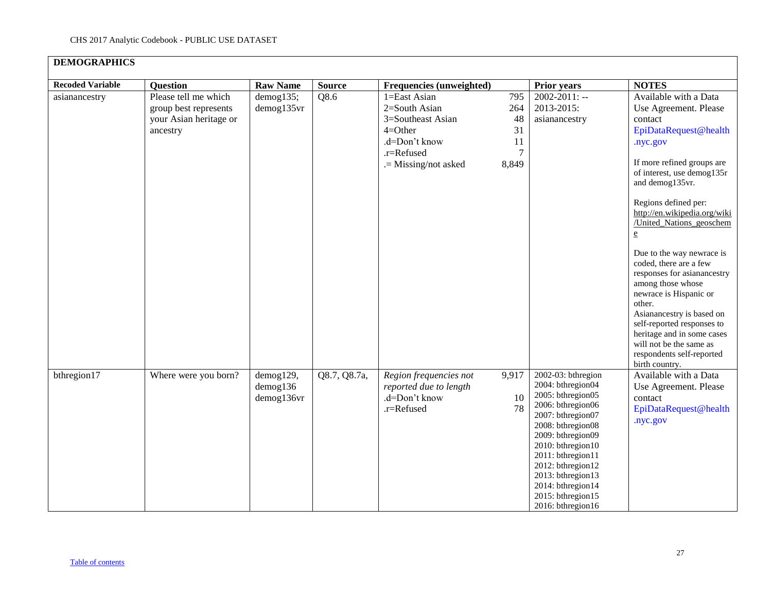| <b>DEMOGRAPHICS</b>     |                                                                                     |                                           |               |                                                                                                                        |                                            |                                                                                                                                                                                                                                                                                                     |                                                                                                                                                                                                                                                                                                                                                                                                                                                                                                                                                                                                                 |
|-------------------------|-------------------------------------------------------------------------------------|-------------------------------------------|---------------|------------------------------------------------------------------------------------------------------------------------|--------------------------------------------|-----------------------------------------------------------------------------------------------------------------------------------------------------------------------------------------------------------------------------------------------------------------------------------------------------|-----------------------------------------------------------------------------------------------------------------------------------------------------------------------------------------------------------------------------------------------------------------------------------------------------------------------------------------------------------------------------------------------------------------------------------------------------------------------------------------------------------------------------------------------------------------------------------------------------------------|
| <b>Recoded Variable</b> | <b>Question</b>                                                                     | <b>Raw Name</b>                           | <b>Source</b> | Frequencies (unweighted)                                                                                               |                                            | <b>Prior years</b>                                                                                                                                                                                                                                                                                  | <b>NOTES</b>                                                                                                                                                                                                                                                                                                                                                                                                                                                                                                                                                                                                    |
| asianancestry           | Please tell me which<br>group best represents<br>your Asian heritage or<br>ancestry | demog135;<br>demog135vr                   | Q8.6          | 1=East Asian<br>2=South Asian<br>3=Southeast Asian<br>$4=Other$<br>.d=Don't know<br>.r=Refused<br>.= Missing/not asked | 795<br>264<br>48<br>31<br>11<br>7<br>8,849 | $2002 - 2011$ : --<br>2013-2015:<br>asianancestry                                                                                                                                                                                                                                                   | Available with a Data<br>Use Agreement. Please<br>contact<br>EpiDataRequest@health<br>.nyc.gov<br>If more refined groups are<br>of interest, use demog135r<br>and demog135vr.<br>Regions defined per:<br>http://en.wikipedia.org/wiki<br>/United Nations geoschem<br>$\underline{\mathbf{e}}$<br>Due to the way newrace is<br>coded, there are a few<br>responses for asianancestry<br>among those whose<br>newrace is Hispanic or<br>other.<br>Asianancestry is based on<br>self-reported responses to<br>heritage and in some cases<br>will not be the same as<br>respondents self-reported<br>birth country. |
| bthregion17             | Where were you born?                                                                | demog129,<br>$d$ emog $136$<br>demog136vr | Q8.7, Q8.7a,  | Region frequencies not<br>reported due to length<br>.d=Don't know<br>.r=Refused                                        | 9,917<br>10<br>78                          | 2002-03: bthregion<br>2004: bthregion04<br>2005: bthregion05<br>2006: bthregion06<br>2007: bthregion07<br>2008: bthregion08<br>2009: bthregion09<br>2010: bthregion10<br>2011: bthregion11<br>2012: bthregion12<br>2013: bthregion13<br>2014: bthregion14<br>2015: bthregion15<br>2016: bthregion16 | Available with a Data<br>Use Agreement. Please<br>contact<br>EpiDataRequest@health<br>.nyc.gov                                                                                                                                                                                                                                                                                                                                                                                                                                                                                                                  |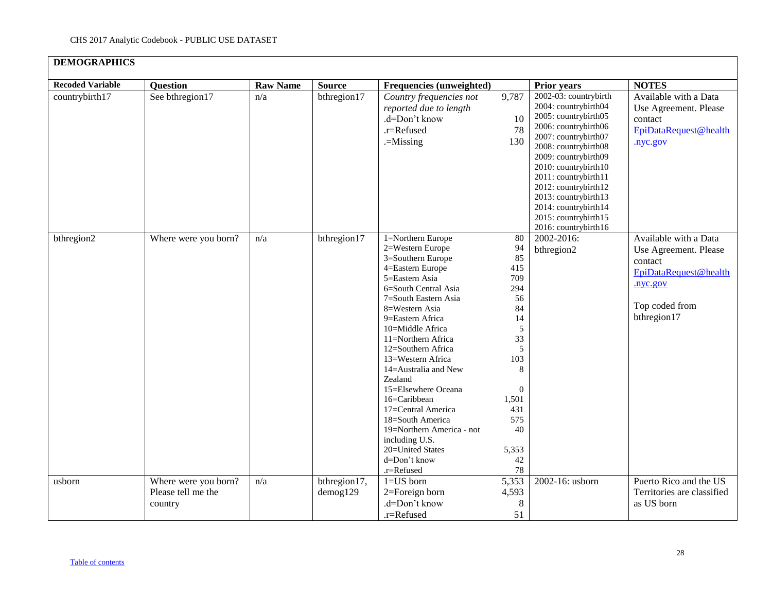| <b>DEMOGRAPHICS</b>     |                                                       |                 |                          |                                                                                                                                                                                                                                                                                                                                                                                                                                                                                                  |                                                                                                                                                             |                                                                                                                                                                                                                                                                                                                                               |                                                                                                                                 |
|-------------------------|-------------------------------------------------------|-----------------|--------------------------|--------------------------------------------------------------------------------------------------------------------------------------------------------------------------------------------------------------------------------------------------------------------------------------------------------------------------------------------------------------------------------------------------------------------------------------------------------------------------------------------------|-------------------------------------------------------------------------------------------------------------------------------------------------------------|-----------------------------------------------------------------------------------------------------------------------------------------------------------------------------------------------------------------------------------------------------------------------------------------------------------------------------------------------|---------------------------------------------------------------------------------------------------------------------------------|
| <b>Recoded Variable</b> | <b>Question</b>                                       | <b>Raw Name</b> | <b>Source</b>            | Frequencies (unweighted)                                                                                                                                                                                                                                                                                                                                                                                                                                                                         |                                                                                                                                                             | <b>Prior years</b>                                                                                                                                                                                                                                                                                                                            | <b>NOTES</b>                                                                                                                    |
| countrybirth17          | See bthregion17                                       | n/a             | bthregion17              | Country frequencies not<br>reported due to length<br>.d=Don't know<br>.r=Refused<br>$=$ Missing                                                                                                                                                                                                                                                                                                                                                                                                  | 9,787<br>10<br>78<br>130                                                                                                                                    | 2002-03: countrybirth<br>2004: countrybirth04<br>2005: countrybirth05<br>2006: countrybirth06<br>2007: countrybirth07<br>2008: countrybirth08<br>2009: countrybirth09<br>2010: countrybirth10<br>2011: countrybirth11<br>2012: countrybirth12<br>2013: countrybirth13<br>2014: countrybirth14<br>2015: countrybirth15<br>2016: countrybirth16 | Available with a Data<br>Use Agreement. Please<br>contact<br>EpiDataRequest@health<br>.nyc.gov                                  |
| bthregion2              | Where were you born?                                  | n/a             | bthregion17              | 1=Northern Europe<br>2=Western Europe<br>3=Southern Europe<br>4=Eastern Europe<br>5=Eastern Asia<br>6=South Central Asia<br>7=South Eastern Asia<br>8=Western Asia<br>9=Eastern Africa<br>10=Middle Africa<br>11=Northern Africa<br>12=Southern Africa<br>13=Western Africa<br>14=Australia and New<br>Zealand<br>15=Elsewhere Oceana<br>16=Caribbean<br>17=Central America<br>18=South America<br>19=Northern America - not<br>including U.S.<br>20=United States<br>d=Don't know<br>.r=Refused | $80\,$<br>94<br>85<br>415<br>709<br>294<br>56<br>84<br>14<br>5<br>33<br>5<br>103<br>8<br>$\mathbf{0}$<br>1,501<br>431<br>575<br>40<br>5,353<br>$42\,$<br>78 | 2002-2016:<br>bthregion2                                                                                                                                                                                                                                                                                                                      | Available with a Data<br>Use Agreement. Please<br>contact<br>EpiDataRequest@health<br>.nyc.gov<br>Top coded from<br>bthregion17 |
| usborn                  | Where were you born?<br>Please tell me the<br>country | n/a             | bthregion17,<br>demog129 | $1 = US$ born<br>2=Foreign born<br>.d=Don't know<br>.r=Refused                                                                                                                                                                                                                                                                                                                                                                                                                                   | 5,353<br>4,593<br>$\,8\,$<br>51                                                                                                                             | 2002-16: usborn                                                                                                                                                                                                                                                                                                                               | Puerto Rico and the US<br>Territories are classified<br>as US born                                                              |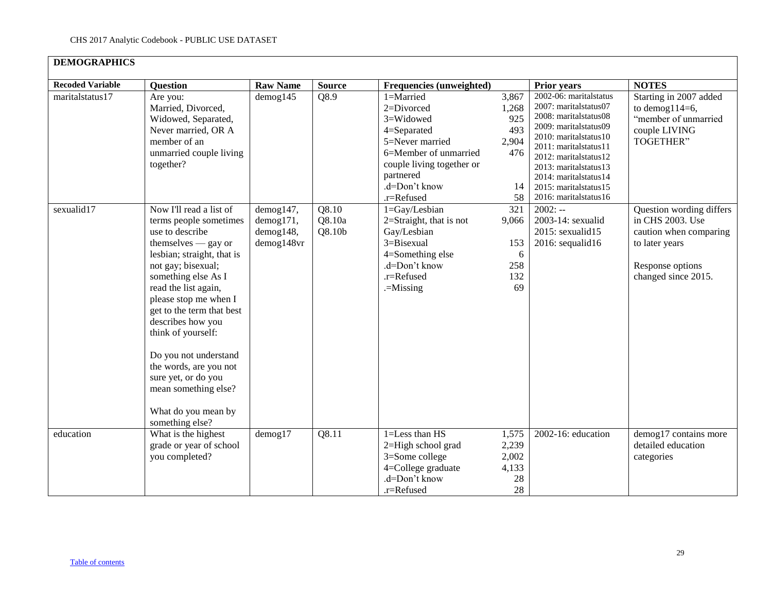| <b>DEMOGRAPHICS</b>     |                                                                                                                                                                                                                                                                                                                                                                                                                                             |                                                          |                                       |                                                                                                                                                                             |                                                          |                                                                                                                                                                                                                                                                                    |                                                                                                                                     |
|-------------------------|---------------------------------------------------------------------------------------------------------------------------------------------------------------------------------------------------------------------------------------------------------------------------------------------------------------------------------------------------------------------------------------------------------------------------------------------|----------------------------------------------------------|---------------------------------------|-----------------------------------------------------------------------------------------------------------------------------------------------------------------------------|----------------------------------------------------------|------------------------------------------------------------------------------------------------------------------------------------------------------------------------------------------------------------------------------------------------------------------------------------|-------------------------------------------------------------------------------------------------------------------------------------|
| <b>Recoded Variable</b> | <b>Question</b>                                                                                                                                                                                                                                                                                                                                                                                                                             | <b>Raw Name</b>                                          | <b>Source</b>                         | Frequencies (unweighted)                                                                                                                                                    |                                                          | <b>Prior years</b>                                                                                                                                                                                                                                                                 | <b>NOTES</b>                                                                                                                        |
| maritalstatus17         | Are you:<br>Married, Divorced,<br>Widowed, Separated,<br>Never married, OR A<br>member of an<br>unmarried couple living<br>together?                                                                                                                                                                                                                                                                                                        | $d$ emog $145$                                           | Q8.9                                  | 1=Married<br>$2 = Divored$<br>3=Widowed<br>4=Separated<br>5=Never married<br>6=Member of unmarried<br>couple living together or<br>partnered<br>.d=Don't know<br>.r=Refused | 3,867<br>1,268<br>925<br>493<br>2,904<br>476<br>14<br>58 | 2002-06: maritalstatus<br>2007: maritalstatus07<br>2008: maritalstatus08<br>2009: maritalstatus09<br>2010: maritalstatus10<br>2011: maritalstatus11<br>2012: maritalstatus12<br>2013: maritalstatus13<br>2014: maritalstatus14<br>2015: maritalstatus15<br>2016: marital status 16 | Starting in 2007 added<br>to demog $114=6$ ,<br>"member of unmarried<br>couple LIVING<br><b>TOGETHER</b> "                          |
| sexualid17              | Now I'll read a list of<br>terms people sometimes<br>use to describe<br>themselves - gay or<br>lesbian; straight, that is<br>not gay; bisexual;<br>something else As I<br>read the list again,<br>please stop me when I<br>get to the term that best<br>describes how you<br>think of yourself:<br>Do you not understand<br>the words, are you not<br>sure yet, or do you<br>mean something else?<br>What do you mean by<br>something else? | demog147,<br>demog171,<br>$d$ emog $148$ ,<br>demog148vr | Q8.10<br>Q8.10a<br>Q8.10 <sub>b</sub> | 1=Gay/Lesbian<br>$2=Straight$ , that is not<br>Gay/Lesbian<br>3=Bisexual<br>4=Something else<br>.d=Don't know<br>.r=Refused<br>$=$ Missing                                  | 321<br>9,066<br>153<br>6<br>258<br>132<br>69             | $2002: -$<br>2003-14: sexualid<br>2015: sexualid15<br>2016: sequalid16                                                                                                                                                                                                             | Question wording differs<br>in CHS 2003. Use<br>caution when comparing<br>to later years<br>Response options<br>changed since 2015. |
| education               | What is the highest<br>grade or year of school<br>you completed?                                                                                                                                                                                                                                                                                                                                                                            | $d$ emog $17$                                            | Q8.11                                 | $1 =$ Less than $HS$<br>2=High school grad<br>3=Some college<br>4=College graduate<br>.d=Don't know<br>.r=Refused                                                           | 1,575<br>2,239<br>2,002<br>4,133<br>28<br>28             | 2002-16: education                                                                                                                                                                                                                                                                 | demog17 contains more<br>detailed education<br>categories                                                                           |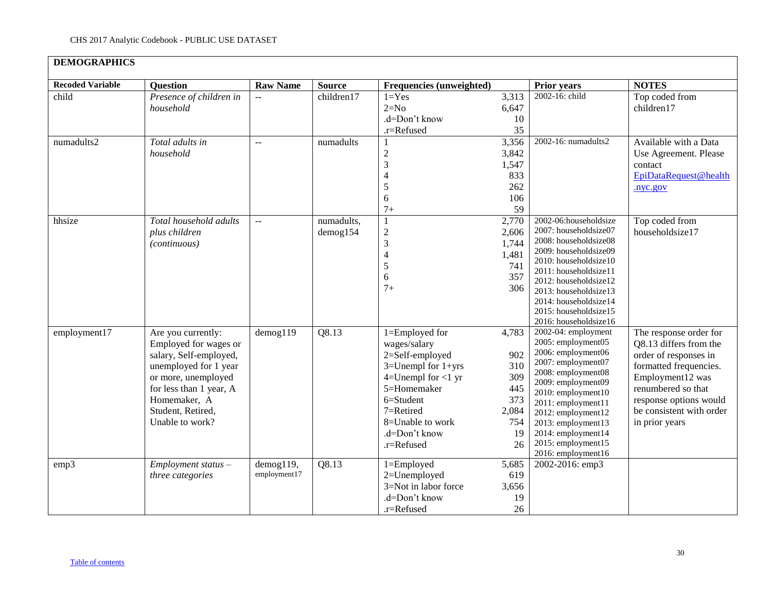| <b>DEMOGRAPHICS</b>     |                                                                                                                                                                                                          |                           |                        |                                                                                                                                                                                                           |                                                                      |                                                                                                                                                                                                                                                                                             |                                                                                                                                                                                                                       |
|-------------------------|----------------------------------------------------------------------------------------------------------------------------------------------------------------------------------------------------------|---------------------------|------------------------|-----------------------------------------------------------------------------------------------------------------------------------------------------------------------------------------------------------|----------------------------------------------------------------------|---------------------------------------------------------------------------------------------------------------------------------------------------------------------------------------------------------------------------------------------------------------------------------------------|-----------------------------------------------------------------------------------------------------------------------------------------------------------------------------------------------------------------------|
| <b>Recoded Variable</b> | <b>Question</b>                                                                                                                                                                                          | <b>Raw Name</b>           | <b>Source</b>          | Frequencies (unweighted)                                                                                                                                                                                  |                                                                      | <b>Prior years</b>                                                                                                                                                                                                                                                                          | <b>NOTES</b>                                                                                                                                                                                                          |
| child                   | Presence of children in<br>household                                                                                                                                                                     | $\overline{a}$            | children17             | $1 = Yes$<br>$2=N0$<br>.d=Don't know<br>.r=Refused                                                                                                                                                        | 3,313<br>6,647<br>10<br>35                                           | 2002-16: child                                                                                                                                                                                                                                                                              | Top coded from<br>children17                                                                                                                                                                                          |
| numadults2              | Total adults in<br>household                                                                                                                                                                             | $\mathbf{u} =$            | numadults              | -1<br>$\overline{c}$<br>$\overline{3}$<br>$\overline{4}$<br>5<br>6<br>$7+$                                                                                                                                | 3,356<br>3,842<br>1,547<br>833<br>262<br>106<br>59                   | 2002-16: numadults2                                                                                                                                                                                                                                                                         | Available with a Data<br>Use Agreement. Please<br>contact<br>EpiDataRequest@health<br>.nyc.gov                                                                                                                        |
| hhsize                  | Total household adults<br>plus children<br>(continuous)                                                                                                                                                  | $\overline{a}$            | numadults,<br>demog154 | $\mathbf{1}$<br>$\sqrt{2}$<br>3<br>$\overline{4}$<br>5<br>6<br>$7^{+}$                                                                                                                                    | 2,770<br>2,606<br>1,744<br>1,481<br>741<br>357<br>306                | 2002-06:householdsize<br>2007: householdsize07<br>2008: householdsize08<br>2009: householdsize09<br>2010: householdsize10<br>2011: householdsize11<br>2012: householdsize12<br>2013: householdsize13<br>2014: householdsize14<br>2015: householdsize15<br>2016: householdsize16             | Top coded from<br>householdsize17                                                                                                                                                                                     |
| employment17            | Are you currently:<br>Employed for wages or<br>salary, Self-employed,<br>unemployed for 1 year<br>or more, unemployed<br>for less than 1 year, A<br>Homemaker, A<br>Student, Retired,<br>Unable to work? | $d$ emog $119$            | Q8.13                  | 1=Employed for<br>wages/salary<br>2=Self-employed<br>$3=$ Unempl for $1+$ yrs<br>$4=$ Unempl for $<$ 1 yr<br>5=Homemaker<br>6=Student<br>$7 =$ Retired<br>8=Unable to work<br>.d=Don't know<br>.r=Refused | 4,783<br>902<br>310<br>309<br>445<br>373<br>2,084<br>754<br>19<br>26 | 2002-04: employment<br>2005: employment05<br>2006: employment06<br>2007: employment07<br>2008: employment08<br>2009: employment09<br>2010: employment10<br>2011: employment11<br>2012: employment12<br>2013: employment13<br>2014: employment14<br>2015: employment15<br>2016: employment16 | The response order for<br>Q8.13 differs from the<br>order of responses in<br>formatted frequencies.<br>Employment12 was<br>renumbered so that<br>response options would<br>be consistent with order<br>in prior years |
| emp3                    | $Employment status -$<br>three categories                                                                                                                                                                | demog119,<br>employment17 | Q8.13                  | 1=Employed<br>2=Unemployed<br>3=Not in labor force<br>.d=Don't know<br>.r=Refused                                                                                                                         | 5,685<br>619<br>3,656<br>19<br>26                                    | 2002-2016: emp3                                                                                                                                                                                                                                                                             |                                                                                                                                                                                                                       |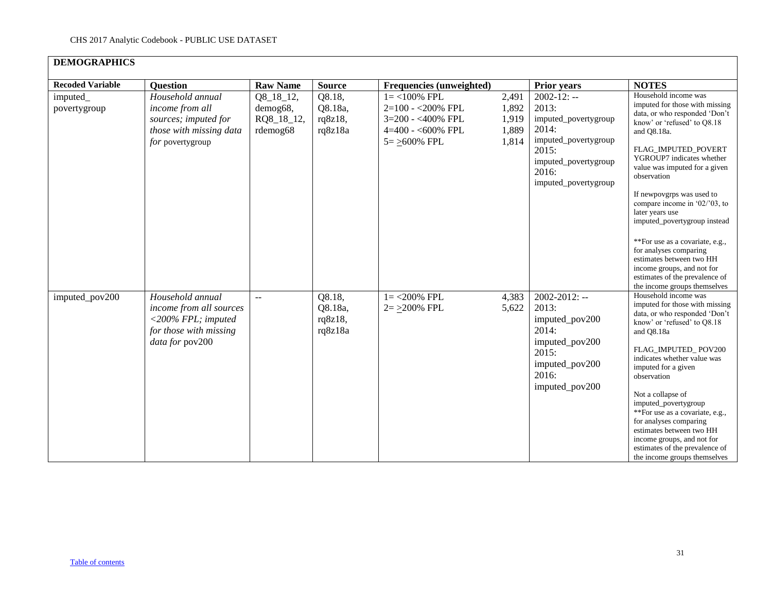| <b>Recoded Variable</b>  | <b>Question</b>                                                                                                   | <b>Raw Name</b>                                 | <b>Source</b>                           | Frequencies (unweighted)                                                                                |                                           | <b>Prior years</b>                                                                                                                                   | <b>NOTES</b>                                                                                                                                                                                                                                                                                                                                                                                                                                                           |
|--------------------------|-------------------------------------------------------------------------------------------------------------------|-------------------------------------------------|-----------------------------------------|---------------------------------------------------------------------------------------------------------|-------------------------------------------|------------------------------------------------------------------------------------------------------------------------------------------------------|------------------------------------------------------------------------------------------------------------------------------------------------------------------------------------------------------------------------------------------------------------------------------------------------------------------------------------------------------------------------------------------------------------------------------------------------------------------------|
| imputed_<br>povertygroup | Household annual<br>income from all<br>sources; imputed for<br>those with missing data<br>for povertygroup        | Q8_18_12,<br>demog68,<br>RQ8_18_12,<br>rdemog68 | Q8.18,<br>Q8.18a,<br>rq8z18,<br>rq8z18a | $1 = < 100\%$ FPL<br>2=100 - < 200% FPL<br>3=200 - <400% FPL<br>$4=400 - 600\%$ FPL<br>$5 = >600\%$ FPL | 2,491<br>1,892<br>1,919<br>1,889<br>1,814 | $2002 - 12$ : --<br>2013:<br>imputed_povertygroup<br>2014:<br>imputed_povertygroup<br>2015:<br>imputed_povertygroup<br>2016:<br>imputed_povertygroup | Household income was<br>imputed for those with missing<br>data, or who responded 'Don't<br>know' or 'refused' to O8.18<br>and O8.18a.<br>FLAG_IMPUTED_POVERT<br>YGROUP7 indicates whether<br>value was imputed for a given<br>observation<br>If newpovgrps was used to<br>compare income in $02/03$ , to<br>later years use<br>imputed_povertygroup instead<br>**For use as a covariate, e.g.,                                                                         |
|                          |                                                                                                                   |                                                 |                                         |                                                                                                         |                                           |                                                                                                                                                      | for analyses comparing<br>estimates between two HH<br>income groups, and not for<br>estimates of the prevalence of<br>the income groups themselves                                                                                                                                                                                                                                                                                                                     |
| imputed_pov200           | Household annual<br>income from all sources<br>$<$ 200% FPL; imputed<br>for those with missing<br>data for pov200 | $\overline{a}$                                  | Q8.18,<br>Q8.18a,<br>rq8z18,<br>rq8z18a | $1 = 200\%$ FPL<br>$2 = \ge 200\%$ FPL                                                                  | 4,383<br>5,622                            | $2002 - 2012$ : --<br>2013:<br>imputed_pov200<br>2014:<br>imputed_pov200<br>2015:<br>imputed_pov200<br>2016:<br>imputed_pov200                       | Household income was<br>imputed for those with missing<br>data, or who responded 'Don't<br>know' or 'refused' to O8.18<br>and Q8.18a<br>FLAG IMPUTED POV200<br>indicates whether value was<br>imputed for a given<br>observation<br>Not a collapse of<br>imputed_povertygroup<br>**For use as a covariate, e.g.,<br>for analyses comparing<br>estimates between two HH<br>income groups, and not for<br>estimates of the prevalence of<br>the income groups themselves |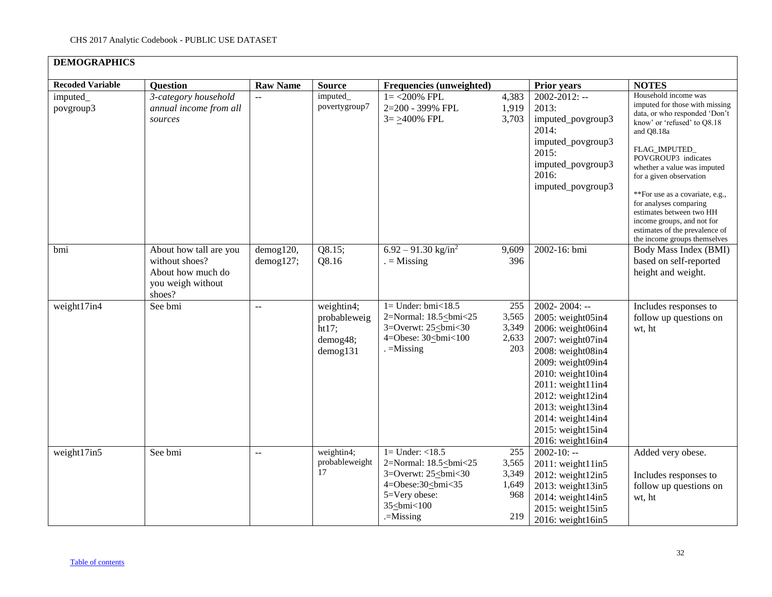| <b>DEMOGRAPHICS</b>     |                                                                                              |                        |                                                                   |                                                                                          |                                              |                                                                                                                                                                                                                                                                                                                       |                                                                                                                                                                                                                                                                                                                                                                                                                                 |
|-------------------------|----------------------------------------------------------------------------------------------|------------------------|-------------------------------------------------------------------|------------------------------------------------------------------------------------------|----------------------------------------------|-----------------------------------------------------------------------------------------------------------------------------------------------------------------------------------------------------------------------------------------------------------------------------------------------------------------------|---------------------------------------------------------------------------------------------------------------------------------------------------------------------------------------------------------------------------------------------------------------------------------------------------------------------------------------------------------------------------------------------------------------------------------|
| <b>Recoded Variable</b> | <b>Question</b>                                                                              | <b>Raw Name</b>        | <b>Source</b>                                                     | Frequencies (unweighted)                                                                 |                                              | <b>Prior years</b>                                                                                                                                                                                                                                                                                                    | <b>NOTES</b>                                                                                                                                                                                                                                                                                                                                                                                                                    |
| imputed_<br>povgroup3   | 3-category household<br>annual income from all<br>sources                                    |                        | imputed_<br>povertygroup7                                         | $1 = 200\%$ FPL<br>2=200 - 399% FPL<br>$3 = \geq 400\%$ FPL                              | 4,383<br>1,919<br>3,703                      | $2002 - 2012$ : --<br>2013:<br>imputed_povgroup3<br>2014:<br>imputed_povgroup3<br>2015:<br>imputed_povgroup3<br>2016:<br>imputed_povgroup3                                                                                                                                                                            | Household income was<br>imputed for those with missing<br>data, or who responded 'Don't<br>know' or 'refused' to Q8.18<br>and Q8.18a<br>FLAG_IMPUTED_<br>POVGROUP3 indicates<br>whether a value was imputed<br>for a given observation<br>**For use as a covariate, e.g.,<br>for analyses comparing<br>estimates between two HH<br>income groups, and not for<br>estimates of the prevalence of<br>the income groups themselves |
| bmi                     | About how tall are you<br>without shoes?<br>About how much do<br>you weigh without<br>shoes? | demog120,<br>demog127; | Q8.15;<br>Q8.16                                                   | $6.92 - 91.30$ kg/in <sup>2</sup><br>$=$ Missing                                         | 9,609<br>396                                 | 2002-16: bmi                                                                                                                                                                                                                                                                                                          | Body Mass Index (BMI)<br>based on self-reported<br>height and weight.                                                                                                                                                                                                                                                                                                                                                           |
| weight17in4             | See bmi                                                                                      | --                     | weightin4;<br>probableweig<br>ht17;<br>demog48;<br>$d$ emog $131$ | $1=$ Under: bmi<18.5<br>2=Normal: 18.5<br>bmi<25<br>3=Overwt: 25<br>bmi<30<br>           | 255<br>3,565<br>3,349<br>2,633<br>203        | 2002-2004: --<br>2005: weight05in4<br>2006: weight06in4<br>2007: weight07in4<br>2008: weight08in4<br>2009: weight09in4<br>$2010$ : weight $10$ in4<br>$2011$ : weight $11$ in $4$<br>$2012$ : weight $12$ in4<br>2013: weight13in4<br>$2014$ : weight $14$ in $4$<br>$2015$ : weight $15$ in $4$<br>2016: weight16in4 | Includes responses to<br>follow up questions on<br>wt, ht                                                                                                                                                                                                                                                                                                                                                                       |
| weight17in5             | See bmi                                                                                      | $\mathbb{L}^{\perp}$   | weightin4;<br>probableweight<br>17                                | $1 =$ Under: $<$ 18.5<br>2=Normal: 18.5<br><u>c</u> bmi<25<br>3=Overwt: 25<br>bmi<30<br> | 255<br>3,565<br>3,349<br>1,649<br>968<br>219 | $2002 - 10: -$<br>2011: weight11in5<br>2012: weight12in5<br>2013: weight13in5<br>2014: weight14in5<br>2015: weight15in5<br>2016: weight16in5                                                                                                                                                                          | Added very obese.<br>Includes responses to<br>follow up questions on<br>wt, ht                                                                                                                                                                                                                                                                                                                                                  |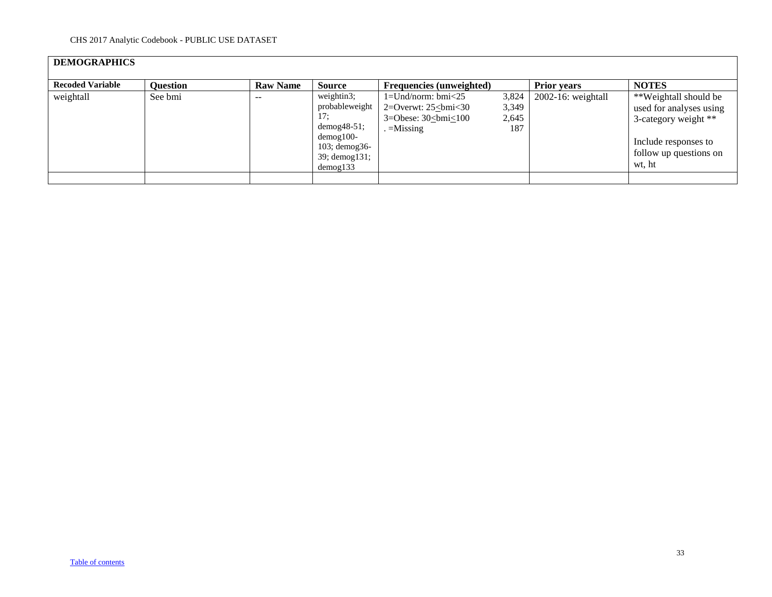# **DEMOGRAPHICS**

| <b>Recoded Variable</b> | <b>Question</b> | <b>Raw Name</b> | <b>Source</b>        | <b>Frequencies (unweighted)</b> |       | <b>Prior years</b>    | <b>NOTES</b>            |
|-------------------------|-----------------|-----------------|----------------------|---------------------------------|-------|-----------------------|-------------------------|
| weightall               | See bmi         | $- -$           | weightin3:           | $1 =$ Und/norm: bmi $\leq 25$   | 3,824 | $2002-16$ : weightall | **Weightall should be   |
|                         |                 |                 | probableweight       | 2=Overwt: $25\le$ bmi<30        | 3,349 |                       | used for analyses using |
|                         |                 |                 | 17:                  | 3=Obese: $30$<br>$\leq$ 100     | 2,645 |                       | 3-category weight **    |
|                         |                 |                 | $demog48-51$ ;       | $=$ Missing                     | 187   |                       |                         |
|                         |                 |                 | $d$ emog $100-$      |                                 |       |                       | Include responses to    |
|                         |                 |                 | $103$ ; demog $36$ - |                                 |       |                       |                         |
|                         |                 |                 | 39; demog131;        |                                 |       |                       | follow up questions on  |
|                         |                 |                 | demog133             |                                 |       |                       | wt. ht                  |
|                         |                 |                 |                      |                                 |       |                       |                         |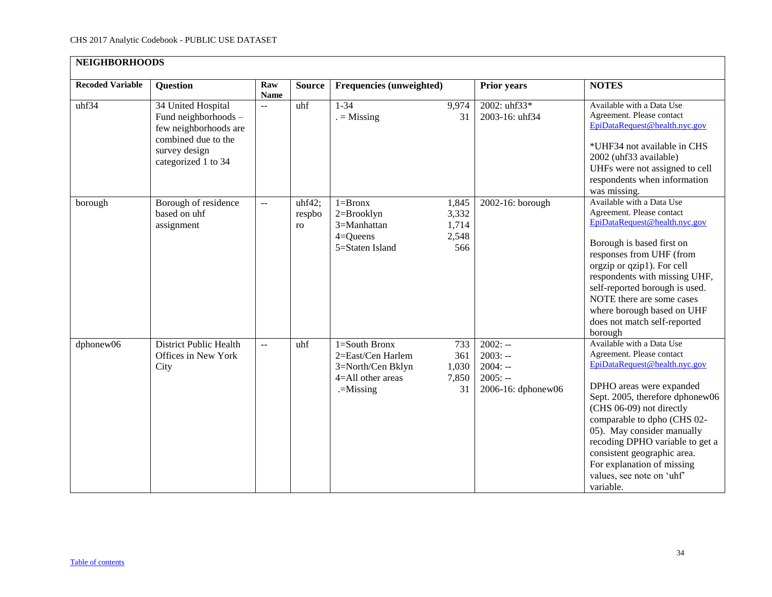<span id="page-33-0"></span>

| <b>NEIGHBORHOODS</b>    |                                                                                                                                    |                    |                        |                                                                                                     |                                         |                                                                        |                                                                                                                                                                                                                                                                                                                                                                                           |
|-------------------------|------------------------------------------------------------------------------------------------------------------------------------|--------------------|------------------------|-----------------------------------------------------------------------------------------------------|-----------------------------------------|------------------------------------------------------------------------|-------------------------------------------------------------------------------------------------------------------------------------------------------------------------------------------------------------------------------------------------------------------------------------------------------------------------------------------------------------------------------------------|
| <b>Recoded Variable</b> | <b>Question</b>                                                                                                                    | Raw<br><b>Name</b> | <b>Source</b>          | Frequencies (unweighted)                                                                            |                                         | <b>Prior years</b>                                                     | <b>NOTES</b>                                                                                                                                                                                                                                                                                                                                                                              |
| uhf34                   | 34 United Hospital<br>Fund neighborhoods -<br>few neighborhoods are<br>combined due to the<br>survey design<br>categorized 1 to 34 | $\overline{a}$     | uhf                    | $1 - 34$<br>$=$ Missing                                                                             | 9,974<br>31                             | 2002: uhf33*<br>2003-16: uhf34                                         | Available with a Data Use<br>Agreement. Please contact<br>EpiDataRequest@health.nyc.gov<br>*UHF34 not available in CHS<br>2002 (uhf33 available)<br>UHFs were not assigned to cell<br>respondents when information<br>was missing.                                                                                                                                                        |
| borough                 | Borough of residence<br>based on uhf<br>assignment                                                                                 | $\sim$ $\sim$      | uhf42;<br>respbo<br>ro | $1 = Brownx$<br>$2 = Brooklyn$<br>3=Manhattan<br>$4 =$ Queens<br>5=Staten Island                    | 1,845<br>3,332<br>1,714<br>2,548<br>566 | 2002-16: borough                                                       | Available with a Data Use<br>Agreement. Please contact<br>EpiDataRequest@health.nyc.gov<br>Borough is based first on<br>responses from UHF (from<br>orgzip or qzip1). For cell<br>respondents with missing UHF,<br>self-reported borough is used.<br>NOTE there are some cases<br>where borough based on UHF<br>does not match self-reported<br>borough                                   |
| dphonew06               | <b>District Public Health</b><br>Offices in New York<br>City                                                                       | $-$                | uhf                    | $1 =$ South Bronx<br>2=East/Cen Harlem<br>3=North/Cen Bklyn<br>$4 =$ All other areas<br>$=$ Missing | 733<br>361<br>1,030<br>7,850<br>31      | $2002: -$<br>$2003: -$<br>$2004: -$<br>$2005: -$<br>2006-16: dphonew06 | Available with a Data Use<br>Agreement. Please contact<br>EpiDataRequest@health.nyc.gov<br>DPHO areas were expanded<br>Sept. 2005, therefore dphonew06<br>(CHS 06-09) not directly<br>comparable to dpho (CHS 02-<br>05). May consider manually<br>recoding DPHO variable to get a<br>consistent geographic area.<br>For explanation of missing<br>values, see note on 'uhf'<br>variable. |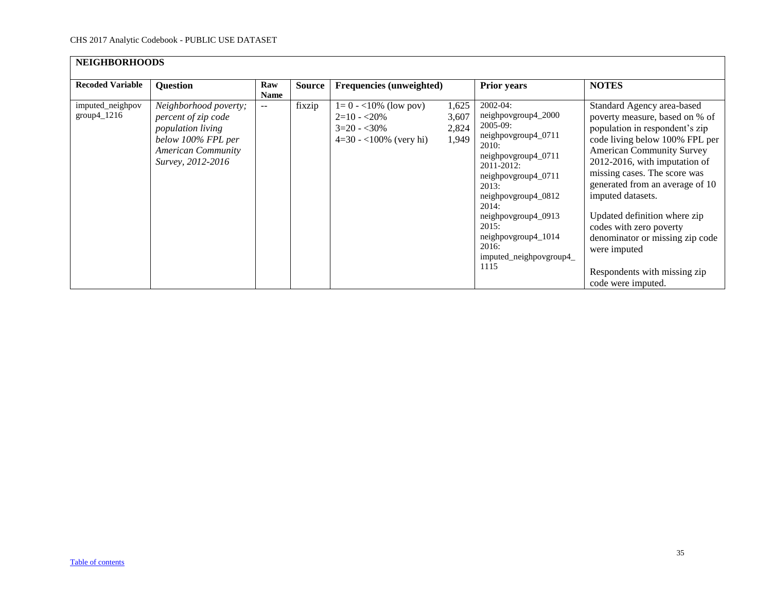| <b>NEIGHBORHOODS</b>              |                                                                                                                                           |                    |               |                                                                                      |                                  |                                                                                                                                                                                                                                                                                             |                                                                                                                                                                                                                                                                                                                                                                                                                                                                   |
|-----------------------------------|-------------------------------------------------------------------------------------------------------------------------------------------|--------------------|---------------|--------------------------------------------------------------------------------------|----------------------------------|---------------------------------------------------------------------------------------------------------------------------------------------------------------------------------------------------------------------------------------------------------------------------------------------|-------------------------------------------------------------------------------------------------------------------------------------------------------------------------------------------------------------------------------------------------------------------------------------------------------------------------------------------------------------------------------------------------------------------------------------------------------------------|
| <b>Recoded Variable</b>           | <b>Question</b>                                                                                                                           | Raw<br><b>Name</b> | <b>Source</b> | <b>Frequencies (unweighted)</b>                                                      |                                  | <b>Prior years</b>                                                                                                                                                                                                                                                                          | <b>NOTES</b>                                                                                                                                                                                                                                                                                                                                                                                                                                                      |
| imputed_neighpov<br>$group4_1216$ | Neighborhood poverty;<br>percent of zip code<br>population living<br>below 100% FPL per<br><b>American Community</b><br>Survey, 2012-2016 | $- -$              | fixzip        | $1=0 - 10\%$ (low pov)<br>$2=10 - 20\%$<br>$3=20 - 30\%$<br>$4=30 - 100\%$ (very hi) | 1,625<br>3,607<br>2,824<br>1,949 | $2002 - 04$ :<br>neighpovgroup4_2000<br>$2005-09$ :<br>neighpovgroup4_0711<br>2010:<br>neighpovgroup4_0711<br>2011-2012:<br>neighpovgroup4_0711<br>2013:<br>neighpovgroup4_0812<br>2014:<br>neighpovgroup4_0913<br>2015:<br>neighpovgroup4_1014<br>2016:<br>imputed_neighpovgroup4_<br>1115 | Standard Agency area-based<br>poverty measure, based on % of<br>population in respondent's zip<br>code living below 100% FPL per<br><b>American Community Survey</b><br>2012-2016, with imputation of<br>missing cases. The score was<br>generated from an average of 10<br>imputed datasets.<br>Updated definition where zip<br>codes with zero poverty<br>denominator or missing zip code<br>were imputed<br>Respondents with missing zip<br>code were imputed. |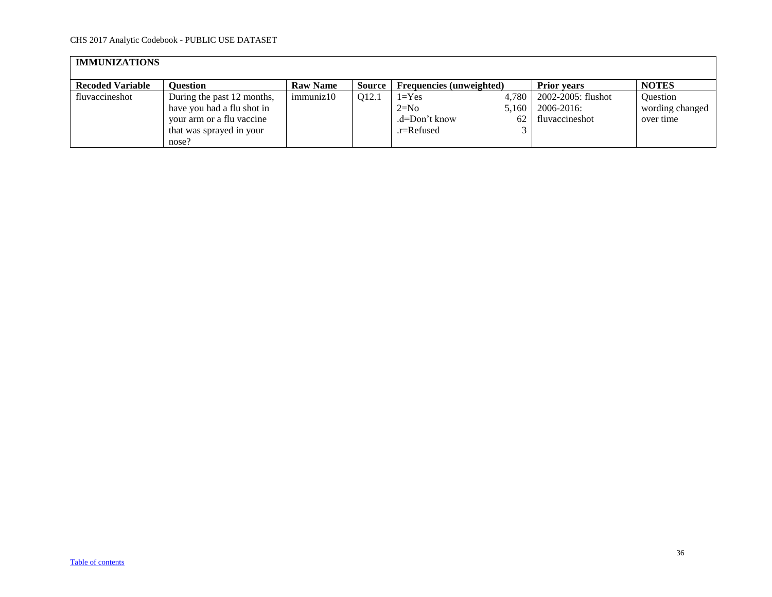<span id="page-35-0"></span>

| <b>IMMUNIZATIONS</b>    |                                                                                       |                 |                   |                                      |                      |                                                    |                                                 |  |  |
|-------------------------|---------------------------------------------------------------------------------------|-----------------|-------------------|--------------------------------------|----------------------|----------------------------------------------------|-------------------------------------------------|--|--|
| <b>Recoded Variable</b> | <b>Ouestion</b>                                                                       | <b>Raw Name</b> | Source            | <b>Frequencies (unweighted)</b>      |                      | <b>Prior</b> vears                                 | <b>NOTES</b>                                    |  |  |
| fluvaccineshot          | During the past 12 months,<br>have you had a flu shot in<br>your arm or a flu vaccine | immuniz10       | O <sub>12.1</sub> | $1 = Yes$<br>$2=N0$<br>.d=Don't know | 4.780<br>5.160<br>62 | 2002-2005: flushot<br>2006-2016:<br>fluvaccineshot | <b>Ouestion</b><br>wording changed<br>over time |  |  |
|                         | that was sprayed in your<br>nose?                                                     |                 |                   | $.r =$ Refused                       |                      |                                                    |                                                 |  |  |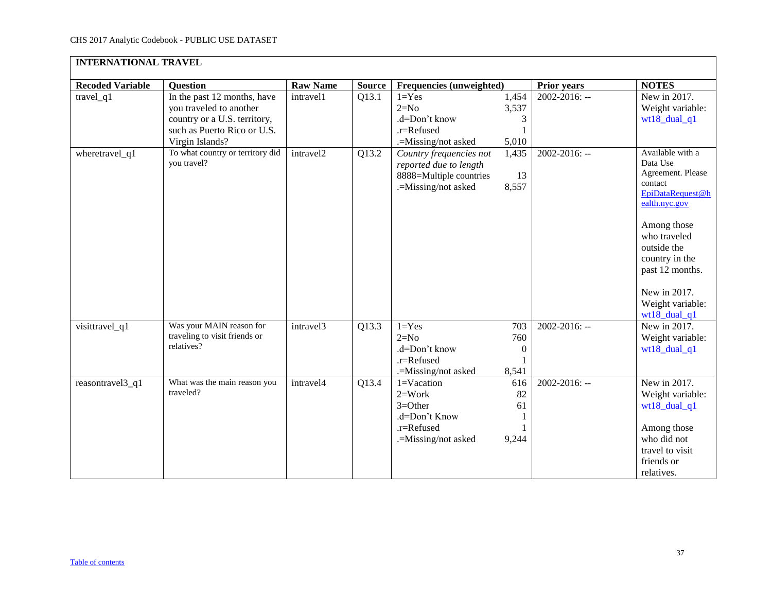<span id="page-36-0"></span>

| <b>INTERNATIONAL TRAVEL</b> |                                                                                                                                          |                 |        |                                                                                                     |                                         |                    |                                                                                                                                                                                                                                          |
|-----------------------------|------------------------------------------------------------------------------------------------------------------------------------------|-----------------|--------|-----------------------------------------------------------------------------------------------------|-----------------------------------------|--------------------|------------------------------------------------------------------------------------------------------------------------------------------------------------------------------------------------------------------------------------------|
| <b>Recoded Variable</b>     | Question                                                                                                                                 | <b>Raw Name</b> | Source | Frequencies (unweighted)                                                                            |                                         | <b>Prior years</b> | <b>NOTES</b>                                                                                                                                                                                                                             |
| travel_q1                   | In the past 12 months, have<br>you traveled to another<br>country or a U.S. territory,<br>such as Puerto Rico or U.S.<br>Virgin Islands? | intravel1       | Q13.1  | $1 = Yes$<br>$2=N0$<br>.d=Don't know<br>.r=Refused<br>.=Missing/not asked                           | 1,454<br>3,537<br>3<br>5,010            | $2002 - 2016$ : -- | New in 2017.<br>Weight variable:<br>wt18_dual_q1                                                                                                                                                                                         |
| wheretravel_q1              | To what country or territory did<br>you travel?                                                                                          | intravel2       | Q13.2  | Country frequencies not<br>reported due to length<br>8888=Multiple countries<br>.=Missing/not asked | 1,435<br>13<br>8,557                    | $2002 - 2016$ : -- | Available with a<br>Data Use<br>Agreement. Please<br>contact<br>EpiDataRequest@h<br>ealth.nyc.gov<br>Among those<br>who traveled<br>outside the<br>country in the<br>past 12 months.<br>New in 2017.<br>Weight variable:<br>wt18_dual_q1 |
| visittravel_q1              | Was your MAIN reason for<br>traveling to visit friends or<br>relatives?                                                                  | intravel3       | Q13.3  | $1 = Yes$<br>$2=N0$<br>.d=Don't know<br>.r=Refused<br>.=Missing/not asked                           | 703<br>760<br>$\boldsymbol{0}$<br>8,541 | 2002-2016: --      | New in 2017.<br>Weight variable:<br>wt18_dual_q1                                                                                                                                                                                         |
| reasontravel3_q1            | What was the main reason you<br>traveled?                                                                                                | intravel4       | Q13.4  | $1=Vacation$<br>$2=Work$<br>$3 = Other$<br>.d=Don't Know<br>.r=Refused<br>.=Missing/not asked       | 616<br>82<br>61<br>9,244                | $2002 - 2016$ : -- | New in 2017.<br>Weight variable:<br>$wt18\_dual_q1$<br>Among those<br>who did not<br>travel to visit<br>friends or<br>relatives.                                                                                                         |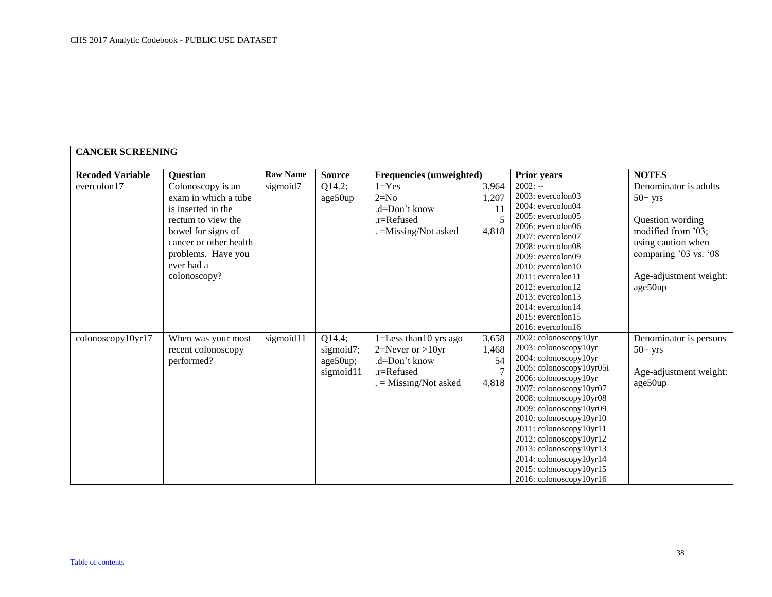<span id="page-37-0"></span>

| <b>CANCER SCREENING</b> |                                                                                                                                                                                           |                 |                                              |                                                                                                          |                                          |                                                                                                                                                                                                                                                                                                                                                                                                                      |                                                                                                                                                                  |
|-------------------------|-------------------------------------------------------------------------------------------------------------------------------------------------------------------------------------------|-----------------|----------------------------------------------|----------------------------------------------------------------------------------------------------------|------------------------------------------|----------------------------------------------------------------------------------------------------------------------------------------------------------------------------------------------------------------------------------------------------------------------------------------------------------------------------------------------------------------------------------------------------------------------|------------------------------------------------------------------------------------------------------------------------------------------------------------------|
| <b>Recoded Variable</b> | <b>Question</b>                                                                                                                                                                           | <b>Raw Name</b> | <b>Source</b>                                | Frequencies (unweighted)                                                                                 |                                          | <b>Prior years</b>                                                                                                                                                                                                                                                                                                                                                                                                   | <b>NOTES</b>                                                                                                                                                     |
| evercolon17             | Colonoscopy is an<br>exam in which a tube<br>is inserted in the<br>rectum to view the<br>bowel for signs of<br>cancer or other health<br>problems. Have you<br>ever had a<br>colonoscopy? | sigmoid7        | Q14.2;<br>age50up                            | $1 = Yes$<br>$2=N0$<br>.d=Don't know<br>$.r =$ Refused<br>. = Missing/Not asked                          | 3,964<br>1,207<br><sup>11</sup><br>4,818 | $2002: -$<br>2003: evercolon03<br>2004: evercolon04<br>$2005$ : evercolon $05$<br>$2006$ : evercolon $06$<br>2007: evercolon07<br>2008: evercolon08<br>2009: evercolon09<br>$2010$ : evercolon $10$<br>$2011$ : evercolon $11$<br>$2012$ : evercolon $12$<br>$2013$ : evercolon13<br>2014: evercolon14<br>$2015$ : evercolon $15$<br>$2016$ : evercolon $16$                                                         | Denominator is adults<br>$50+$ yrs<br>Question wording<br>modified from '03;<br>using caution when<br>comparing '03 vs. '08<br>Age-adjustment weight:<br>age50up |
| colonoscopy10yr17       | When was your most<br>recent colonoscopy<br>performed?                                                                                                                                    | sigmoid11       | Q14.4;<br>sigmoid7;<br>age50up;<br>sigmoid11 | 1=Less than 10 yrs ago<br>2=Never or $\geq$ 10yr<br>.d=Don't know<br>.r=Refused<br>$=$ Missing/Not asked | 3,658<br>1,468<br>54<br>4,818            | 2002: colonoscopy10yr<br>2003: colonoscopy10yr<br>2004: colonoscopy10yr<br>2005: colonoscopy10yr05i<br>2006: colonoscopy10yr<br>2007: colonoscopy10yr07<br>2008: colonoscopy10yr08<br>2009: colonoscopy10yr09<br>2010: colonoscopy10yr10<br>2011: colonoscopy10yr11<br>2012: colonoscopy10yr12<br>2013: colonoscopy10yr13<br>2014: colonoscopy10yr14<br>2015: colonoscopy10yr15<br>$2016$ : colonoscopy $10$ yr $16$ | Denominator is persons<br>$50+$ yrs<br>Age-adjustment weight:<br>age50up                                                                                         |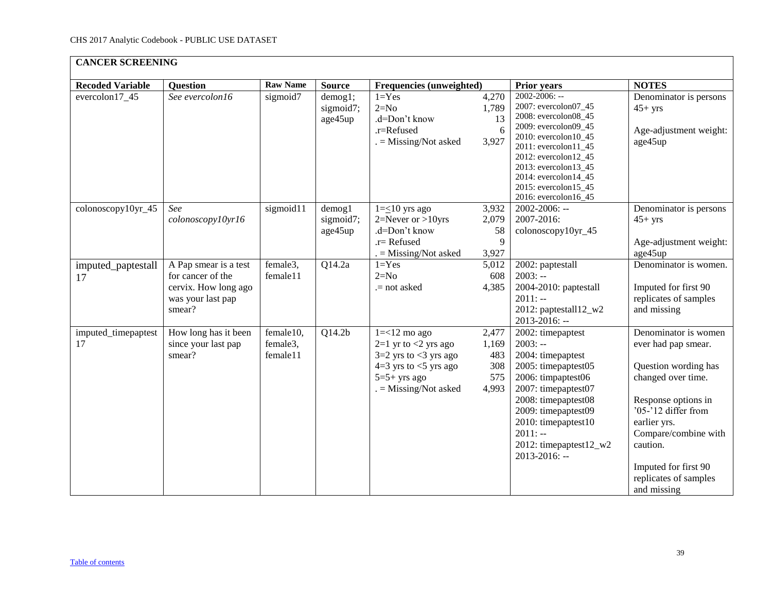|                           | <b>CANCER SCREENING</b>                                                                           |                                   |                                      |                                                                                                                                                      |                                              |                                                                                                                                                                                                                                                                    |                                                                                                                                                                                                                                                             |  |  |  |  |
|---------------------------|---------------------------------------------------------------------------------------------------|-----------------------------------|--------------------------------------|------------------------------------------------------------------------------------------------------------------------------------------------------|----------------------------------------------|--------------------------------------------------------------------------------------------------------------------------------------------------------------------------------------------------------------------------------------------------------------------|-------------------------------------------------------------------------------------------------------------------------------------------------------------------------------------------------------------------------------------------------------------|--|--|--|--|
| <b>Recoded Variable</b>   | <b>Question</b>                                                                                   | <b>Raw Name</b>                   | <b>Source</b>                        | Frequencies (unweighted)                                                                                                                             |                                              | <b>Prior years</b>                                                                                                                                                                                                                                                 | <b>NOTES</b>                                                                                                                                                                                                                                                |  |  |  |  |
| evercolon17_45            | See evercolon16                                                                                   | sigmoid7                          | demog1;<br>sigmoid7;<br>age45up      | $1 = Yes$<br>$2=N0$<br>.d=Don't know<br>.r=Refused<br>$. =$ Missing/Not asked                                                                        | 4,270<br>1,789<br>13<br>6<br>3,927           | $2002 - 2006$ : --<br>2007: evercolon07_45<br>2008: evercolon08_45<br>2009: evercolon09_45<br>2010: evercolon10_45<br>2011: evercolon11_45<br>2012: evercolon12_45<br>2013: evercolon13_45<br>2014: evercolon14_45<br>2015: evercolon15_45<br>2016: evercolon16_45 | Denominator is persons<br>$45+$ yrs<br>Age-adjustment weight:<br>age45up                                                                                                                                                                                    |  |  |  |  |
| colonoscopy10yr_45        | See<br>colonoscopy10yr16                                                                          | sigmoid11                         | $d$ emog $1$<br>sigmoid7;<br>age45up | $1=\leq 10$ yrs ago<br>$2=$ Never or >10yrs<br>.d=Don't know<br>$.r =$ Refused<br>. = Missing/Not asked                                              | 3,932<br>2,079<br>58<br>9<br>3,927           | 2002-2006: --<br>2007-2016:<br>colonoscopy10yr_45                                                                                                                                                                                                                  | Denominator is persons<br>$45+$ yrs<br>Age-adjustment weight:<br>age45up                                                                                                                                                                                    |  |  |  |  |
| imputed_paptestall<br>17  | A Pap smear is a test<br>for cancer of the<br>cervix. How long ago<br>was your last pap<br>smear? | female3,<br>female11              | Q14.2a                               | $1 = Yes$<br>$2=N0$<br>.= not asked                                                                                                                  | 5,012<br>608<br>4,385                        | 2002: paptestall<br>$2003: -$<br>2004-2010: paptestall<br>$2011: -$<br>2012: paptestall12_w2<br>2013-2016: --                                                                                                                                                      | Denominator is women.<br>Imputed for first 90<br>replicates of samples<br>and missing                                                                                                                                                                       |  |  |  |  |
| imputed_timepaptest<br>17 | How long has it been<br>since your last pap<br>smear?                                             | female10,<br>female3,<br>female11 | Q14.2b                               | $1 = < 12$ mo ago<br>$2=1$ yr to $<$ 2 yrs ago<br>$3=2$ yrs to $<$ 3 yrs ago<br>$4=3$ yrs to $<5$ yrs ago<br>$5=5+$ yrs ago<br>$=$ Missing/Not asked | 2,477<br>1,169<br>483<br>308<br>575<br>4,993 | 2002: timepaptest<br>$2003: -$<br>2004: timepaptest<br>2005: timepaptest05<br>2006: timpaptest06<br>2007: timepaptest07<br>2008: timepaptest08<br>2009: timepaptest09<br>2010: timepaptest10<br>$2011: -$<br>2012: timepaptest $12_w$<br>$2013 - 2016$ : --        | Denominator is women<br>ever had pap smear.<br>Question wording has<br>changed over time.<br>Response options in<br>'05-'12 differ from<br>earlier yrs.<br>Compare/combine with<br>caution.<br>Imputed for first 90<br>replicates of samples<br>and missing |  |  |  |  |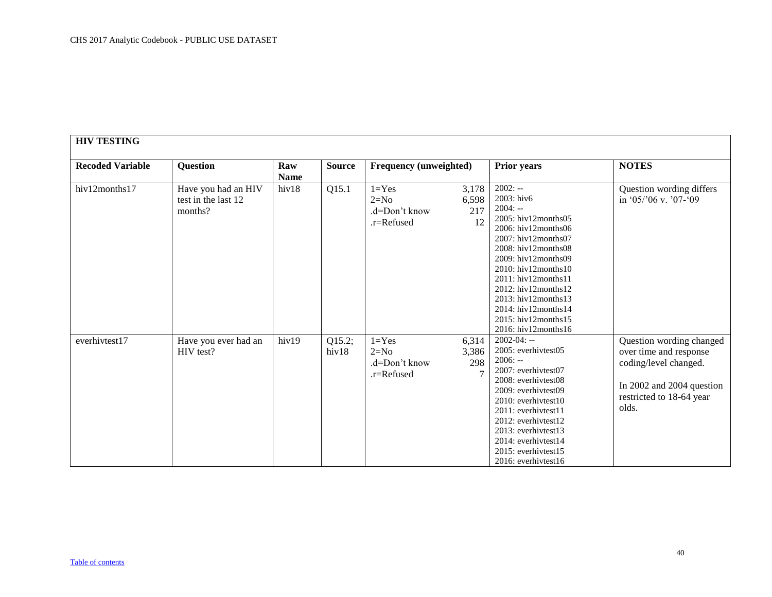<span id="page-39-0"></span>

| <b>HIV TESTING</b>      |                                                       |                    |                 |                                                    |                                                     |                                                                                                                                                                                                                                                                                                                              |                                                                                                                                               |
|-------------------------|-------------------------------------------------------|--------------------|-----------------|----------------------------------------------------|-----------------------------------------------------|------------------------------------------------------------------------------------------------------------------------------------------------------------------------------------------------------------------------------------------------------------------------------------------------------------------------------|-----------------------------------------------------------------------------------------------------------------------------------------------|
| <b>Recoded Variable</b> | Question                                              | Raw<br><b>Name</b> | <b>Source</b>   |                                                    | <b>Frequency (unweighted)</b><br><b>Prior years</b> |                                                                                                                                                                                                                                                                                                                              | <b>NOTES</b>                                                                                                                                  |
| hiv12months17           | Have you had an HIV<br>test in the last 12<br>months? | hiv18              | Q15.1           | $1 = Yes$<br>$2=N0$<br>.d=Don't know<br>.r=Refused | 3,178<br>6,598<br>217<br>12                         | $2002: -$<br>2003: hiv6<br>$2004: -$<br>2005: hiv12months05<br>2006: hiv12months06<br>2007: hiv12months07<br>2008: hiv12months08<br>2009: hiv12months09<br>2010: hiv12months10<br>2011: hiv12 months11<br>$2012$ : hiv12months12<br>2013: hiv12months13<br>2014: hiv12months14<br>2015: hiv12months15<br>2016: hiv12months16 | Question wording differs<br>in '05/'06 v. '07-'09                                                                                             |
| everhivtest17           | Have you ever had an<br>HIV test?                     | hiv19              | Q15.2;<br>hiv18 | $1 = Yes$<br>$2=N0$<br>.d=Don't know<br>.r=Refused | 6,314<br>3,386<br>298<br>$\overline{7}$             | $2002 - 04: -$<br>2005: everhivtest05<br>$2006: -$<br>2007: everhivtest07<br>2008: everhivtest08<br>2009: everhivtest09<br>2010: everhivtest10<br>2011: everhivtest11<br>2012: everhivtest12<br>2013: everhivtest13<br>2014: everhivtest14<br>2015: everhivtest15<br>2016: everhivtest16                                     | Question wording changed<br>over time and response<br>coding/level changed.<br>In 2002 and 2004 question<br>restricted to 18-64 year<br>olds. |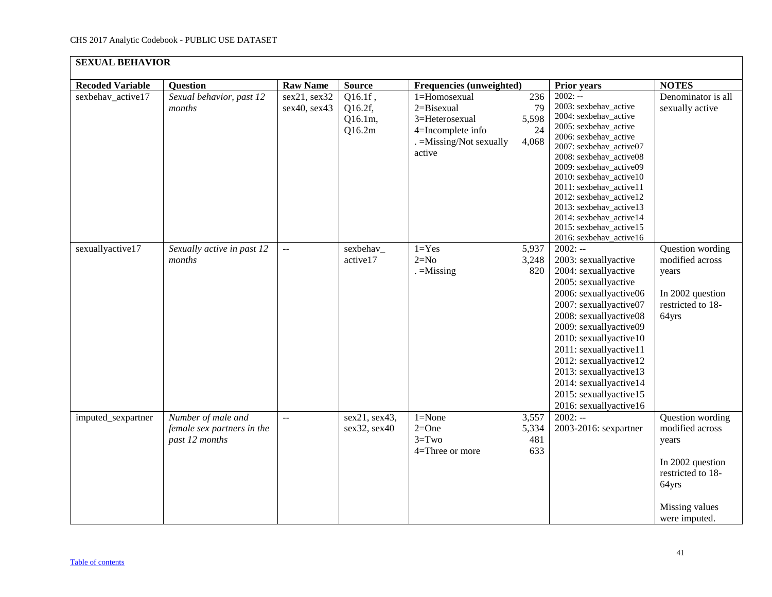<span id="page-40-0"></span>

| <b>SEXUAL BEHAVIOR</b>  |                                                                    |                              |                                            |                                                                                                         |                                   |                                                                                                                                                                                                                                                                                                                                                                                             |                                                                                                                                   |
|-------------------------|--------------------------------------------------------------------|------------------------------|--------------------------------------------|---------------------------------------------------------------------------------------------------------|-----------------------------------|---------------------------------------------------------------------------------------------------------------------------------------------------------------------------------------------------------------------------------------------------------------------------------------------------------------------------------------------------------------------------------------------|-----------------------------------------------------------------------------------------------------------------------------------|
| <b>Recoded Variable</b> | Question                                                           | <b>Raw Name</b>              | <b>Source</b>                              | Frequencies (unweighted)                                                                                |                                   | <b>Prior years</b>                                                                                                                                                                                                                                                                                                                                                                          | <b>NOTES</b>                                                                                                                      |
| sexbehav_active17       | Sexual behavior, past 12<br>months                                 | sex21, sex32<br>sex40, sex43 | $Q16.1f$ ,<br>Q16.2f,<br>Q16.1m,<br>Q16.2m | 1=Homosexual<br>2=Bisexual<br>3=Heterosexual<br>4=Incomplete info<br>. = Missing/Not sexually<br>active | 236<br>79<br>5,598<br>24<br>4,068 | $2002: -$<br>2003: sexbehav_active<br>2004: sexbehav_active<br>2005: sexbehav_active<br>2006: sexbehav_active<br>2007: sexbehav_active07<br>2008: sexbehav_active08<br>2009: sexbehav_active09<br>2010: sexbehav_active10<br>2011: sexbehav_active11<br>2012: sexbehav_active12<br>2013: sexbehav_active13<br>2014: sexbehav_active14<br>2015: sexbehav_active15<br>2016: sexbehav_active16 | Denominator is all<br>sexually active                                                                                             |
| sexuallyactive17        | Sexually active in past 12<br>months                               | ΞĒ,                          | sexbehav_<br>active17                      | $1 = Yes$<br>$2=N0$<br>$=$ Missing                                                                      | 5,937<br>3,248<br>820             | $2002: -$<br>2003: sexuallyactive<br>2004: sexuallyactive<br>2005: sexuallyactive<br>2006: sexuallyactive06<br>2007: sexuallyactive07<br>2008: sexuallyactive08<br>2009: sexuallyactive09<br>2010: sexuallyactive10<br>2011: sexuallyactive11<br>2012: sexuallyactive12<br>2013: sexuallyactive13<br>2014: sexuallyactive14<br>2015: sexuallyactive15<br>2016: sexuallyactive16             | Question wording<br>modified across<br>years<br>In 2002 question<br>restricted to 18-<br>64yrs                                    |
| imputed_sexpartner      | Number of male and<br>female sex partners in the<br>past 12 months | $\overline{a}$               | sex21, sex43,<br>sex32, sex40              | $1 = None$<br>$2=One$<br>$3 = Two$<br>4=Three or more                                                   | 3,557<br>5,334<br>481<br>633      | $2002: -$<br>2003-2016: sexpartner                                                                                                                                                                                                                                                                                                                                                          | Question wording<br>modified across<br>years<br>In 2002 question<br>restricted to 18-<br>64yrs<br>Missing values<br>were imputed. |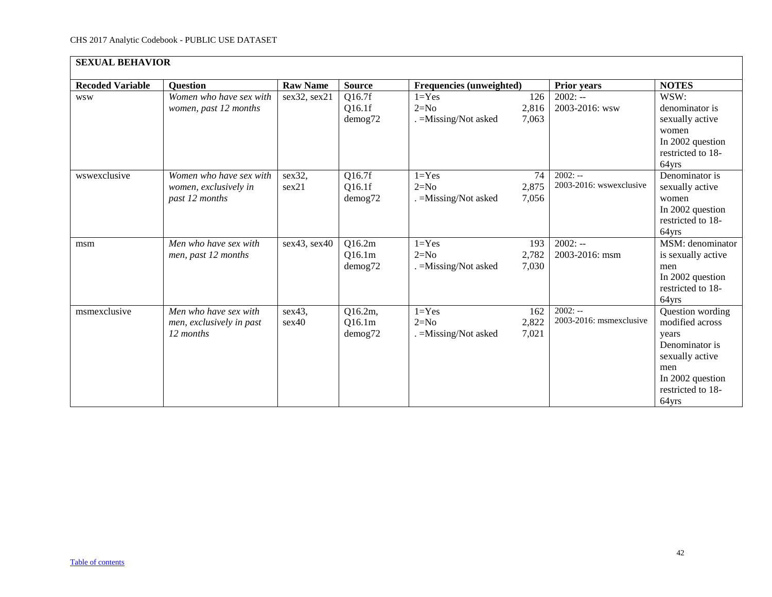| <b>SEXUAL BEHAVIOR</b>  |                                                                    |                 |                                    |                                              |                       |                                      |                                                                                                                                            |
|-------------------------|--------------------------------------------------------------------|-----------------|------------------------------------|----------------------------------------------|-----------------------|--------------------------------------|--------------------------------------------------------------------------------------------------------------------------------------------|
| <b>Recoded Variable</b> | <b>Ouestion</b>                                                    | <b>Raw Name</b> | <b>Source</b>                      | Frequencies (unweighted)                     |                       | <b>Prior years</b>                   | <b>NOTES</b>                                                                                                                               |
| <b>WSW</b>              | Women who have sex with<br>women, past 12 months                   | sex32, sex21    | Q16.7f<br>Q16.1f<br>demog72        | $1 = Yes$<br>$2=N0$<br>. = Missing/Not asked | 126<br>2,816<br>7,063 | $2002: -$<br>2003-2016: wsw          | WSW:<br>denominator is<br>sexually active<br>women<br>In 2002 question<br>restricted to 18-<br>64yrs                                       |
| wswexclusive            | Women who have sex with<br>women, exclusively in<br>past 12 months | sex32,<br>sex21 | Q16.7f<br>Q16.1f<br>demog72        | $1 = Yes$<br>$2=N0$<br>. = Missing/Not asked | 74<br>2,875<br>7,056  | $2002: -$<br>2003-2016: wswexclusive | Denominator is<br>sexually active<br>women<br>In 2002 question<br>restricted to 18-<br>64yrs                                               |
| msm                     | Men who have sex with<br>men, past 12 months                       | sex43, sex40    | Q16.2m<br>Q16.1m<br>demog72        | $1 = Yes$<br>$2=N0$<br>. = Missing/Not asked | 193<br>2,782<br>7,030 | $2002: -$<br>2003-2016: msm          | MSM: denominator<br>is sexually active<br>men<br>In 2002 question<br>restricted to 18-<br>64yrs                                            |
| msmexclusive            | Men who have sex with<br>men, exclusively in past<br>12 months     | sex43,<br>sex40 | Q16.2m,<br>Q16.1m<br>$d$ emog $72$ | $1 = Yes$<br>$2=N0$<br>. = Missing/Not asked | 162<br>2,822<br>7,021 | $2002: -$<br>2003-2016: msmexclusive | Question wording<br>modified across<br>years<br>Denominator is<br>sexually active<br>men<br>In 2002 question<br>restricted to 18-<br>64yrs |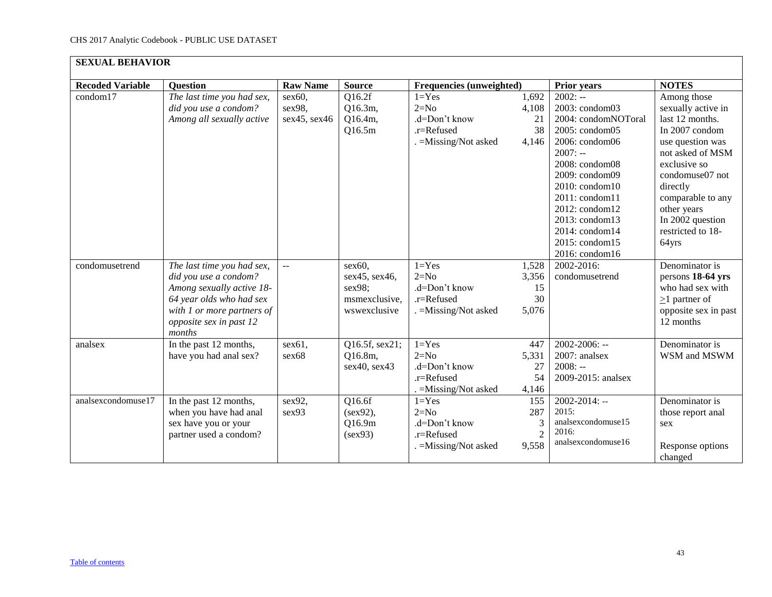| <b>SEXUAL BEHAVIOR</b>  |                                                                                                                                                                                 |                                  |                                                                       |                                                                             |                                            |                                                                                                                                                                                                                                                                       |                                                                                                                                                                                                                                                     |
|-------------------------|---------------------------------------------------------------------------------------------------------------------------------------------------------------------------------|----------------------------------|-----------------------------------------------------------------------|-----------------------------------------------------------------------------|--------------------------------------------|-----------------------------------------------------------------------------------------------------------------------------------------------------------------------------------------------------------------------------------------------------------------------|-----------------------------------------------------------------------------------------------------------------------------------------------------------------------------------------------------------------------------------------------------|
| <b>Recoded Variable</b> | <b>Question</b>                                                                                                                                                                 | <b>Raw Name</b>                  | <b>Source</b>                                                         | Frequencies (unweighted)                                                    |                                            | Prior years                                                                                                                                                                                                                                                           | <b>NOTES</b>                                                                                                                                                                                                                                        |
| condom17                | The last time you had sex,<br>did you use a condom?<br>Among all sexually active                                                                                                | sex60,<br>sex98,<br>sex45, sex46 | Q16.2f<br>Q16.3m,<br>Q16.4m,<br>Q16.5m                                | $1 = Yes$<br>$2=N0$<br>.d=Don't know<br>.r=Refused<br>. = Missing/Not asked | 1,692<br>4,108<br>21<br>38<br>4,146        | $2002: -$<br>2003: condom03<br>2004: condomNOToral<br>2005: condom05<br>2006: condom06<br>$2007: -$<br>2008: condom08<br>2009: condom09<br>2010: condom10<br>2011: condom11<br>2012: condom12<br>2013: condom13<br>2014: condom14<br>2015: condom15<br>2016: condom16 | Among those<br>sexually active in<br>last 12 months.<br>In 2007 condom<br>use question was<br>not asked of MSM<br>exclusive so<br>condomuse07 not<br>directly<br>comparable to any<br>other years<br>In 2002 question<br>restricted to 18-<br>64yrs |
| condomusetrend          | The last time you had sex,<br>did you use a condom?<br>Among sexually active 18-<br>64 year olds who had sex<br>with 1 or more partners of<br>opposite sex in past 12<br>months | $\mathbb{L}^{\mathbb{L}}$        | $sex60$ ,<br>sex45, sex46,<br>sex98;<br>msmexclusive,<br>wswexclusive | $1 = Yes$<br>$2=N0$<br>.d=Don't know<br>.r=Refused<br>. = Missing/Not asked | 1,528<br>3,356<br>15<br>30<br>5,076        | 2002-2016:<br>condomusetrend                                                                                                                                                                                                                                          | Denominator is<br>persons 18-64 yrs<br>who had sex with<br>$\geq$ 1 partner of<br>opposite sex in past<br>12 months                                                                                                                                 |
| analsex                 | In the past 12 months,<br>have you had anal sex?                                                                                                                                | sex61,<br>sex68                  | Q16.5f, sex21;<br>Q16.8m,<br>sex40, sex43                             | $1 = Yes$<br>$2=N0$<br>.d=Don't know<br>.r=Refused<br>. = Missing/Not asked | 447<br>5,331<br>27<br>54<br>4,146          | $2002 - 2006$ : --<br>2007: analsex<br>$2008: -$<br>2009-2015: analsex                                                                                                                                                                                                | Denominator is<br>WSM and MSWM                                                                                                                                                                                                                      |
| analsexcondomuse17      | In the past 12 months,<br>when you have had anal<br>sex have you or your<br>partner used a condom?                                                                              | sex92,<br>sex93                  | Q16.6f<br>$(sex92)$ ,<br>Q16.9m<br>(sex93)                            | $1 = Yes$<br>$2=N0$<br>.d=Don't know<br>.r=Refused<br>. = Missing/Not asked | 155<br>287<br>3<br>$\overline{2}$<br>9,558 | $2002 - 2014$ : --<br>2015:<br>analsexcondomuse15<br>2016:<br>analsexcondomuse16                                                                                                                                                                                      | Denominator is<br>those report anal<br>sex<br>Response options<br>changed                                                                                                                                                                           |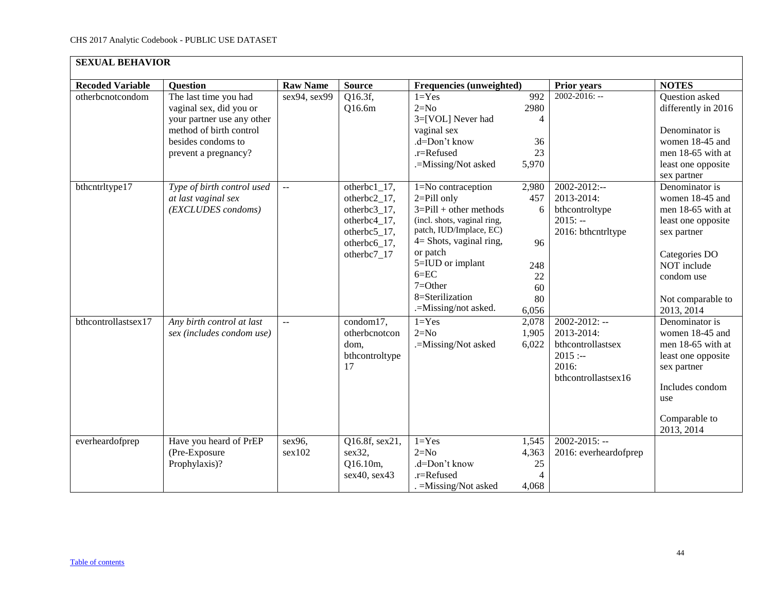| <b>SEXUAL BEHAVIOR</b>  |                                                                                                                                                         |                           |                                                                                                               |                                                                                                                                                                                                                                                                   |                                                           |                                                                                                    |                                                                                                                                                                              |  |  |
|-------------------------|---------------------------------------------------------------------------------------------------------------------------------------------------------|---------------------------|---------------------------------------------------------------------------------------------------------------|-------------------------------------------------------------------------------------------------------------------------------------------------------------------------------------------------------------------------------------------------------------------|-----------------------------------------------------------|----------------------------------------------------------------------------------------------------|------------------------------------------------------------------------------------------------------------------------------------------------------------------------------|--|--|
| <b>Recoded Variable</b> | <b>Question</b>                                                                                                                                         | <b>Raw Name</b>           | <b>Source</b>                                                                                                 | Frequencies (unweighted)                                                                                                                                                                                                                                          |                                                           | <b>Prior years</b>                                                                                 | <b>NOTES</b>                                                                                                                                                                 |  |  |
| otherbcnotcondom        | The last time you had<br>vaginal sex, did you or<br>your partner use any other<br>method of birth control<br>besides condoms to<br>prevent a pregnancy? | sex94, sex99              | Q16.3f,<br>Q16.6m                                                                                             | $1 = Yes$<br>$2=N0$<br>3=[VOL] Never had<br>vaginal sex<br>.d=Don't know<br>.r=Refused<br>.=Missing/Not asked                                                                                                                                                     | 992<br>2980<br>$\overline{4}$<br>36<br>23<br>5,970        | $2002 - 2016$ : --                                                                                 | Question asked<br>differently in 2016<br>Denominator is<br>women 18-45 and<br>men 18-65 with at<br>least one opposite<br>sex partner                                         |  |  |
| bthcntrltype17          | Type of birth control used<br>at last vaginal sex<br>(EXCLUDES condoms)                                                                                 | $\mathbb{L}^{\mathbb{L}}$ | $otherbc1_17,$<br>otherbc2_17,<br>otherbc3_17,<br>otherbc4_17,<br>otherbc5_17,<br>otherbc6_17,<br>otherbc7_17 | 1=No contraception<br>$2 =$ Pill only<br>$3 =$ Pill + other methods<br>(incl. shots, vaginal ring,<br>patch, IUD/Implace, EC)<br>$4 =$ Shots, vaginal ring,<br>or patch<br>5=IUD or implant<br>$6 = EC$<br>$7 = Other$<br>8=Sterilization<br>.=Missing/not asked. | 2,980<br>457<br>6<br>96<br>248<br>22<br>60<br>80<br>6,056 | 2002-2012:--<br>2013-2014:<br>bthcontroltype<br>$2015: -$<br>2016: bthcntrltype                    | Denominator is<br>women 18-45 and<br>men 18-65 with at<br>least one opposite<br>sex partner<br>Categories DO<br>NOT include<br>condom use<br>Not comparable to<br>2013, 2014 |  |  |
| bthcontrollastsex17     | Any birth control at last<br>sex (includes condom use)                                                                                                  | $\overline{a}$            | condom17,<br>otherbcnotcon<br>dom,<br>bthcontroltype<br>17                                                    | $1 = Yes$<br>$2=N0$<br>.=Missing/Not asked                                                                                                                                                                                                                        | 2,078<br>1,905<br>6,022                                   | $2002 - 2012$ : --<br>2013-2014:<br>bthcontrollastsex<br>$2015: -$<br>2016:<br>bthcontrollastsex16 | Denominator is<br>women 18-45 and<br>men 18-65 with at<br>least one opposite<br>sex partner<br>Includes condom<br>use<br>Comparable to<br>2013, 2014                         |  |  |
| everheardofprep         | Have you heard of PrEP<br>(Pre-Exposure<br>Prophylaxis)?                                                                                                | sex96,<br>sex102          | Q16.8f, sex21,<br>sex32,<br>Q16.10m,<br>sex40, sex43                                                          | $1 = Yes$<br>$2=N0$<br>.d=Don't know<br>.r=Refused<br>. = Missing/Not asked                                                                                                                                                                                       | 1,545<br>4,363<br>25<br>$\overline{4}$<br>4,068           | $2002 - 2015$ : --<br>2016: everheardofprep                                                        |                                                                                                                                                                              |  |  |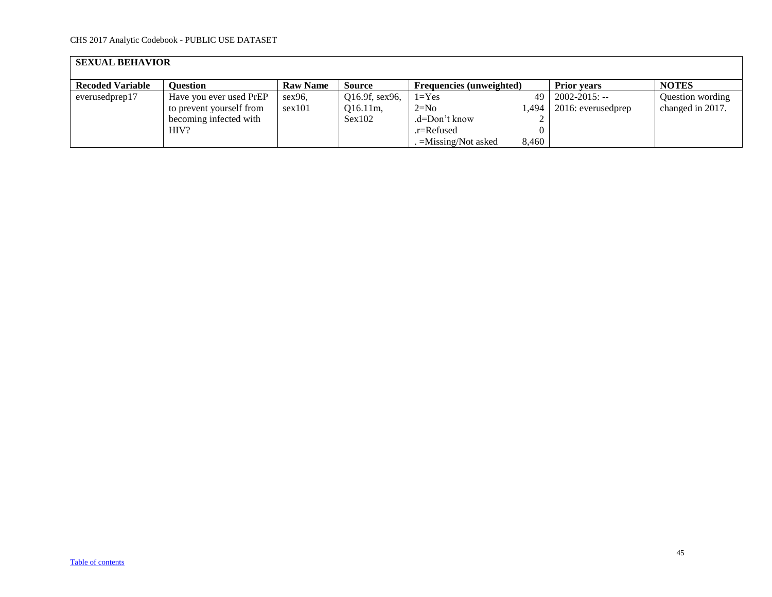| <b>SEXUAL BEHAVIOR</b>  |                          |                 |                |                                 |       |                              |                  |  |  |  |
|-------------------------|--------------------------|-----------------|----------------|---------------------------------|-------|------------------------------|------------------|--|--|--|
| <b>Recoded Variable</b> | <b>Ouestion</b>          | <b>Raw Name</b> | Source         | <b>Frequencies (unweighted)</b> |       | <b>Prior vears</b>           | <b>NOTES</b>     |  |  |  |
| everusedprep17          | Have you ever used PrEP  | $sex96$ .       | Q16.9f, sex96, | $1 = Yes$                       | 49    | $2002 - 2015$ : --           | Question wording |  |  |  |
|                         | to prevent yourself from | sex101          | $Q16.11m$ ,    | $2=N0$                          |       | $1,494$   2016: everusedprep | changed in 2017. |  |  |  |
|                         | becoming infected with   |                 | Sex102         | .d=Don't know                   |       |                              |                  |  |  |  |
|                         | HIV?                     |                 |                | .r=Refused                      |       |                              |                  |  |  |  |
|                         |                          |                 |                | $=$ Missing/Not asked           | 8.460 |                              |                  |  |  |  |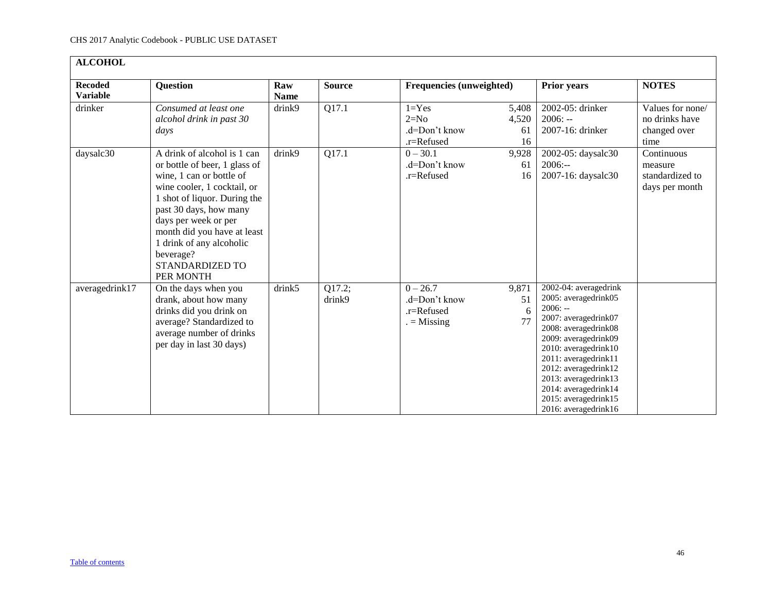<span id="page-45-0"></span>

| <b>ALCOHOL</b>                    |                                                                                                                                                                                                                                                                                                                   |                    |                    |                                                              |                            |                                                                                                                                                                                                                                                                                                            |                                                            |
|-----------------------------------|-------------------------------------------------------------------------------------------------------------------------------------------------------------------------------------------------------------------------------------------------------------------------------------------------------------------|--------------------|--------------------|--------------------------------------------------------------|----------------------------|------------------------------------------------------------------------------------------------------------------------------------------------------------------------------------------------------------------------------------------------------------------------------------------------------------|------------------------------------------------------------|
| <b>Recoded</b><br><b>Variable</b> | <b>Question</b>                                                                                                                                                                                                                                                                                                   | Raw<br><b>Name</b> | <b>Source</b>      | Frequencies (unweighted)                                     |                            | <b>Prior years</b>                                                                                                                                                                                                                                                                                         | <b>NOTES</b>                                               |
| drinker                           | Consumed at least one<br>alcohol drink in past 30<br>days                                                                                                                                                                                                                                                         | drink9             | Q17.1              | $1 = Yes$<br>$2=N0$<br>.d=Don't know<br>.r=Refused           | 5,408<br>4,520<br>61<br>16 | 2002-05: drinker<br>$2006: -$<br>2007-16: drinker                                                                                                                                                                                                                                                          | Values for none/<br>no drinks have<br>changed over<br>time |
| daysalc30                         | A drink of alcohol is 1 can<br>or bottle of beer, 1 glass of<br>wine, 1 can or bottle of<br>wine cooler, 1 cocktail, or<br>1 shot of liquor. During the<br>past 30 days, how many<br>days per week or per<br>month did you have at least<br>1 drink of any alcoholic<br>beverage?<br>STANDARDIZED TO<br>PER MONTH | drink9             | $\overline{Q17.1}$ | $0 - 30.1$<br>.d=Don't know<br>.r=Refused                    | 9,928<br>61<br>16          | 2002-05: daysalc30<br>$2006: -$<br>2007-16: daysalc30                                                                                                                                                                                                                                                      | Continuous<br>measure<br>standardized to<br>days per month |
| averagedrink17                    | On the days when you<br>drank, about how many<br>drinks did you drink on<br>average? Standardized to<br>average number of drinks<br>per day in last 30 days)                                                                                                                                                      | drink5             | Q17.2;<br>drink9   | $0 - 26.7$<br>.d=Don't know<br>$.r =$ Refused<br>$=$ Missing | 9,871<br>51<br>6<br>77     | 2002-04: averagedrink<br>2005: averagedrink05<br>$2006: -$<br>2007: averagedrink07<br>2008: averagedrink08<br>2009: averagedrink09<br>2010: averagedrink10<br>2011: averagedrink11<br>2012: averagedrink12<br>2013: averagedrink13<br>2014: averagedrink14<br>2015: averagedrink15<br>2016: averagedrink16 |                                                            |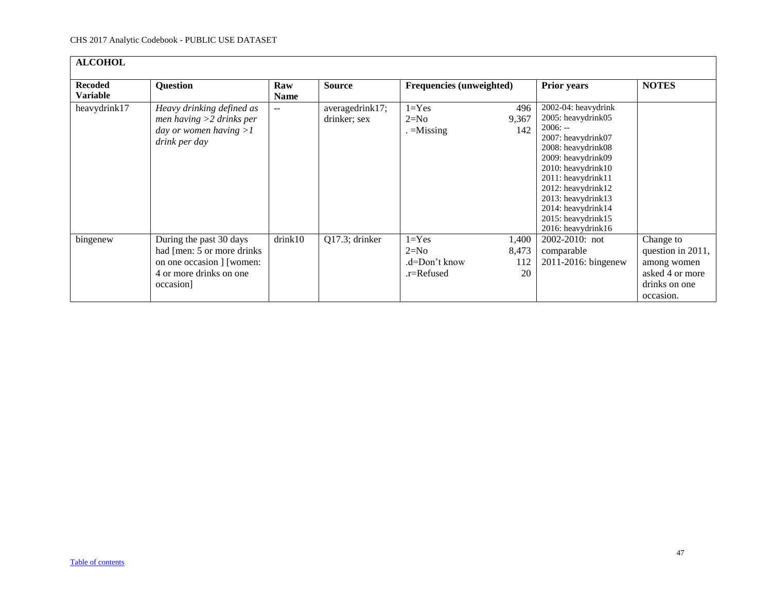| <b>ALCOHOL</b>                    |                                                                                                                             |                    |                                 |                                                    |                             |                                                                                                                                                                                                                                                                                    |                                                                                                |
|-----------------------------------|-----------------------------------------------------------------------------------------------------------------------------|--------------------|---------------------------------|----------------------------------------------------|-----------------------------|------------------------------------------------------------------------------------------------------------------------------------------------------------------------------------------------------------------------------------------------------------------------------------|------------------------------------------------------------------------------------------------|
| <b>Recoded</b><br><b>Variable</b> | <b>Question</b>                                                                                                             | Raw<br><b>Name</b> | <b>Source</b>                   | <b>Frequencies (unweighted)</b>                    |                             | <b>Prior years</b>                                                                                                                                                                                                                                                                 | <b>NOTES</b>                                                                                   |
| heavydrink17                      | Heavy drinking defined as<br>men having $>2$ drinks per<br>day or women having $>1$<br>drink per day                        | $- -$              | averagedrink17;<br>drinker; sex | $1 = Yes$<br>$2=N0$<br>$=$ Missing                 | 496<br>9,367<br>142         | 2002-04: heavydrink<br>2005: heavydrink05<br>$2006: -$<br>2007: heavydrink07<br>2008: heavydrink08<br>2009: heavydrink09<br>2010: heavydrink10<br>2011: heavydrink11<br>2012: heavydrink12<br>2013: heavydrink13<br>2014: heavydrink14<br>2015: heavydrink15<br>2016: heavydrink16 |                                                                                                |
| bingenew                          | During the past 30 days<br>had [men: 5 or more drinks]<br>on one occasion ] [women:<br>4 or more drinks on one<br>occasion] | drink10            | Q17.3; drinker                  | $1 = Yes$<br>$2=N0$<br>.d=Don't know<br>.r=Refused | 1,400<br>8,473<br>112<br>20 | 2002-2010: not<br>comparable<br>2011-2016: bingenew                                                                                                                                                                                                                                | Change to<br>question in 2011,<br>among women<br>asked 4 or more<br>drinks on one<br>occasion. |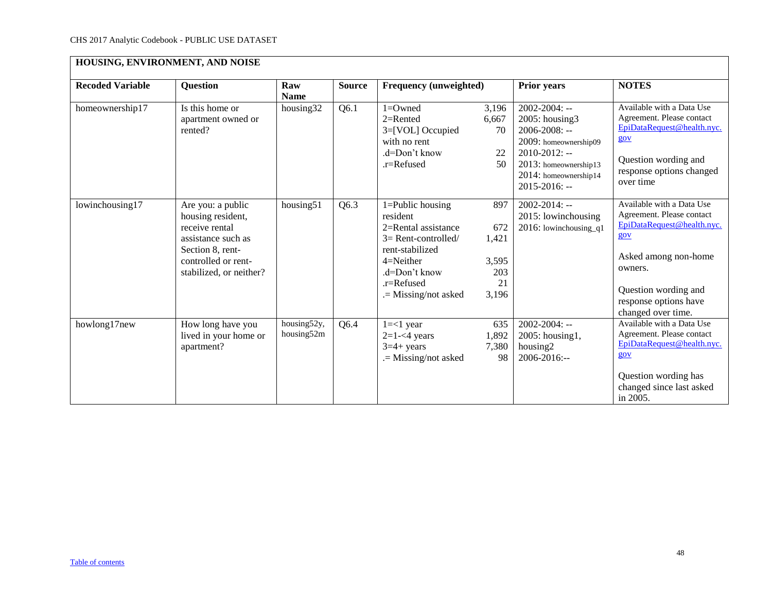<span id="page-47-0"></span>

| HOUSING, ENVIRONMENT, AND NOISE |                                                                                                                                                      |                           |               |                                                                                                                                                                                |                                                    |                                                                                                                                                                                   |                                                                                                                                                                                                       |  |
|---------------------------------|------------------------------------------------------------------------------------------------------------------------------------------------------|---------------------------|---------------|--------------------------------------------------------------------------------------------------------------------------------------------------------------------------------|----------------------------------------------------|-----------------------------------------------------------------------------------------------------------------------------------------------------------------------------------|-------------------------------------------------------------------------------------------------------------------------------------------------------------------------------------------------------|--|
| <b>Recoded Variable</b>         | <b>Question</b>                                                                                                                                      | Raw<br><b>Name</b>        | <b>Source</b> | Frequency (unweighted)                                                                                                                                                         |                                                    | <b>Prior years</b>                                                                                                                                                                | <b>NOTES</b>                                                                                                                                                                                          |  |
| homeownership17                 | Is this home or<br>apartment owned or<br>rented?                                                                                                     | housing32                 | Q6.1          | $1 =$ Owned<br>$2=$ Rented<br>3=[VOL] Occupied<br>with no rent<br>.d=Don't know<br>$.r =$ Refused                                                                              | 3,196<br>6,667<br>70<br>22<br>50                   | $2002 - 2004$ : --<br>2005: housing3<br>$2006 - 2008$ : --<br>2009: homeownership09<br>$2010 - 2012$ : --<br>2013: homeownership13<br>2014: homeownership14<br>$2015 - 2016$ : -- | Available with a Data Use<br>Agreement. Please contact<br>EpiDataRequest@health.nyc.<br>gov<br>Question wording and<br>response options changed<br>over time                                          |  |
| lowinchousing17                 | Are you: a public<br>housing resident,<br>receive rental<br>assistance such as<br>Section 8, rent-<br>controlled or rent-<br>stabilized, or neither? | housing51                 | Q6.3          | $1 =$ Public housing<br>resident<br>2=Rental assistance<br>$3=$ Rent-controlled/<br>rent-stabilized<br>$4=N$ either<br>.d=Don't know<br>$r =$ Refused<br>$=$ Missing/not asked | 897<br>672<br>1,421<br>3,595<br>203<br>21<br>3,196 | $2002 - 2014$ : --<br>2015: lowinchousing<br>2016: lowinchousing $q1$                                                                                                             | Available with a Data Use<br>Agreement. Please contact<br>EpiDataRequest@health.nyc.<br>gov<br>Asked among non-home<br>owners.<br>Question wording and<br>response options have<br>changed over time. |  |
| howlong17new                    | How long have you<br>lived in your home or<br>apartment?                                                                                             | housing52y,<br>housing52m | Q6.4          | $1 = < 1$ year<br>$2=1-<4$ years<br>$3=4+ \text{ years}$<br>.= Missing/not asked                                                                                               | 635<br>1,892<br>7,380<br>98                        | $2002 - 2004$ : --<br>2005: housing1,<br>housing2<br>2006-2016:--                                                                                                                 | Available with a Data Use<br>Agreement. Please contact<br>EpiDataRequest@health.nyc.<br>gov<br>Question wording has<br>changed since last asked<br>in 2005.                                           |  |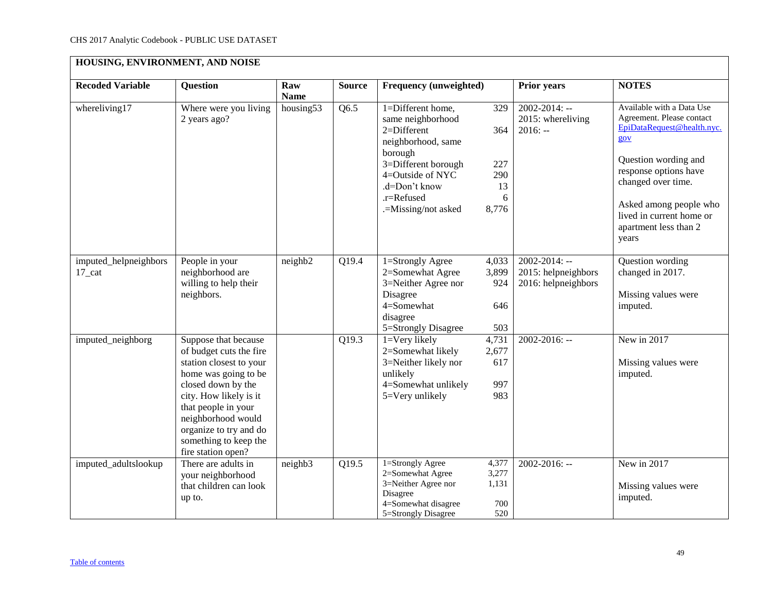| HOUSING, ENVIRONMENT, AND NOISE    |                                                                                                                                                                                                                                                                          |                    |               |                                                                                                                                                                                         |                                              |                                                                  |                                                                                                                                                                                                                                                            |  |
|------------------------------------|--------------------------------------------------------------------------------------------------------------------------------------------------------------------------------------------------------------------------------------------------------------------------|--------------------|---------------|-----------------------------------------------------------------------------------------------------------------------------------------------------------------------------------------|----------------------------------------------|------------------------------------------------------------------|------------------------------------------------------------------------------------------------------------------------------------------------------------------------------------------------------------------------------------------------------------|--|
| <b>Recoded Variable</b>            | <b>Question</b>                                                                                                                                                                                                                                                          | Raw<br><b>Name</b> | <b>Source</b> | <b>Frequency (unweighted)</b>                                                                                                                                                           |                                              | <b>Prior years</b>                                               | <b>NOTES</b>                                                                                                                                                                                                                                               |  |
| whereliving17                      | Where were you living<br>2 years ago?                                                                                                                                                                                                                                    | housing53          | Q6.5          | 1=Different home,<br>same neighborhood<br>2=Different<br>neighborhood, same<br>borough<br>3=Different borough<br>4=Outside of NYC<br>.d=Don't know<br>.r=Refused<br>.=Missing/not asked | 329<br>364<br>227<br>290<br>13<br>6<br>8,776 | $2002 - 2014$ : --<br>2015: whereliving<br>$2016: -$             | Available with a Data Use<br>Agreement. Please contact<br>EpiDataRequest@health.nyc.<br>gov<br>Question wording and<br>response options have<br>changed over time.<br>Asked among people who<br>lived in current home or<br>apartment less than 2<br>years |  |
| imputed_helpneighbors<br>$17$ _cat | People in your<br>neighborhood are<br>willing to help their<br>neighbors.                                                                                                                                                                                                | neighb2            | Q19.4         | 1=Strongly Agree<br>2=Somewhat Agree<br>3=Neither Agree nor<br>Disagree<br>4=Somewhat<br>disagree<br>5=Strongly Disagree                                                                | 4,033<br>3,899<br>924<br>646<br>503          | $2002 - 2014$ : --<br>2015: helpneighbors<br>2016: helpneighbors | Question wording<br>changed in 2017.<br>Missing values were<br>imputed.                                                                                                                                                                                    |  |
| imputed_neighborg                  | Suppose that because<br>of budget cuts the fire<br>station closest to your<br>home was going to be<br>closed down by the<br>city. How likely is it<br>that people in your<br>neighborhood would<br>organize to try and do<br>something to keep the<br>fire station open? |                    | Q19.3         | 1=Very likely<br>2=Somewhat likely<br>3=Neither likely nor<br>unlikely<br>4=Somewhat unlikely<br>5=Very unlikely                                                                        | 4,731<br>2,677<br>617<br>997<br>983          | 2002-2016: --                                                    | New in 2017<br>Missing values were<br>imputed.                                                                                                                                                                                                             |  |
| imputed_adultslookup               | There are adults in<br>your neighborhood<br>that children can look<br>up to.                                                                                                                                                                                             | neighb3            | Q19.5         | $1 =$ Strongly Agree<br>2=Somewhat Agree<br>3=Neither Agree nor<br>Disagree<br>4=Somewhat disagree<br>5=Strongly Disagree                                                               | 4,377<br>3,277<br>1,131<br>700<br>520        | 2002-2016: --                                                    | New in 2017<br>Missing values were<br>imputed.                                                                                                                                                                                                             |  |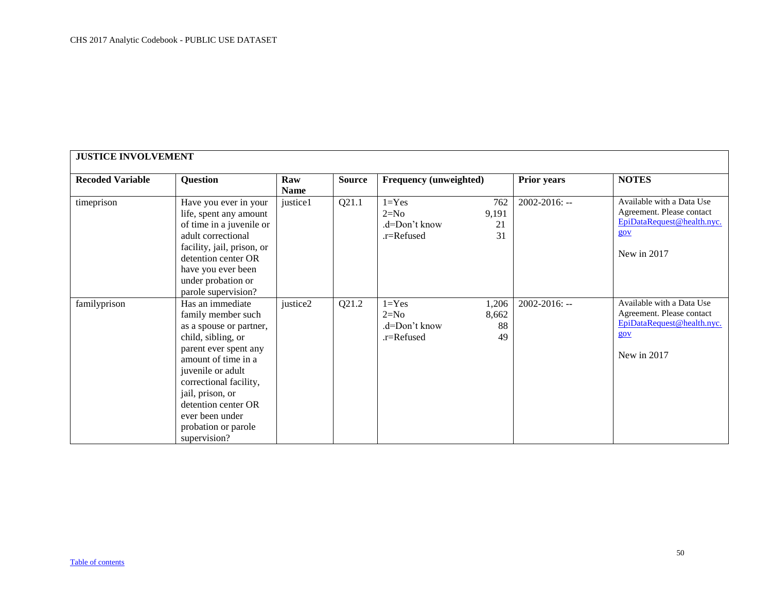<span id="page-49-0"></span>

| <b>Recoded Variable</b><br>timeprison | <b>Question</b><br>Have you ever in your<br>life, spent any amount<br>of time in a juvenile or<br>adult correctional<br>facility, jail, prison, or<br>detention center OR<br>have you ever been<br>under probation or<br>parole supervision?                                                | Raw<br><b>Name</b><br>justice1 | <b>Source</b><br>Q21.1 | <b>Frequency (unweighted)</b>                       |                            | Prior years        | <b>NOTES</b>                                                                                               |
|---------------------------------------|---------------------------------------------------------------------------------------------------------------------------------------------------------------------------------------------------------------------------------------------------------------------------------------------|--------------------------------|------------------------|-----------------------------------------------------|----------------------------|--------------------|------------------------------------------------------------------------------------------------------------|
|                                       |                                                                                                                                                                                                                                                                                             |                                |                        | $1 = Yes$<br>$2=N0$<br>.d=Don't know<br>.r=Refused  | 762<br>9,191<br>21<br>31   | $2002 - 2016$ : -- | Available with a Data Use<br>Agreement. Please contact<br>EpiDataRequest@health.nyc.<br>gov<br>New in 2017 |
| familyprison                          | Has an immediate<br>family member such<br>as a spouse or partner,<br>child, sibling, or<br>parent ever spent any<br>amount of time in a<br>juvenile or adult<br>correctional facility,<br>jail, prison, or<br>detention center OR<br>ever been under<br>probation or parole<br>supervision? | justice2                       | Q21.2                  | $1 = Yes$<br>$2=N0$<br>$d=Don't know$<br>.r=Refused | 1,206<br>8,662<br>88<br>49 | $2002 - 2016$ : -- | Available with a Data Use<br>Agreement. Please contact<br>EpiDataRequest@health.nyc.<br>gov<br>New in 2017 |